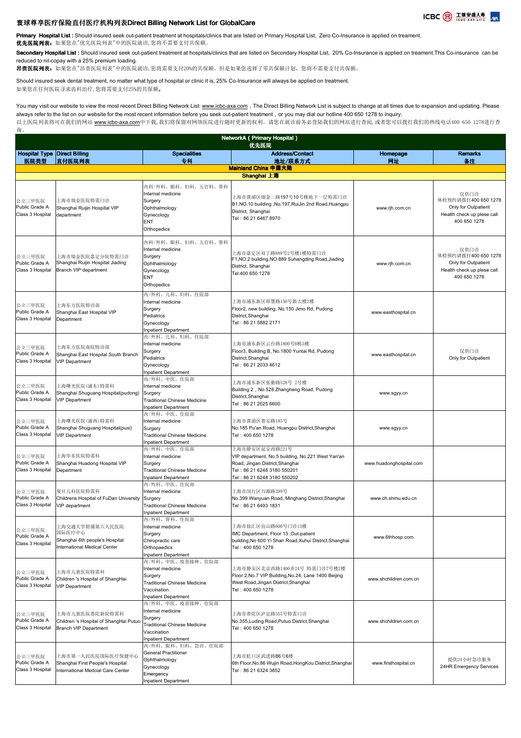

## 寰球尊享医疗保险直付医疗机构列表Direct Billing Network List for GlobalCare

询。

Primary Hospital List: Should insured seek out-patient treatment at hospitals/clinics that are listed on Primary Hospital List. Zero Co-Insurance is applied on treament. 优先医院列表:如果您在"优先医院列表"中的医院就诊,您将不需要支付共保额。

Secondary Hospital List : Should insured seek out-patient treatment at hospitals/clinics that are listed on Secondary Hospital List, 20% Co-Insurance is applied on treament. This Co-insurance can be reduced to nil-copay with a 25% premium loading.

昂贵医院列表: 如果您在"昂贵医院列表"中的医院就诊,您将需要支付20%的共保额。但是如果您选择了零共保额计划, 您将不需要支付共保额。

Should insured seek dental treatment, no matter what type of hospital or clinic it is, 25% Co-Insurance will always be applied on treatment. 如果您在任何医院寻求齿科治疗,您将需要支付25%的共保额。

You may visit our website to view the most recent Direct Billing Network List: www.icbc-axa.com, The Direct Billing Network List is subject to change at all times due to expansion and updating. Please always refer to the list on our website for the most recent information before you seek out-patient treatment, or you may dial our hotline 400 650 1278 to inquiry. 以上医院列表将可在我们的网站 www.icbc-axa.com中下载,我们将保留对网络医院进行随时更新的权利。请您在就诊前务必登陆我们的网站进行查阅,或者您可以拨打我们的热线电话400 650 1278进行查

NetworkA(Primary Hospital)

Hospital Type Direct Billing 医院类型 直付医院列表 **Specialities** 专科 Address/Contact 地址/联系方式 Homepage 网址 Remarks 备注 公立三甲医院 Public Grade A Class 3 Hospital 上海市瑞金医院特需门诊 Shanghai Ruijin Hospital VIP department 内科/外科、眼科、妇科、五官科、骨科 Internal medicine Surgery **Ophthalmology** Gynecology ENT Orthopedic 上海市黄浦区瑞金二路197号10号楼地下一层特需门诊 B1,NO.10 building ,No.197,RuiJin 2nd Road,Huangpu District, Shanghai Tel:86 21 6467 8970 www.rjh.com.cn 仅供门诊 体检预约请拨打400 650 1278 Only for Outpatient Health check up plese call 400 650 1278 公立三甲医院 Public Grade A Class 3 Hospital 上海市瑞金医院嘉定分院特需门诊 Shanghai Ruijin Hospital Jiading Branch VIP department 内科/外科、眼科、妇科、五官科、骨科 Internal medicine Surgery Ophthalmology Gynecology ENT **Orthopedics** 上海市嘉定区双丁路889号2号楼1楼特需门诊 F1,NO.2 building,NO.889 Suhangding Road,Jiading District, Shanghai Tel:400 650 1278 www.rjh.com.cn 仅供门诊 体检预约请拨打400 650 1278 Only for Outpatient Health check up plese call 400 650 1278 公立三甲医院 Public Grade A Class 3 Hospital 上海东方医院特诊部 Shanghai East Hospital VIP Department 内/外科、儿科、妇科、住院部 Internal medicine Surgery Pediatrics Gynecology Inpatient Department 上海市浦东新区即墨路150号新大楼2楼 Floor2, new building, No.150 Jimo Rd, Pudong District Shanghai Tel:86 21 5882 2171 www.easthospital.cn 内/外科、儿科、妇科、住院部 Internal medicine 优先医院 **Mainland China 中国大陆** Shanghai 上海 公立三甲医院 Public Grade A Class 3 Hospital 上海东方医院南院特诊部 Shanghai East Hospital South Branch VIP Department Surgery Pediatrics Gynecology Inpatient Department 上海市浦东新区云台路1800号B栋3楼 Floor3, Building B, No.1800 Yuntai Rd, Pudong District,Shanghai Tel:86 21 2033 4612 www.easthospital.cn 仅供门诊 Only for Outpatient 公立三甲医院 Public Grade A Class 3 Hospital 上海曙光医院(浦东)特需科 Shanghai Shuguang Hospital(pudong) VIP Department 内/外科、中医、住院部 nternal medicine Surgery Traditional Chinese Medicine Inpatient Department 上海市浦东新区张衡路528号 2号楼 Building 2,No.528 Zhangheng Road, Pudong District,Shanghai Tel:86 21 2025 6600 www.sgyy.cn 公立三甲医院 Public Grade A Class 3 Hospital 上海曙光医院(浦西)特需科 Shanghai Shuguang Hospital(puxi) VIP Department 内/外科、中医、住院部 Internal medicine **Surgery** Traditional Chinese Medicine Inpatient Department 上海市黄浦区普安路185号 No.185 Pu'an Road, Huangpu District,Shanghai Tel:400 650 1278 www.sgyy.cn 公立三甲医院 Public Grade A Class 3 Hospital 上海华东医院特需科 Shanghai Huadong Hospital VIP Department 内/外科、中医、住院部 Internal medicine Surgery Traditional Chinese Medicine Inpatient Department 上海市静安区延安西路221号 VIP department, No.5 building, No.221 West Yan'an Road, Jingan District,Shanghai Tel:86 21 6248 3180 550201 Tel:86 21 6248 3180 550202 www.huadonghospital.com 公立三甲医院 Public Grade A Class 3 Hospital 复旦儿科医院特需科 Childrens Hospital of FuDan University VIP department 内/外科、中医、住院部 nternal medicine Surgery Traditional Chinese Medicine Inpatient Department 上海市闵行区万源路399号 No.399 Wanyuan Road, Minghang District,Shanghai Tel:86 21 6493 1831 www.ch.shmu.edu.cn 公立三甲医院 Public Grade A Class 3 Hospita 上海交通大学附属第六人民医院 国际医疗中心 Shanghai 6th people's Hospital nternational Medical Center ————————————————————<br>内/外科、骨科、住院部 Internal medicine Surgery Chiropractic care **Orthopaedics** Inpatient Department 上海市徐汇区宜山路600号门诊13楼 IMC Department, Floor 13 ,Out-patient building,No 600 Yi Shan Road,Xuhui District,Shanghai Tel:400 650 1278 www.6thhosp.com 公立三甲医院 Public Grade A Class 3 Hospital 上海市儿童医院特需科 Children 's Hospital of ShangHai VIP Department 内/外科、中医、疫苗接种、住院部 Internal medicine Surgery Traditional Chinese Medicine Vaccination Inpatient Department 上海市静安区北京西路1400弄24号 特需门诊7号楼2楼 Floor 2,No.7 VIP Building,No.24, Lane 1400 Beijing West Road,Jingan District,Shanghai Tel:400 650 1278 www.shchildren.com.cn 公立三甲医院 Public Grade A Class 3 Hospital 上海市儿童医院普陀新院特需科 Children 's Hospital of ShangHai Putuo Branch VIP Department 内/外科、中医、疫苗接种、住院部 Internal medicine Surgery Traditional Chinese Medicine Vaccination npatient Department 上海市普陀区泸定路355号特需门诊 No.355 Luding Road Putuo District Shanghai Tel:400 650 1278 www.shchildren.com.cn 公立三甲医院 Public Grade A Class 3 Hospital 上海市第一人民医院国际医疗保健中心 Shanghai First People's Hospital International Medcial Care Center 内/外科、眼科、妇科、急诊、住院部 General Practitioner **Ophthalmology** Gynecology .<br>Emergency 上海市虹口区武进路86号6楼 6th Floor, No.86 Wujin Road, HongKou District, Shanghai Tel:86 21 6324 3852 www.firsthospital.cn 提供24小时急诊服务 24HR Emergency Services **Inpatient Department**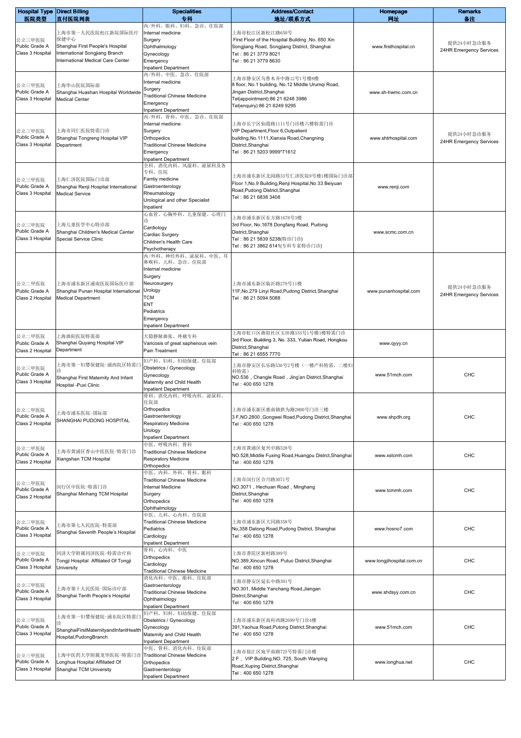|                                    | <b>Hospital Type Direct Billing</b>                       | <b>Specialities</b>                                  | <b>Address/Contact</b>                                                     | Homepage                  | <b>Remarks</b>                        |
|------------------------------------|-----------------------------------------------------------|------------------------------------------------------|----------------------------------------------------------------------------|---------------------------|---------------------------------------|
| 医院类型                               | 直付医院列表                                                    | 专科<br>内/外科、眼科、妇科、急诊、住院部                              | 地址/联系方式                                                                    | 网址                        | 备注                                    |
|                                    | 上海市第一人民医院松江新院国际医疗                                         | Internal medicine                                    | 上海市松江区新松江路650号                                                             |                           |                                       |
| 公立三甲医院                             | 保健中心                                                      | Surgery                                              | First Floor of the Hospital Building , No. 650 Xin                         |                           |                                       |
| Public Grade A                     | Shanghai First People's Hospital                          | Ophthalmology                                        | Songjiang Road, Songjiang District, Shanghai                               | www.firsthospital.cn      | 提供24小时急诊服务<br>24HR Emergency Services |
| Class 3 Hospital                   | International Songjiang Branch                            | Gynecology                                           | Tel: 86 21 3779 8021                                                       |                           |                                       |
|                                    | International Medical Care Center                         | Emergency                                            | Tel: 86 21 3779 8630                                                       |                           |                                       |
|                                    |                                                           | <b>Inpatient Department</b>                          |                                                                            |                           |                                       |
|                                    |                                                           | 内/外科、中医、急诊、住院部<br>Internal medicine                  | 上海市静安区乌鲁木齐中路12号1号楼8楼                                                       |                           |                                       |
| 公立三甲医院                             | 上海华山医院国际部                                                 | Surgery                                              | 8 floor, No.1 building, No.12 Middle Urumqi Road,                          |                           |                                       |
| Public Grade A                     | Shanghai Huashan Hospital Worldwide                       | <b>Traditional Chinese Medicine</b>                  | Jingan District, Shanghai                                                  | www.sh-hwmc.com.cn        |                                       |
| Class 3 Hospital                   | <b>Medical Center</b>                                     | Emergency                                            | Tel(appointment):86 21 6248 3986<br>Tel(enquiry):86 21 6249 9295           |                           |                                       |
|                                    |                                                           | <b>Inpatient Department</b>                          |                                                                            |                           |                                       |
|                                    |                                                           | 内/外科、骨科、中医、急诊、住院部                                    |                                                                            |                           |                                       |
|                                    | 上海市同仁医院特需门诊                                               | Internal medicine<br>Surgery                         | 上海市长宁区仙霞路1111号门诊楼六楼特需门诊<br>VIP Department, Floor 6, Outpatient             |                           |                                       |
| 公立三甲医院<br>Public Grade A           | Shanghai Tongreng Hospital VIP                            | Orthopedics                                          | building, No. 1111, Xianxia Road, Changning                                | www.shtrhospital.com      | 提供24小时急诊服务                            |
| Class 3 Hospital                   | Department                                                | <b>Traditional Chinese Medicine</b>                  | District, Shanghai                                                         |                           | 24HR Emergency Services               |
|                                    |                                                           | Emergency                                            | Tel: 86 21 5203 9999*71612                                                 |                           |                                       |
|                                    |                                                           | <b>Inpatient Department</b>                          |                                                                            |                           |                                       |
|                                    |                                                           | 全科、消化内科、风湿科、泌尿科及各                                    |                                                                            |                           |                                       |
| 公立三甲医院                             | 上海仁济医院国际门诊部                                               | 专科、住院<br>Famliy medicine                             | 上海市浦东新区北园路33号仁济医院9号楼1楼国际门诊部                                                |                           |                                       |
| Public Grade A                     | Shanghai Renji Hospital International                     | Gastroenterology                                     | Floor 1, No.9 Building, Renji Hospital, No 33 Beiyuan                      | www.renji.com             |                                       |
| Class 3 Hospital                   | Medical Service                                           | Rheumatology                                         | Road, Pudong District, Shanghai                                            |                           |                                       |
|                                    |                                                           | Urological and other Specialist                      | Tel: 86 21 6838 3408                                                       |                           |                                       |
|                                    |                                                           | Inpatient                                            |                                                                            |                           |                                       |
|                                    |                                                           | 心血管、心胸外科、儿童保健、心理门<br>谂                               | 上海市浦东新区东方路1678号3楼                                                          |                           |                                       |
| 公立三甲医院                             | 上海儿童医学中心特诊部                                               | Cardiology                                           | 3rd Floor, No.1678 Dongfang Road, Pudong                                   |                           |                                       |
| Public Grade A                     | Shanghai Children's Medical Center                        | Cardiac Surgery                                      | District, Shanghai                                                         | www.scmc.com.cn           |                                       |
| Class 3 Hospital                   | Special Service Clinic                                    | Children's Health Care                               | Tel: 86 21 5839 5238(特诊门诊)                                                 |                           |                                       |
|                                    |                                                           | Psychotherapy                                        | Tel: 86 21 3862 6141(专科专家特诊门诊)                                             |                           |                                       |
|                                    |                                                           | 内/外科、神经外科、泌尿科、中医、耳                                   |                                                                            |                           |                                       |
|                                    |                                                           | 鼻喉科、儿科、急诊、住院部<br>Internal medicine                   |                                                                            |                           |                                       |
|                                    |                                                           | Surgery                                              |                                                                            |                           |                                       |
| 公立二甲医院                             | 上海市浦东新区浦南医院国际医疗部                                          | Neurosurgery                                         | 上海市浦东新区临沂路279号11楼                                                          |                           |                                       |
| Public Grade A                     | Shanghai Punan Hospital International                     | Urology                                              | 11F, No.279 Linyi Road, Pudong District, Shanghai                          | www.punanhospital.com     | 提供24小时急诊服务                            |
| Class 2 Hospital                   | <b>Medical Department</b>                                 | <b>TCM</b>                                           | Tel: 86 21 5094 5088                                                       |                           | 24HR Emergency Services               |
|                                    |                                                           | <b>ENT</b>                                           |                                                                            |                           |                                       |
|                                    |                                                           | Pediatrics                                           |                                                                            |                           |                                       |
|                                    |                                                           | Emergency<br><b>Inpatient Department</b>             |                                                                            |                           |                                       |
|                                    |                                                           |                                                      | 上海市虹口区曲阳社区玉田路333号1号楼1楼特需门诊                                                 |                           |                                       |
| 公立二甲医院                             | 上海曲阳医院特需部                                                 | 大隐静脉曲张、疼痛专科                                          | 3rd Floor, Building 3, No. 333, Yutian Road, Hongkou                       |                           |                                       |
| Public Grade A<br>Class 2 Hospital | Shanghai Quyang Hospital VIP<br>Department                | Varicosis of great saphenous vein<br>Pain Treatment  | District, Shanghai                                                         | www.qyyy.cn               |                                       |
|                                    |                                                           |                                                      | Tel: 86 21 6555 7770                                                       |                           |                                       |
|                                    | 上海市第一妇婴保健院-浦西院区特需门                                        | 妇产科、妇科、妇幼保健、住院部                                      | 上海市静安区长乐路536号2号楼(一楼产科特需,二楼妇                                                |                           |                                       |
| 公立三甲医院<br>Public Grade A           |                                                           | Obstetrics / Gynecology                              | 科特需)                                                                       | www.51mch.com             | CHC                                   |
| Class 3 Hospital                   | Shanghai First Maternity And Infant                       | Gynecology<br>Maternity and Child Health             | NO.536, Changle Road, Jing'an District, Shanghai                           |                           |                                       |
|                                    | Hospital -Puxi Clinic                                     | <b>Inpatient Department</b>                          | Tel: 400 650 1278                                                          |                           |                                       |
|                                    |                                                           | 骨科、消化内科、呼吸内科、泌尿科、                                    |                                                                            |                           |                                       |
|                                    |                                                           | 住院部                                                  |                                                                            |                           |                                       |
| 公立二甲医院<br>Public Grade A           | 上海市浦东医院–国际部                                               | Orthopedics<br>Gastroenterology                      | 上海市浦东新区惠南镇拱为路2800号门诊三楼                                                     | www.shpdh.org             | CHC                                   |
| Class 2 Hospital                   | SHANGHAI PUDONG HOSPITAL                                  | <b>Respiratory Medicine</b>                          | 3 F, NO.2800, Gongwei Road, Pudong District, Shanghai<br>Tel: 400 650 1278 |                           |                                       |
|                                    |                                                           | Urology                                              |                                                                            |                           |                                       |
|                                    |                                                           | <b>Inpatient Department</b>                          |                                                                            |                           |                                       |
| 公立二甲医院                             |                                                           | 中医、呼吸内科、骨科                                           | 上海市黄浦区复兴中路528号                                                             |                           |                                       |
| Public Grade A                     | 上海市黄浦区香山中医医院-特需门诊                                         | <b>Traditional Chinese Medicine</b>                  | NO.528, Middle Fuxing Road, Huangpu Distrct, Shanghai                      | www.xstcmh.com            | CHC                                   |
| Class 2 Hospital                   | Xiangshan TCM Hospital                                    | <b>Respiratory Medicine</b><br>Orthopedics           | Tel: 400 650 1278                                                          |                           |                                       |
|                                    |                                                           | 中医、内科、外科、骨科、眼科                                       |                                                                            |                           |                                       |
|                                    |                                                           | <b>Traditional Chinese Medicine</b>                  | 上海市闵行区合川路3071号                                                             |                           |                                       |
| 公立二甲医院<br>Public Grade A           | 闵行区中医院-特需门诊                                               | <b>Internal Medicine</b>                             | NO.3071, Hechuan Road, Minghang                                            |                           | <b>CHC</b>                            |
| Class 2 Hospital                   | Shanghai Minhang TCM Hospital                             | Surgery                                              | District, Shanghai                                                         | www.tcmmh.com             |                                       |
|                                    |                                                           | Orthopedics                                          | Tel: 400 650 1278                                                          |                           |                                       |
|                                    |                                                           | Ophthalmology                                        |                                                                            |                           |                                       |
| 公立三甲医院                             |                                                           | 中医、儿科、心内科、住院部<br><b>Traditional Chinese Medicine</b> | 上海市浦东新区大同路358号                                                             |                           |                                       |
| Public Grade A                     | 上海市第七人民医院-特需部                                             | Pediatrics                                           | No,358 Datong Road, Pudong District, Shanghai                              | www.hosno7.com            | <b>CHC</b>                            |
| Class 3 Hospital                   | Shanghai Seventh People's Hospital                        | Cardiology                                           | Tel: 400 650 1278                                                          |                           |                                       |
|                                    |                                                           | <b>Inpatient Department</b>                          |                                                                            |                           |                                       |
| 公立三甲医院                             | 同济大学附属同济医院-特需诊疗科                                          | 骨科、心内科、中医                                            | 上海市普陀区新村路389号                                                              |                           |                                       |
| Public Grade A                     | Tongji Hospital Affiliated Of Tongji                      | Orthopedics                                          | NO.389, Xincun Road, Putuo District, Shanghai                              | www.tongjihospital.com.cn | CHC                                   |
| Class 3 Hospital                   | University                                                | Cardiology<br>Traditional Chinese Medicine           | Tel: 400 650 1278                                                          |                           |                                       |
|                                    |                                                           | 消化内科、中医、眼科、住院部                                       |                                                                            |                           |                                       |
| 公立三甲医院                             |                                                           | Gastroenterology                                     | 上海市静安区延长中路301号                                                             |                           |                                       |
| Public Grade A                     | 上海市第十人民医院-国际诊疗部<br>Shanghai Tenth People's Hospital       | Traditional Chinese Medicine                         | NO.301, Middle Yanchang Road, Jiangan<br>Distrct, Shanghai                 | www.shdsyy.com.cn         | <b>CHC</b>                            |
| Class 3 Hospital                   |                                                           | Ophthalmology                                        | Tel: 400 650 1278                                                          |                           |                                       |
|                                    |                                                           | <b>Inpatient Department</b>                          |                                                                            |                           |                                       |
| 公立三甲医院                             | 上海市第一妇婴保健院-浦东院区特需广                                        | 妇产科、妇科、妇幼保健、住院部<br>Obstetrics / Gynecology           | 上海市浦东新区高科西路2699号门诊4楼                                                       |                           |                                       |
| Public Grade A                     |                                                           | Gynecology                                           | 391, Yaohua Road, Putong District. Shanghai                                | www.51mch.com             | CHC                                   |
| Class 3 Hospital                   | ShanghaiFirstMaternityandInfantHealth                     | Maternity and Child Health                           | Tel: 400 650 1278                                                          |                           |                                       |
|                                    | Hospital, Pudong Branch                                   | <b>Inpatient Department</b>                          |                                                                            |                           |                                       |
|                                    |                                                           | 中医、骨科、消化内科、住院部                                       | 上海市徐汇区宛平南路725号特需门诊楼                                                        |                           |                                       |
| 公立三甲医院                             | 上海中医药大学附属龙华医院-特需门诊                                        | <b>Traditional Chinese Medicine</b>                  | 2 F, VIP Building, NO. 725, South Wanping                                  |                           |                                       |
| Public Grade A<br>Class 3 Hospital | Longhua Hospital Affiliated Of<br>Shanghai TCM University | Orthopedics<br>Gastroenterology                      | Road, Xuping District, Shanghai                                            | www.longhua.net           | CHC                                   |
|                                    |                                                           | <b>Inpatient Department</b>                          | Tel: 400 650 1278                                                          |                           |                                       |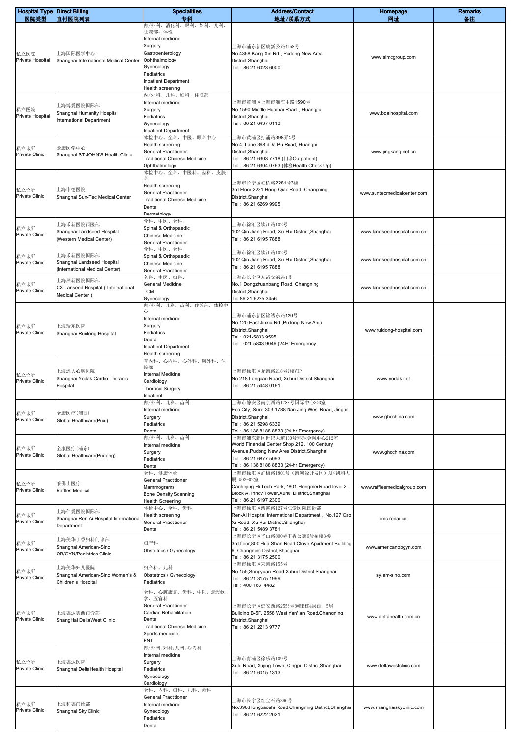| <b>Hospital Type Direct Billing</b> |                                                                           | <b>Specialities</b>                                                                                                                       | <b>Address/Contact</b>                                                                                                                                                                     | Homepage                    | <b>Remarks</b> |
|-------------------------------------|---------------------------------------------------------------------------|-------------------------------------------------------------------------------------------------------------------------------------------|--------------------------------------------------------------------------------------------------------------------------------------------------------------------------------------------|-----------------------------|----------------|
| 医院类型<br>私立医院                        | 直付医院列表<br>上海国际医学中心                                                        | 专科<br>内/外科、消化科、眼科、妇科、儿科、<br>住院部、体检<br>Internal medicine<br>Surgery<br>Gastroenterology                                                    | 地址/联系方式<br>上海市浦东新区康新公路4358号<br>No.4358 Kang Xin Rd., Pudong New Area                                                                                                                       | 网址<br>www.simcgroup.com     | 备注             |
| Private Hospital                    | Shanghai International Medical Center                                     | Ophthalmology<br>Gynecology<br>Pediatrics<br>Inpatient Department<br>Health screening<br>内/外科、儿科、妇科、住院部                                   | District, Shanghai<br>Tel: 86 21 6023 6000                                                                                                                                                 |                             |                |
| 私立医院<br>Private Hospital            | 上海博爱医院国际部<br>Shanghai Humanity Hospital<br>International Department       | Internal medicine<br>Surgery<br>Pediatrics<br>Gynecology<br><b>Inpatient Department</b><br>体检中心、全科、中医、眼科中心                                | 上海市黄浦区上海市淮海中路1590号<br>No.1590 Middle Huaihai Road, Huangpu<br>District, Shanghai<br>Tel: 86 21 6437 0113<br>上海市黄浦区打浦路398弄4号                                                                | www.boaihospital.com        |                |
| 私立诊所<br><b>Private Clinic</b>       | 景康医学中心<br>Shanghai ST.JOHN'S Health Clinic                                | Health screening<br><b>General Practitioner</b><br><b>Traditional Chinese Medicine</b><br>Ophthalmology<br>体检中心、全科、中医科、齿科、皮肤              | No.4, Lane 398 dDa Pu Road, Huangpu<br>District, Shanghai<br>Tel: 86 21 6303 7718 (门诊Outpatient)<br>Tel:86 21 6304 0763 (体检Health Check Up)                                                | www.jingkang.net.cn         |                |
| 私立诊所<br><b>Private Clinic</b>       | 上海申德医院<br>Shanghai Sun-Tec Medical Center                                 | 科<br>Health screening<br><b>General Practitioner</b><br><b>Traditional Chinese Medicine</b><br>Dental<br>Dermatology                      | 上海市长宁区虹桥路2281号3楼<br>3rd Floor, 2281 Hong Qiao Road, Changning<br>District, Shanghai<br>Tel: 86 21 6269 9995                                                                                | www.suntecmedicalcenter.com |                |
| 私立诊所<br><b>Private Clinic</b>       | 上海禾新医院西医部<br>Shanghai Landseed Hospital<br>(Western Medical Center)       | 骨科、中医、全科<br>Spinal & Orthopaedic<br><b>Chinese Medicine</b><br><b>General Practitioner</b>                                                | 上海市徐汇区钦江路102号<br>102 Qin Jiang Road, Xu-Hui District, Shanghai<br>Tel: 86 21 6195 7888                                                                                                     | www.landseedhospital.com.cn |                |
| 私立诊所<br>Private Clinic              | 上海禾新医院国际部<br>Shanghai Landseed Hospital<br>(International Medical Center) | 骨科、中医、全科<br>Spinal & Orthopaedic<br>Chinese Medicine<br><b>General Practitioner</b><br>全科、中医、妇科、                                          | 上海市徐汇区钦江路102号<br>102 Qin Jiang Road, Xu-Hui District, Shanghai<br>Tel: 86 21 6195 7888<br>上海市长宁区东诸安浜路1号                                                                                    | www.landseedhospital.com.cn |                |
| 私立诊所<br>Private Clinic              | 上海辰新医院国际部<br>CX Lanseed Hospital (International<br>Medical Center)        | General Medicine<br><b>TCM</b><br>Gynecology<br>内/外科、儿科、齿科、住院部、体检中                                                                        | No.1 Dongzhuanbang Road, Changning<br>District, Shanghai<br>Tel:86 21 6225 3456                                                                                                            | www.landseedhospital.com.cn |                |
| 私立诊所<br>Private Clinic              | 上海瑞东医院<br>Shanghai Ruidong Hospital                                       | 心<br>Internal medicine<br>Surgery<br>Pediatrics<br>Dental<br><b>Inpatient Department</b><br>Health screening                              | 上海市浦东新区锦绣东路120号<br>No.120 East Jinxiu Rd., Pudong New Area<br>District, Shanghai<br>Tel: 021-5833 9595<br>Tel: 021-5833 9046 (24Hr Emergency)                                              | www.ruidong-hospital.com    |                |
| 私立诊所<br>Private Clinic              | 上海远大心胸医院<br>Shanghai Yodak Cardio Thoracic<br>Hospital                    | 普内科、心内科、心外科、胸外科、住<br>院部<br>Internal Medicine<br>Cardiology<br><b>Thoracic Surgery</b><br>Inpatient                                        | 上海市徐汇区龙漕路218号2楼VIP<br>No.218 Longcao Road, Xuhui District, Shanghai<br>Tel: 86 21 5448 0161                                                                                                | www.yodak.net               |                |
| 私立诊所<br><b>Private Clinic</b>       | 全康医疗(浦西)<br>Global Healthcare(Puxi)                                       | 内/外科、儿科、齿科<br>Internal medicine<br>Surgery<br>Pediatrics<br>Dental                                                                        | 上海市静安区南京西路1788号国际中心303室<br>Eco City, Suite 303,1788 Nan Jing West Road, Jingan<br>District, Shanghai<br>Tel: 86 21 5298 6339<br>Tel: 86 136 8188 8833 (24-hr Emergency)                    | www.ghcchina.com            |                |
| 私立诊所<br>Private Clinic              | 全康医疗(浦东)<br>Global Healthcare(Pudong)                                     | 内/外科、儿科、齿科<br>Internal medicine<br>Surgery<br>Pediatrics<br>Dental<br>全科、健康体检                                                             | 上海市浦东新区世纪大道100号环球金融中心212室<br>World Financial Center Shop 212, 100 Century<br>Avenue, Pudong New Area District, Shanghai<br>Tel: 86 21 6877 5093<br>Tel: 86 136 8188 8833 (24-hr Emergency) | www.ghcchina.com            |                |
| 私立诊所<br>Private Clinic              | 莱佛士医疗<br>Raffles Medical                                                  | <b>General Practitioner</b><br>Mammograms<br><b>Bone Density Scanning</b><br><b>Health Screening</b>                                      | 上海市徐汇区虹梅路1801号(漕河泾开发区)A区凯科大<br>厦 #02-02室<br>Caohejing Hi-Tech Park, 1801 Hongmei Road level 2,<br>Block A, Innov Tower, Xuhui District, Shanghai<br>Tel: 86 21 6197 2300                   | www.rafflesmedicalgroup.com |                |
| 私立诊所<br>Private Clinic              | 上海仁爱医院国际部<br>Shanghai Ren-Ai Hospital International<br>Department         | 体检中心、全科、齿科<br>Health screening<br><b>General Practitioner</b><br>Dental                                                                   | 上海市徐汇区漕溪路127号仁爱医院国际部<br>Ren-Ai Hospital International Department, No.127 Cao<br>Xi Road, Xu Hui District, Shanghai<br>Tel: 86 21 5489 3781                                                 | imc.renai.cn                |                |
| 私立诊所<br>Private Clinic              | 上海美华丁香妇科门诊部<br>Shanghai American-Sino<br>OB/GYN/Pediatrics Clinic         | 妇产科<br>Obstetrics / Gynecology                                                                                                            | 上海市长宁区华山路800弄丁香公寓6号裙楼3楼<br>3rd floor,800 Hua Shan Road, Clove Apartment Building<br>6, Changning District, Shanghai<br>Tel: 86 21 3175 2500<br>上海市徐汇区宋园路155号                               | www.americanobgyn.com       |                |
| 私立诊所<br><b>Private Clinic</b>       | 上海美华妇儿医院<br>Shanghai American-Sino Women's &<br>Children's Hospital       | 妇产科、儿科<br>Obstetrics / Gynecology<br>Pediatrics<br>全科、心脏康复、齿科、中医、运动医                                                                      | No.155, Songyuan Road, Xuhui District, Shanghai<br>Tel: 86 21 3175 1999<br>Tel: 400 163 4482                                                                                               | sy.am-sino.com              |                |
| 私立诊所<br>Private Clinic              | 上海德达德西门诊部<br>ShangHai DeltaWest Clinic                                    | 学、五官科<br><b>General Practitioner</b><br>Cardiac Rehabilitation<br>Dental<br><b>Traditional Chinese Medicine</b><br>Sports medicine<br>ENT | 上海市长宁区延安西路2558号8幢B栋4层西,5层<br>Building B-5F, 2558 West Yan' an Road, Changning<br>District, Shanghai<br>Tel: 86 21 2213 9777                                                                | www.deltahealth.com.cn      |                |
| 私立诊所<br>Private Clinic              | 上海德达医院<br>Shanghai DeltaHealth Hospital                                   | 内/外科, 妇科, 儿科, 心内科<br>Internal medicine<br>Surgery<br>Pediatrics<br>Gynecology<br>Cardiology                                               | 上海市青浦区徐乐路109号<br>Xule Road, Xujing Town, Qingpu District, Shanghai<br>Tel: 86 21 6015 1313                                                                                                 | www.deltawestclinic.com     |                |
| 私立诊所<br>Private Clinic              | 上海和德门诊部<br>Shanghai Sky Clinic                                            | 全科、内科、妇科、儿科、齿科<br><b>General Practitioner</b><br>Internal medicine<br>Gynecology<br>Pediatrics<br>Dental                                  | 上海市长宁区红宝石路396号<br>No.396, Hongbaoshi Road, Changning District, Shanghai<br>Tel: 86 21 6222 2021                                                                                            | www.shanghaiskyclinic.com   |                |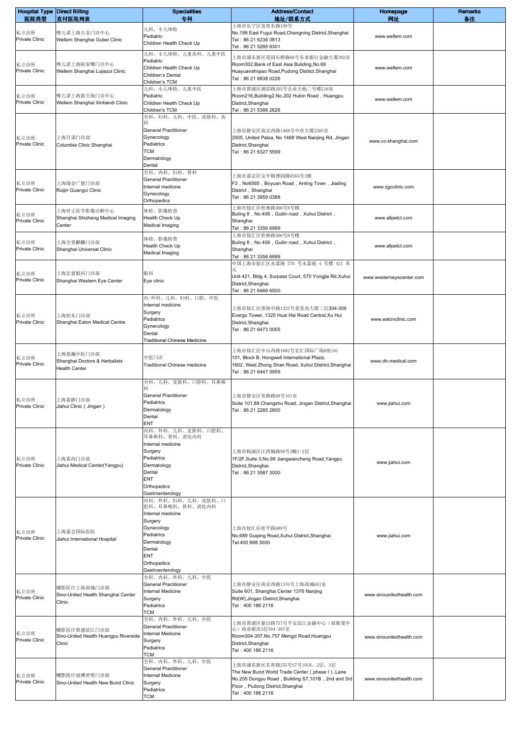| <b>Hospital Type Direct Billing</b><br>医院类型 | 直付医院列表                                                        | <b>Specialities</b><br>专科                                                                                                                                                                  | <b>Address/Contact</b><br>地址/联系方式                                                                                                                                                            | Homepage<br>网址           | <b>Remarks</b><br>备注 |
|---------------------------------------------|---------------------------------------------------------------|--------------------------------------------------------------------------------------------------------------------------------------------------------------------------------------------|----------------------------------------------------------------------------------------------------------------------------------------------------------------------------------------------|--------------------------|----------------------|
| 私立诊所<br><b>Private Clinic</b>               | 唯儿诺上海古北门诊中心<br>Wellem Shanghai Gubei Clinic                   | 儿科、小儿体检<br>Pediatric<br>Children Health Check Up                                                                                                                                           | 上海市长宁区富贵东路199号<br>No.199 East Fugui Road, Changning District, Shanghai<br>Tel: 86 21 6236 0813<br>Tel: 86 21 5285 6301                                                                       | www.wellem.com           |                      |
| 私立诊所<br><b>Private Clinic</b>               | 唯儿诺上海陆家嘴门诊中心<br>Wellem Shanghai Lujiazui Clinic               | 儿科、小儿体检、儿童齿科、儿童中医<br>Pediatric<br>Children Health Check Up<br>Children's Dental<br>Children's TCM                                                                                          | 上海市浦东新区花园石桥路66号东亚银行金融大厦302室<br>Room302, Bank of East Asia Buliding, No.66<br>Huayuanshiqiao Road, Pudong District, Shanghai<br>Tel: 86 21 6838 0226                                          | www.wellem.com           |                      |
| 私立诊所<br>Private Clinic                      | 唯儿诺上海新天地门诊中心<br>Wellem Shanghai Xintiandi Clinic              | 儿科、小儿体检、儿童中医<br>Pediatric<br>Children Health Check Up<br>Children's TCM<br>全科、妇科、儿科、中医、皮肤科、齿                                                                                               | 上海市黄浦区湖滨路202号企业天地二号楼216室<br>Room216, Building2, No.202 Hubin Road, Huangpu<br>District, Shanghai<br>Tel: 86 21 5386 2626                                                                     | www.wellem.com           |                      |
| 私立诊所<br>Private Clinic                      | 上海百诺门诊部<br>Columbia Clinic Shanghai                           | 科<br><b>General Practitioner</b><br>Gynecology<br>Pediatrics<br>TCM<br>Dermatology<br>Dental                                                                                               | 上海市静安区南京西路1468号中欣大厦2505室<br>2505, United Palza, No 1468 West Nanjing Rd, Jingan<br>District, Shanghai<br>Tel: 86 21 6327 5599                                                                | www.cc-shanghai.com      |                      |
| 私立诊所<br>Private Clinic                      | 上海瑞金广慈门诊部<br>Ruijin Guangci Clinic                            | 全科、内科、妇科、骨科<br><b>General Practitioner</b><br>Internal medicine<br>Gynecology<br>Orthopedics                                                                                               | 上海市嘉定区安亭镇博园路6565号3楼<br>F3, No6565, Boyuan Road, Anting Town, Jiading<br>District, Shanghai<br>Tel: 86 21 3959 0388                                                                           | www.rjgcclinic.com       |                      |
| 私立诊所<br>Private Clinic                      | 上海世正医学影像诊断中心<br>Shanghai Shizheng Medical Imaging<br>Center   | 体检、影像检查<br>Health Check Up<br>Medical Imaging                                                                                                                                              | 上海市徐汇区桂林路406号8号楼<br>Buling 8, No.406, Guilin road, Xuhui District,<br>Shanghai<br>Tel: 86 21 3356 6999                                                                                       | www.allpetct.com         |                      |
| 私立诊所<br>Private Clinic                      | 上海全景麒麟门诊部<br>Shanghai Universal Clinic                        | 体检、影像检查<br>Health Check Up<br>Medical Imaging                                                                                                                                              | 上海市徐汇区桂林路406号8号楼<br>Buling 8, No.406, Guilin road, Xuhui District,<br>Shanghai<br>Tel: 86 21 3356 6999<br>中国上海市徐汇区永嘉路 570 号永嘉庭 4 号楼 421 单                                                    | www.allpetct.com         |                      |
| 私立诊所<br>Private Clinic                      | 上海宏恩眼科门诊部<br>Shanghai Western Eye Center                      | 眼科<br>Eye clinic                                                                                                                                                                           | 元<br>Unit 421, Bldg 4, Surpass Court, 570 Yongjia Rd, Xuhui<br>District, Shanghai<br>Tel: 86 21 6466 6500                                                                                    | www.westerneyecenter.com |                      |
| 私立诊所<br><b>Private Clinic</b>               | 上海怡东门诊部<br>Shanghai Eaton Medical Centre                      | 内/外科、儿科、妇科、口腔、中医<br>Internal medicine<br>Surgery<br>Pediatrics<br>Gynecology<br>Dental<br>Traditional Chinese Medicine                                                                     | 上海市徐汇区淮海中路1325号爱美高大厦三层304-309<br>Evergo Tower, 1325 Huai Hai Road Central, Xu Hui<br>District, Shanghai<br>Tel: 86 21 6473 0055                                                              | www.eatonclinic.com      |                      |
| 私立诊所<br>Private Clinic                      | 上海鼎瀚中医门诊部<br>Shanghai Doctors & Herbalists<br>Health Center   | 中医门诊<br>Traditional Chinese medicine                                                                                                                                                       | 上海市徐汇区中山西路1602号宏汇国际广场B座101<br>101, Block B, Hongwell International Plaza,<br>1602, West Zhong Shan Road, Xuhui District, Shanghai<br>Tel: 86 21 6447 5959                                    | www.dh-medical.com       |                      |
| 私立诊所<br>Private Clinic                      | 上海嘉静门诊部<br>Jiahui Clinic (Jingan)                             | 全科、儿科、皮肤科、口腔科、耳鼻喉<br>科<br><b>General Practitioner</b><br>Pediatrics<br>Dermatology<br>Dental<br><b>ENT</b>                                                                                 | 上海市静安区常熟路88号101室<br>Suite 101,88 Changshu Road, Jingan District, Shanghai<br>Tel: 86 21 2285 2800                                                                                            | www.jiahui.com           |                      |
| 私立诊所<br><b>Private Clinic</b>               | 上海嘉尚门诊部<br>Jiahui Medical Center(Yangpu)                      | 内科、外科、儿科、皮肤科、口腔科、<br>耳鼻喉科、骨科、消化内科<br>Internal medicine<br>Surgery<br>Pediatrics<br>Dermatology<br>Dental<br>ENT<br>Orthopedics<br>Gastroenterology<br>内科、外科、妇科、儿科、皮肤科、口<br>腔科、耳鼻喉科、骨科、消化内科 | 上海市杨浦区江湾城路99号3幢1-2层<br>1F/2F, Suite 3, No.99 Jiangwancheng Road, Yangpu<br>District, Shanghai<br>Tel: 86 21 3587 3000                                                                        | www.jiahui.com           |                      |
| 私立诊所<br>Private Clinic                      | 上海嘉会国际医院<br>Jiahui International Hospital                     | Internal medicine<br>Surgery<br>Gynecology<br>Pediatrics<br>Dermatology<br>Dental<br><b>ENT</b><br>Orthopedics<br>Gastroenterology                                                         | 上海市徐汇区桂平路689号<br>No.689 Guiping Road, Xuhui District, Shanghai<br>Tel:400 868 3000                                                                                                           | www.jiahui.com           |                      |
| 私立诊所<br>Private Clinic                      | 曜影医疗上海商城门诊部<br>Sino-United Health Shanghai Center<br>Clinic   | 全科、内科、外科, 儿科, 中医<br><b>General Practitioner</b><br><b>Internal Medicine</b><br>Surgery<br>Pediatrics<br><b>TCM</b>                                                                         | 上海市静安区南京西路1376号上海商城601室<br>Suite 601, Shanghai Center 1376 Nanjing<br>Rd(W), Jingan District, Shanghai<br>Tel: 400 186 2116                                                                  | www.sinounitedhealth.com |                      |
| 私立诊所<br>Private Clinic                      | 曜影医疗黄浦滨江门诊部<br>Sino-United Health Huangpu Riverside<br>Clinic | 全科、内科、外科、儿科、中医<br><b>General Practitioner</b><br><b>Internal Medicine</b><br>Surgery<br>Pediatrics<br><b>TCM</b>                                                                           | 上海市黄浦区蒙自路757号平安滨江金融中心(原歌斐中<br>心) 商业裙房3层304-307室<br>Room304-307, No.757 Mengzi Road, Huangpu<br>District, Shanghai<br>Tel: 400 186 2116                                                       | www.sinounitedhealth.com |                      |
| 私立诊所<br>Private Clinic                      | 曜影医疗前滩世贸门诊部<br>Sino-United Health New Bund Clinic             | 全科、内科、外科、儿科、中医<br><b>General Practitioner</b><br>Internal Medicine<br>Surgery<br>Pediatrics<br><b>TCM</b>                                                                                  | 上海市浦东新区东育路255号S7号101B,2层,3层<br>The New Bund World Trade Center (phase I), Lane<br>No.255 Dongyu Road, Building S7,101B, 2nd and 3rd<br>Floor, Pudong District, Shanghai<br>Tel: 400 186 2116 | www.sinounitedhealth.com |                      |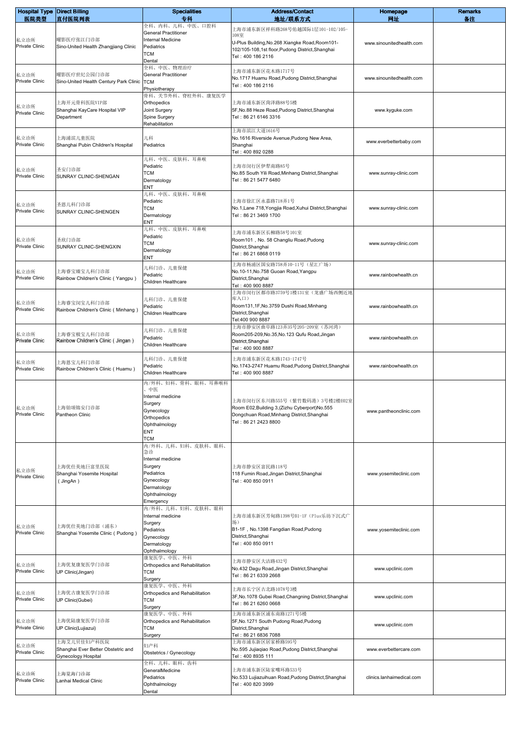| <b>Hospital Type Direct Billing</b><br>医院类型 | 直付医院列表                                                                   | <b>Specialities</b><br>专科                                                                                                         | <b>Address/Contact</b><br>地址/联系方式                                                                                                                        | Homepage<br>网址            | <b>Remarks</b><br>备注 |
|---------------------------------------------|--------------------------------------------------------------------------|-----------------------------------------------------------------------------------------------------------------------------------|----------------------------------------------------------------------------------------------------------------------------------------------------------|---------------------------|----------------------|
|                                             |                                                                          | 全科、内科、儿科、中医、口腔科<br><b>General Practitioner</b>                                                                                    | 上海市浦东新区祥科路268号佑越国际1层101-102/105-                                                                                                                         |                           |                      |
| 私立诊所<br><b>Private Clinic</b>               | 曜影医疗张江门诊部<br>Sino-United Health Zhangjiang Clinic                        | Internal Medicine<br>Pediatrics<br><b>TCM</b><br>Dental                                                                           | 108室<br>U-Plus Building, No.268 Xiangke Road, Room101-<br>102/105-108,1st floor, Pudong District, Shanghai<br>Tel: 400 186 2116                          | www.sinounitedhealth.com  |                      |
| 私立诊所<br><b>Private Clinic</b>               | 曜影医疗世纪公园门诊部<br>Sino-United Health Century Park Clinic                    | 全科、中医、物理治疗<br><b>General Practitioner</b><br><b>TCM</b><br>Physiotherapy                                                          | 上海市浦东新区花木路1717号<br>No.1717 Huamu Road, Pudong District, Shanghai<br>Tel: 400 186 2116                                                                    | www.sinounitedhealth.com  |                      |
| 私立诊所<br><b>Private Clinic</b>               | 上海开元骨科医院VIP部<br>Shanghai KayCare Hospital VIP<br>Department              | 骨科、关节外科、脊柱外科、康复医学<br>Orthopedics<br>Joint Surgery<br>Spine Surgery<br>Rehabilitation                                              | 上海市浦东新区菏泽路88号5楼<br>5F, No.88 Heze Road, Pudong District, Shanghai<br>Tel: 86 21 6146 3316                                                                | www.kyguke.com            |                      |
| 私立诊所<br>Private Clinic                      | 上海浦滨儿童医院<br>Shanghai Pubin Children's Hospital                           | 儿科<br>Pediatrics                                                                                                                  | 上海市滨江大道1616号<br>No.1616 Riverside Avenue, Pudong New Area,<br>Shanghai<br>Tel: 400 892 0288                                                              | www.everbetterbaby.com    |                      |
| 私立诊所<br><b>Private Clinic</b>               | 圣安门诊部<br>SUNRAY CLINIC-SHENGAN                                           | 儿科、中医、皮肤科、耳鼻喉<br>Pediatric<br>TCM<br>Dermatology<br>ENT                                                                           | 上海市闵行区伊犁南路85号<br>No.85 South Yili Road, Minhang District, Shanghai<br>Tel: 86 21 5477 6480                                                               | www.sunray-clinic.com     |                      |
| 私立诊所<br>Private Clinic                      | 圣恩儿科门诊部<br>SUNRAY CLINIC-SHENGEN                                         | 儿科、中医、皮肤科、耳鼻喉<br>Pediatric<br><b>TCM</b><br>Dermatology<br>ENT                                                                    | 上海市徐汇区永嘉路718弄1号<br>No.1, Lane 718, Yongjia Road, Xuhui District, Shanghai<br>Tel: 86 21 3469 1700                                                        | www.sunray-clinic.com     |                      |
| 私立诊所<br>Private Clinic                      | 圣欣门诊部<br>SUNRAY CLINIC-SHENGXIN                                          | 儿科、中医、皮肤科、耳鼻喉<br>Pediatric<br>TCM<br>Dermatology<br>ENT                                                                           | 上海市浦东新区长柳路58号101室<br>Room101, No. 58 Changliu Road, Pudong<br>District, Shanghai<br>Tel: 86 21 6868 0119                                                 | www.sunray-clinic.com     |                      |
| 私立诊所<br>Private Clinic                      | 上海睿宝臻宝儿科门诊部<br>Rainbow Children's Clinic (Yangpu)                        | 儿科门诊、儿童保健<br>Pediatric<br>Children Healthcare                                                                                     | 上海市杨浦区国安路758弄10-11号(星汇广场)<br>No.10-11, No.758 Guoan Road, Yangpu<br>District, Shanghai<br>Tel: 400 900 8887                                              | www.rainbowhealth.cn      |                      |
| 私立诊所<br>Private Clinic                      | 上海睿宝闵宝儿科门诊部<br>Rainbow Children's Clinic (Minhang)                       | 儿科门诊、儿童保健<br>Pediatric<br>Children Healthcare                                                                                     | 上海市闵行区都市路3759号1楼131室(龙盛广场西侧近地<br>库入口)<br>Room131,1F, No.3759 Dushi Road, Minhang<br>District, Shanghai<br>Tel:400 900 8887                               | www.rainbowhealth.cn      |                      |
| 私立诊所<br>Private Clinic                      | 上海睿宝极宝儿科门诊部<br>Rainbow Children's Clinic ( Jingan )                      | 儿科门诊、儿童保健<br>Pediatric<br>Children Healthcare                                                                                     | 上海市静安区曲阜路123弄35号205-209室(苏河湾)<br>Room205-209, No.35, No.123 Qufu Road, Jingan<br>District, Shanghai<br>Tel: 400 900 8887                                 | www.rainbowhealth.cn      |                      |
| 私立诊所<br>Private Clinic                      | 上海恩宝儿科门诊部<br>Rainbow Children's Clinic (Huamu)                           | 儿科门诊、儿童保健<br>Pediatric<br>Children Healthcare<br>内/外科、妇科、骨科、眼科、耳鼻喉科                                                               | 上海市浦东新区花木路1743-1747号<br>No.1743-2747 Huamu Road, Pudong District, Shanghai<br>Tel: 400 900 8887                                                          | www.rainbowhealth.cn      |                      |
| 私立诊所<br>Private Clinic                      | 上海铂颂锦安门诊部<br>Pantheon Clinic                                             | 中医<br>Internal medicine<br>Surgery<br>Gynecology<br>Orthopedics<br>Ophthalmology<br>ENT<br>TCM                                    | 上海市闵行区东川路555号 (紫竹数码港) 3号楼2楼E02室<br>Room E02, Building 3, (Zizhu Cyberport) No. 555<br>Dongchuan Road, Minhang District, Shanghai<br>Tel: 86 21 2423 8800 | www.pantheonclinic.com    |                      |
| 私立诊所<br><b>Private Clinic</b>               | 上海优仕美地巨富里医院<br>Shanghai Yosemite Hospital<br>(JingAn)                    | 内/外科、儿科、妇科、皮肤科、眼科、<br>急诊<br>Internal medicine<br>Surgery<br>Pediatrics<br>Gynecology<br>Dermatology<br>Ophthalmology<br>Emergency | 上海市静安区富民路118号<br>118 Fumin Road, Jingan District, Shanghai<br>Tel: 400 850 0911                                                                          | www.yosemiteclinic.com    |                      |
| 私立诊所<br>Private Clinic                      | 上海优仕美地门诊部(浦东)<br>Shanghai Yosemite Clinic (Pudong)                       | 内/外科、儿科、妇科、皮肤科、眼科<br>Internal medicine<br>Surgery<br>Pediatrics<br>Gynecology<br>Dermatology<br>Ophthalmology                     | 上海市浦东新区芳甸路1398号B1-1F(Plus乐坊下沉式广<br>场)<br>B1-1F, No.1398 Fangdian Road, Pudong<br>District, Shanghai<br>Tel: 400 850 0911                                 | www.yosemiteclinic.com    |                      |
| 私立诊所<br>Private Clinic                      | 上海优复康复医学门诊部<br>UP Clinic(Jingan)                                         | 康复医学、中医、外科<br>Orthopedics and Rehabilitation<br>TCM<br>Surgery                                                                    | 上海市静安区大沽路432号<br>No.432 Dagu Road, Jingan District, Shanghai<br>Tel: 86 21 6339 2668                                                                     | www.upclinic.com          |                      |
| 私立诊所<br><b>Private Clinic</b>               | 上海优古康复医学门诊部<br>UP Clinic(Gubei)                                          | 康复医学、中医、外科<br>Orthopedics and Rehabilitation<br><b>TCM</b><br>Surgery                                                             | 上海市长宁区古北路1078号3楼<br>3F, No. 1078 Gubei Road, Changning District, Shanghai<br>Tel: 86 21 6260 0668                                                        | www.upclinic.com          |                      |
| 私立诊所<br>Private Clinic                      | 上海优陆康复医学门诊部<br>UP Clinic(Lujiazui)                                       | 康复医学、中医、外科<br>Orthopedics and Rehabilitation<br>TCM<br>Surgery                                                                    | 上海市浦东新区浦东南路1271号5楼<br>5F, No.1271 South Pudong Road, Pudong<br>District, Shanghai<br>Tel: 86 21 6836 7088                                                | www.upclinic.com          |                      |
| 私立诊所<br>Private Clinic                      | 上海艾儿贝佳妇产科医院<br>Shanghai Ever Better Obstetric and<br>Gynecology Hospital | 妇产科<br>Obstetrics / Gynecology                                                                                                    | 上海市浦东新区居家桥路595号<br>No.595 Jujiaqiao Road, Pudong District, Shanghai<br>Tel: 400 8935 111                                                                 | www.everbettercare.com    |                      |
| 私立诊所<br>Private Clinic                      | 上海览海门诊部<br>Lanhai Medical Clinic                                         | 全科、儿科、眼科、齿科<br>GeneralMedicine<br>Pediatrics<br>Ophthalmology<br>Dental                                                           | 上海市浦东新区陆家嘴环路533号<br>No.533 Lujiazuihuan Road, Pudong District, Shanghai<br>Tel: 400 820 3999                                                             | clinics.lanhaimedical.com |                      |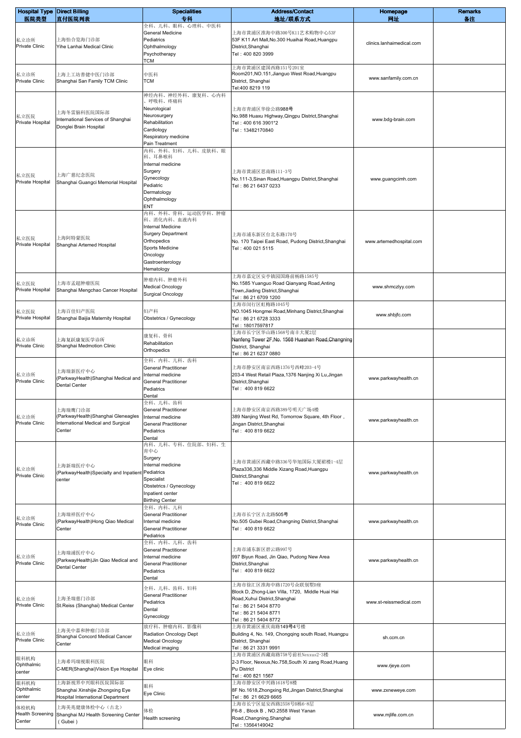| <b>Hospital Type Direct Billing</b>       |                                                                                                | <b>Specialities</b>                                                                                                                                                       | <b>Address/Contact</b>                                                                                                                                                              | Homepage                  | <b>Remarks</b> |
|-------------------------------------------|------------------------------------------------------------------------------------------------|---------------------------------------------------------------------------------------------------------------------------------------------------------------------------|-------------------------------------------------------------------------------------------------------------------------------------------------------------------------------------|---------------------------|----------------|
| 医院类型                                      | 直付医院列表                                                                                         | 专科<br>全科、儿科、眼科、心理科、中医科                                                                                                                                                    | 地址/联系方式                                                                                                                                                                             | 网址                        | 备注             |
| 私立诊所<br><b>Private Clinic</b>             | 上海怡合览海门诊部<br>Yihe Lanhai Medical Clinic                                                        | General Medicine<br>Pediatrics<br>Ophthalmology<br>Psychotherapy                                                                                                          | 上海市黄浦区淮海中路300号K11艺术购物中心53F<br>53F K11 Art Mall, No.300 Huaihai Road, Huangpu<br>District, Shanghai<br>Tel: 400 820 3999                                                             | clinics.lanhaimedical.com |                |
| 私立诊所<br>Private Clinic                    | 上海上工坊善健中医门诊部<br>Shanghai San Family TCM Clinic                                                 | TCM<br>中医科<br><b>TCM</b>                                                                                                                                                  | 上海市黄浦区建国西路151号201室<br>Room201, NO.151, Jianguo West Road, Huangpu<br>District, Shanghai<br>Tel:400 8219 119                                                                         | www.sanfamily.com.cn      |                |
| 私立医院<br>Private Hospital                  | 上海冬雷脑科医院国际部<br>nternational Services of Shanghai<br>Donglei Brain Hospital                     | 神经内科、神经外科、康复科、心内科<br>呼吸科、疼痛科<br>Neurological<br>Neurosurgery<br>Rehabilitation<br>Cardiology<br>Respiratory medicine<br>Pain Treatment                                    | 上海市青浦区华徐公路988号<br>No.988 Huaxu Highway, Qingpu District, Shanghai<br>Tel: 400 616 3901*2<br>Tel: 13482170840                                                                        | www.bdg-brain.com         |                |
| 私立医院<br>Private Hospital                  | 上海广慈纪念医院<br>Shanghai Guangci Memorial Hospital                                                 | 内科、外科、妇科、儿科、皮肤科、眼<br>科、耳鼻喉科<br>Internal medicine<br>Surgery<br>Gynecology<br>Pediatric<br>Dermatology<br>Ophthalmology<br>ENT                                             | 上海市黄浦区思南路111-3号<br>No.111-3, Sinan Road, Huangpu District, Shanghai<br>Tel: 86 21 6437 0233                                                                                         | www.guangcimh.com         |                |
| 私立医院<br>Private Hospital                  | 上海阿特蒙医院<br>Shanghai Artemed Hospital                                                           | 内科、外科、骨科、运动医学科、肿瘤<br>科、消化内科、血液内科<br><b>Internal Medicine</b><br><b>Surgery Department</b><br>Orthopedics<br>Sports Medicine<br>Oncology<br>Gastroenterology<br>Hematology | 上海市浦东新区台北东路170号<br>No. 170 Taipei East Road, Pudong District, Shanghai<br>Tel: 400 021 5115                                                                                         | www.artemedhospital.com   |                |
| 私立医院<br>Private Hospital                  | 上海市孟超肿瘤医院<br>Shanghai Mengchao Cancer Hospital                                                 | 肿瘤内科、肿瘤外科<br>Medical Oncology<br>Surgical Oncology                                                                                                                        | 上海市嘉定区安亭镇园国路前杨路1585号<br>No.1585 Yuanguo Road Qianyang Road, Anting<br>Town, Jiading District, Shanghai<br>Tel: 86 21 6709 1200                                                      | www.shmczlyy.com          |                |
| 私立医院<br>Private Hospital                  | 上海百佳妇产医院<br>Shanghai Baijia Maternity Hospital                                                 | 妇产科<br>Obstetrics / Gynecology                                                                                                                                            | 上海市闵行区虹梅路1045号<br>NO.1045 Hongmei Road, Minhang District, Shanghai<br>Tel: 86 21 6728 3333<br>Tel: 18017597817                                                                      | www.shbjfc.com            |                |
| 私立诊所<br>Private Clinic                    | 上海复跃康复医学诊所<br>Shanghai Medmotion Clinic                                                        | 康复科、骨科<br>Rehabilitation<br>Orthopedics                                                                                                                                   | 上海市长宁区华山路1568号南丰大厦2层<br>Nanfeng Tower 2F, No. 1568 Huashan Road, Changning<br>District, Shanghai<br>Tel: 86 21 6237 0880                                                            |                           |                |
| 私立诊所<br>Private Clinic                    | 上海瑞新医疗中心<br>(ParkwayHealth)Shanghai Medical and<br><b>Dental Center</b>                        | 全科、内科、儿科、齿科<br>General Practitioner<br>Internal medicine<br><b>General Practitioner</b><br>Pediatrics<br>Dental                                                           | 上海市静安区南京西路1376号西峰203-4号<br>203-4 West Retail Plaza, 1376 Nanjing Xi Lu, Jingan<br>District, Shanghai<br>Tel: 400 819 6622                                                           | www.parkwayhealth.cn      |                |
| 私立诊所<br><b>Private Clinic</b>             | 上海瑞鹰门诊部<br>(ParkwayHealth)Shanghai Gleneagles<br>International Medical and Surgical<br>Center  | 全科、儿科、齿科<br><b>General Practitioner</b><br>Internal medicine<br><b>General Practitioner</b><br>Pediatrics<br>Dental                                                       | 上海市静安区南京西路389号明天广场4楼<br>389 Nanjing West Rd, Tomorrow Square, 4th Floor,<br>Jingan District, Shanghai<br>Tel: 400 819 6622                                                          | www.parkwayhealth.cn      |                |
| 私立诊所<br>Private Clinic                    | 上海新瑞医疗中心<br>(ParkwayHealth)Specialty and Inpatient<br>center                                   | 内科、儿科、专科、住院部、妇科、生<br>育中心<br>Surgery<br>Internal medicine<br>Pediatrics<br>Specialist<br>Obstetrics / Gynecology<br>Inpatient center<br><b>Birthing Center</b>             | 上海市黄浦区西藏中路336号华旭国际大厦裙楼1-4层<br>Plaza336,336 Middle Xizang Road, Huangpu<br>District, Shanghai<br>Tel: 400 819 6622                                                                   | www.parkwayhealth.cn      |                |
| 私立诊所<br><b>Private Clinic</b>             | 上海瑞祥医疗中心<br>(ParkwayHealth)Hong Qiao Medical<br>Center                                         | 全科、内科、儿科<br><b>General Practitioner</b><br>Internal medicine<br><b>General Practitioner</b><br>Pediatrics                                                                 | 上海市长宁区古北路505号<br>No.505 Gubei Road, Changning District, Shanghai<br>Tel: 400 819 6622                                                                                               | www.parkwayhealth.cn      |                |
| 私立诊所<br>Private Clinic                    | 上海瑞浦医疗中心<br>(ParkwayHealth)Jin Qiao Medical and<br><b>Dental Center</b>                        | 全科、内科、儿科、齿科<br><b>General Practitioner</b><br>Internal medicine<br><b>General Practitioner</b><br>Pediatrics<br>Dental                                                    | 上海市浦东新区碧云路997号<br>997 Biyun Road, Jin Qiao, Pudong New Area<br>District, Shanghai<br>Tel: 400 819 6622                                                                              | www.parkwayhealth.cn      |                |
| 私立诊所<br>Private Clinic                    | 上海圣瑞慈门诊部<br>St.Reiss (Shanghai) Medical Center                                                 | 全科、儿科、齿科、妇科<br><b>General Practitioner</b><br>Pediatrics<br>Dental<br>Gynecology                                                                                          | 上海市徐汇区淮海中路1720号众联别墅D座<br>Block D, Zhong-Lian Villa, 1720, Middle Huai Hai<br>Road, Xuhui District, Shanghai<br>Tel: 86 21 5404 8770<br>Tel: 86 21 5404 8771<br>Tel: 86 21 5404 8772 | www.st-reissmedical.com   |                |
| 私立诊所<br><b>Private Clinic</b>             | 上海美中嘉和肿瘤门诊部<br>Shanghai Concord Medical Cancer<br>Center                                       | 放疗科、肿瘤内科、影像科<br>Radiation Oncology Dept<br><b>Medical Oncology</b><br>Medical imaging                                                                                     | 上海市黄浦区重庆南路149号4号楼<br>Building 4, No. 149, Chongqing south Road, Huangpu<br>District, Shanghai<br>Tel: 86 21 3331 9991                                                               | sh.ccm.cn                 |                |
| 眼科机构<br>Ophthalmic<br>center              | 上海希玛瑞视眼科医院<br>C-MER(Shanghai) Vision Eye Hospital                                              | 眼科<br>Eye clinic                                                                                                                                                          | 上海市黄浦区西藏南路758号前社Nexxus2-3楼<br>2-3 Floor, Nexxus, No. 758, South Xi zang Road, Huang<br>Pu District<br>Tel: 400 821 1567                                                             | www.rjeye.com             |                |
| 眼科机构<br>Ophthalmic<br>center              | 上海新视界中兴眼科医院国际部<br>Shanghai Xinshijie Zhongxing Eye<br><b>Hospital International Department</b> | 眼科<br>Eye Clinic                                                                                                                                                          | 上海市静安区中兴路1618号8楼<br>8F No.1618, Zhongxing Rd, Jingan District, Shanghai<br>Tel: 86 21 6629 6665                                                                                     | www.zxneweye.com          |                |
| 体检机构<br><b>Health Screening</b><br>Center | 上海美兆健康体检中心(古北)<br>Shanghai MJ Health Screening Center<br>(Gubei)                               | 体检<br>Health screening                                                                                                                                                    | 上海市长宁区延安西路2558号B栋6-8层<br>F6-8, Block B, NO.2558 West Yanan<br>Road, Changning, Shanghai<br>Tel: 13564149042                                                                         | www.mjlife.com.cn         |                |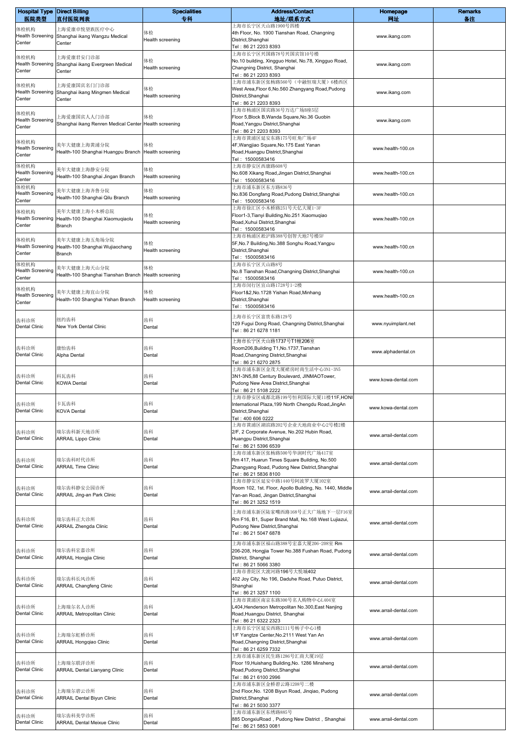| <b>Hospital Type Direct Billing</b><br>医院类型 |                                                       | <b>Specialities</b><br>专科 | <b>Address/Contact</b><br>地址/联系方式                                                     | Homepage<br>网址        | <b>Remarks</b><br>备注 |
|---------------------------------------------|-------------------------------------------------------|---------------------------|---------------------------------------------------------------------------------------|-----------------------|----------------------|
| 体检机构                                        | 直付医院列表<br>上海爱康卓悦望族医疗中心                                |                           | 上海市长宁区天山路1900号四楼                                                                      |                       |                      |
| <b>Health Screening</b>                     | Shanghai ikang Wangzu Medical                         | 体检                        | 4th Floor, No. 1900 Tianshan Road, Changning                                          | www.ikang.com         |                      |
| Center                                      | Center                                                | Health screening          | District, Shanghai<br>Tel: 86 21 2203 8393                                            |                       |                      |
| 体检机构                                        | 上海爱康君安门诊部                                             |                           | 上海市长宁区兴国路78号兴国宾馆10号楼                                                                  |                       |                      |
| <b>Health Screening</b>                     | Shanghai ikang Evergreen Medical                      | 体检                        | No.10 building, Xingguo Hotel, No.78, Xingguo Road,                                   | www.ikang.com         |                      |
| Center                                      | Center                                                | Health screening          | Changning District, Shanghai<br>Tel: 86 21 2203 8393                                  |                       |                      |
|                                             | 上海爱康国宾名门门诊部                                           |                           | 上海市浦东新区张杨路560号(中融恒瑞大厦)6楼西区                                                            |                       |                      |
| 体检机构<br><b>Health Screening</b>             | Shanghai ikang Mingmen Medical                        | 体检                        | West Area, Floor 6, No. 560 Zhangyang Road, Pudong                                    | www.ikang.com         |                      |
| Center                                      | Center                                                | Health screening          | District, Shanghai<br>Tel: 86 21 2203 8393                                            |                       |                      |
|                                             |                                                       |                           | 上海市杨浦区国宾路36号万达广场B座5层                                                                  |                       |                      |
| 体检机构<br><b>Health Screening</b>             | 上海爱康国宾人人门诊部                                           | 体检                        | Floor 5, Block B, Wanda Square, No. 36 Guobin                                         | www.ikang.com         |                      |
| Center                                      | Shanghai ikang Renren Medical Center Health screening |                           | Road, Yangpu District, Shanghai<br>Tel: 86 21 2203 8393                               |                       |                      |
|                                             |                                                       |                           | 上海市黄浦区延安东路175号旺角广场4F                                                                  |                       |                      |
| 体检机构<br><b>Health Screening</b>             | 美年大健康上海黄浦分院                                           | 体检                        | 4F, Wangjiao Square, No. 175 East Yanan                                               | www.health-100.cn     |                      |
| Center                                      | Health-100 Shanghai Huangpu Branch                    | Health screening          | Road, Huangpu District, Shanghai<br>Tel: 15000583416                                  |                       |                      |
| 体检机构                                        |                                                       | 体检                        | 上海市静安区西康路608号                                                                         |                       |                      |
| <b>Health Screening</b>                     | 美年大健康上海静安分院<br>Health-100 Shanghai Jingan Branch      | Health screening          | No.608 Xikang Road, Jingan District, Shanghai                                         | www.health-100.cn     |                      |
| Center<br>体检机构                              |                                                       |                           | Tel: 15000583416<br>上海市浦东新区东方路836号                                                    |                       |                      |
| <b>Health Screening</b>                     | 美年大健康上海齐鲁分院                                           | 体检                        | No.836 Dongfang Road, Pudong District, Shanghai                                       | www.health-100.cn     |                      |
| Center                                      | Health-100 Shanghai Qilu Branch                       | Health screening          | Tel: 15000583416                                                                      |                       |                      |
| 体检机构                                        | 美年大健康上海小木桥总院                                          | 体检                        | 上海市徐汇区小木桥路251号天亿大厦1-3F<br>Floor1-3, Tianyi Building, No.251 Xiaomuqiao                |                       |                      |
| <b>Health Screening</b>                     | Health-100 Shanghai Xiaomuqiaolu                      | Health screening          | Road, Xuhui District, Shanghai                                                        | www.health-100.cn     |                      |
| Center                                      | <b>Branch</b>                                         |                           | Tel: 15000583416                                                                      |                       |                      |
| 体检机构                                        | 美年大健康上海五角场分院                                          | 体检                        | 上海市杨浦区淞沪路388号创智天地7号楼5F                                                                |                       |                      |
| <b>Health Screening</b>                     | Health-100 Shanghai Wujiaochang                       | Health screening          | 5F, No.7 Building, No.388 Songhu Road, Yangpu<br>District, Shanghai                   | www.health-100.cn     |                      |
| Center                                      | Branch                                                |                           | Tel: 15000583416                                                                      |                       |                      |
| 体检机构<br><b>Health Screening</b>             | 美年大健康上海天山分院                                           | 体检                        | 上海市长宁区天山路8号                                                                           |                       |                      |
| Center                                      | Health-100 Shanghai Tianshan Branch                   | Health screening          | No.8 Tianshan Road, Changning District, Shanghai<br>Tel: 15000583416                  | www.health-100.cn     |                      |
| 体检机构                                        |                                                       |                           | 上海市闵行区宜山路1728号1-2楼                                                                    |                       |                      |
| <b>Health Screening</b>                     | 美年大健康上海宜山分院                                           | 体检                        | Floor1&2, No.1728 Yishan Road, Minhang                                                | www.health-100.cn     |                      |
| Center                                      | Health-100 Shanghai Yishan Branch                     | Health screening          | District, Shanghai<br>Tel: 15000583416                                                |                       |                      |
|                                             |                                                       |                           | 上海市长宁区富贵东路129号                                                                        |                       |                      |
| 齿科诊所                                        | 纽约齿科                                                  | 齿科                        | 129 Fugui Dong Road, Changning District, Shanghai                                     | www.nyuimplant.net    |                      |
| <b>Dental Clinic</b>                        | New York Dental Clinic                                | Dental                    | Tel: 86 21 6278 1181                                                                  |                       |                      |
|                                             |                                                       |                           | 上海市长宁区天山路1737号T1幢206室                                                                 |                       |                      |
| 齿科诊所                                        | 康怡齿科                                                  | 齿科                        | Room206, Building T1, No. 1737, Tianshan                                              | www.alphadental.cn    |                      |
| <b>Dental Clinic</b>                        | Alpha Dental                                          | Dental                    | Road, Changning District, Shanghai<br>Tel: 86 21 6270 2875                            |                       |                      |
|                                             |                                                       |                           | 上海市浦东新区金茂大厦裙房时尚生活中心3N1-3N5                                                            |                       |                      |
| 齿科诊所                                        | 科瓦齿科                                                  | 齿科                        | 3N1-3N5,88 Century Boulevard, JINMAOTower,                                            | www.kowa-dental.com   |                      |
| Dental Clinic                               | <b>KOWA Dental</b>                                    | Dental                    | Pudong New Area District, Shanghai<br>Tel: 86 21 5108 2222                            |                       |                      |
|                                             |                                                       |                           | 上海市静安区成都北路199号恒利国际大厦11楼11F,HONI                                                       |                       |                      |
| 齿科诊所                                        | 卡瓦齿科                                                  | 齿科                        | International Plaza, 199 North Chengdu Road, JingAn                                   | www.kowa-dental.com   |                      |
| <b>Dental Clinic</b>                        | <b>KOVA Dental</b>                                    | Dental                    | District, Shanghai<br>Tel: 400 606 0222                                               |                       |                      |
|                                             |                                                       |                           | 上海市黄浦区湖滨路202号企业天地商业中心2号楼2楼                                                            |                       |                      |
| 齿科诊所                                        | 瑞尔齿科新天地诊所                                             | 齿科                        | 2/F, 2 Corporate Avenue, No.202 Hubin Road,                                           | www.arrail-dental.com |                      |
| <b>Dental Clinic</b>                        | <b>ARRAIL Lippo Clinic</b>                            | Dental                    | Huangpu District, Shanghai<br>Tel: 86 21 5396 6539                                    |                       |                      |
|                                             |                                                       |                           | 上海市浦东新区张杨路500号华润时代广场417室                                                              |                       |                      |
| 齿科诊所                                        | 瑞尔齿科时代诊所                                              | 齿科                        | Rm 417, Huarun Times Square Building, No.500                                          | www.arrail-dental.com |                      |
| <b>Dental Clinic</b>                        | <b>ARRAIL Time Clinic</b>                             | Dental                    | Zhangyang Road, Pudong New District, Shanghai<br>Tel: 86 21 5836 8100                 |                       |                      |
|                                             |                                                       |                           | 上海市静安区延安中路1440号阿波罗大厦102室                                                              |                       |                      |
| 齿科诊所                                        | 瑞尔齿科静安公园诊所                                            | 齿科                        | Room 102, 1st. Floor, Apollo Building, No. 1440, Middle                               | www.arrail-dental.com |                      |
| Dental Clinic                               | ARRAIL Jing-an Park Clinic                            | Dental                    | Yan-an Road, Jingan District, Shanghai<br>Tel: 86 21 3252 1519                        |                       |                      |
|                                             |                                                       |                           | 上海市浦东新区陆家嘴西路168号正大广场地下一层F16室                                                          |                       |                      |
| 齿科诊所                                        | 瑞尔齿科正大诊所                                              | 齿科                        | Rm F16, B1, Super Brand Mall, No.168 West Lujiazui,                                   |                       |                      |
| Dental Clinic                               | <b>ARRAIL Zhengda Clinic</b>                          | Dental                    | Pudong New District, Shanghai                                                         | www.arrail-dental.com |                      |
|                                             |                                                       |                           | Tel: 86 21 5047 6878                                                                  |                       |                      |
|                                             |                                                       |                           | 上海市浦东新区福山路388号宏嘉大厦206-208室 Rm                                                         |                       |                      |
| 齿科诊所<br>Dental Clinic                       | 瑞尔齿科宏嘉诊所<br><b>ARRAIL Hongjia Clinic</b>              | 齿科<br>Dental              | 206-208, Hongjia Tower No.388 Fushan Road, Pudong<br>District, Shanghai               | www.arrail-dental.com |                      |
|                                             |                                                       |                           | Tel: 86 21 5066 3380                                                                  |                       |                      |
|                                             |                                                       |                           | 上海市普陀区大渡河路196号大悦城402                                                                  |                       |                      |
| 齿科诊所<br><b>Dental Clinic</b>                | 瑞尔齿科长风诊所<br><b>ARRAIL Changfeng Clinic</b>            | 齿科<br>Dental              | 402 Joy City, No 196, Daduhe Road, Putuo District,<br>Shanghai                        | www.arrail-dental.com |                      |
|                                             |                                                       |                           | Tel : 86 21 3257 1100                                                                 |                       |                      |
|                                             |                                                       |                           | 上海市黄浦区南京东路300号名人购物中心L404室                                                             |                       |                      |
| 齿科诊所<br>Dental Clinic                       | 上海瑞尔名人诊所<br><b>ARRAIL Metropolitan Clinic</b>         | 齿科<br>Dental              | L404, Henderson Metropolitan No.300, East Nanjing<br>Road, Huangpu District, Shanghai | www.arrail-dental.com |                      |
|                                             |                                                       |                           | Tel: 86 21 6322 2323                                                                  |                       |                      |
|                                             |                                                       |                           | 上海市长宁区延安西路2111号杨子中心1楼                                                                 |                       |                      |
| 齿科诊所<br>Dental Clinic                       | 上海瑞尔虹桥诊所<br>ARRAIL Hongqiao Clinic                    | 齿科<br>Dental              | 1/F Yangtze Center, No.2111 West Yan An<br>Road, Changning District, Shanghai         | www.arrail-dental.com |                      |
|                                             |                                                       |                           | Tel: 86 21 6259 7332                                                                  |                       |                      |
|                                             |                                                       |                           | 上海市浦东新区民生路1286号汇商大厦19层                                                                |                       |                      |
| 齿科诊所<br><b>Dental Clinic</b>                | 上海瑞尔联洋诊所<br><b>ARRAIL Dental Lianyang Clinic</b>      | 齿科<br>Dental              | Floor 19, Huishang Building, No. 1286 Minsheng<br>Road, Pudong District, Shanghai     | www.arrail-dental.com |                      |
|                                             |                                                       |                           | Tel: 86 21 6100 2996                                                                  |                       |                      |
|                                             |                                                       |                           | 上海市浦东新区金桥碧云路1208号二楼                                                                   |                       |                      |
| 齿科诊所<br><b>Dental Clinic</b>                | 上海瑞尔碧云诊所<br><b>ARRAIL Dental Biyun Clinic</b>         | 齿科<br>Dental              | 2nd Floor, No. 1208 Biyun Road, Jinqiao, Pudong<br>District, Shanghai                 | www.arrail-dental.com |                      |
|                                             |                                                       |                           | Tel: 86 21 5030 3377                                                                  |                       |                      |
| 齿科诊所                                        | 瑞尔齿科美学诊所                                              | 齿科                        | 上海市浦东新区东绣路885号                                                                        |                       |                      |
| <b>Dental Clinic</b>                        | <b>ARRAIL Dental Meixue Clinic</b>                    | Dental                    | 885 DongxiuRoad, Pudong New District, Shanghai<br>Tel: 86 21 5853 0081                | www.arrail-dental.com |                      |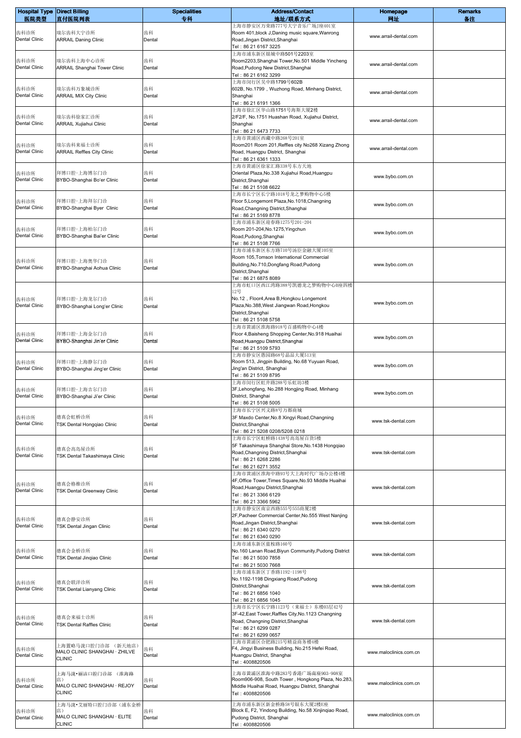| <b>Hospital Type Direct Billing</b> |                                                | <b>Specialities</b> | <b>Address/Contact</b>                                                                               | Homepage               | <b>Remarks</b> |
|-------------------------------------|------------------------------------------------|---------------------|------------------------------------------------------------------------------------------------------|------------------------|----------------|
| 医院类型                                | 直付医院列表                                         | 专科                  | 地址/联系方式<br>上海市静安区万荣路777号大宁音乐广场J座401室                                                                 | 网址                     | 备注             |
| 齿科诊所                                | 瑞尔齿科大宁诊所                                       | 齿科                  | Room 401, block J, Daning music square, Wanrong                                                      | www.arrail-dental.com  |                |
| <b>Dental Clinic</b>                | <b>ARRAIL Daning Clinic</b>                    | Dental              | Road, Jingan District, Shanghai<br>Tel: 86 21 6167 3225                                              |                        |                |
|                                     |                                                |                     | 上海市浦东新区银城中路501号2203室                                                                                 |                        |                |
| 齿科诊所                                | 瑞尔齿科上海中心诊所                                     | 齿科                  | Room2203, Shanghai Tower, No.501 Middle Yincheng                                                     | www.arrail-dental.com  |                |
| Dental Clinic                       | ARRAIL Shanghai Tower Clinic                   | Dental              | Road, Pudong New District, Shanghai<br>Tel: 86 21 6162 3299                                          |                        |                |
|                                     |                                                |                     | 上海市闵行区吴中路1799号602B                                                                                   |                        |                |
| 齿科诊所                                | 瑞尔齿科万象城诊所                                      | 齿科                  | 602B, No.1799, Wuzhong Road, Minhang District,                                                       | www.arrail-dental.com  |                |
| Dental Clinic                       | <b>ARRAIL MIX City Clinic</b>                  | Dental              | Shanghai<br>Tel: 86 21 6191 1366                                                                     |                        |                |
|                                     |                                                |                     | 上海市徐汇区华山路1751号海斯大厦2楼                                                                                 |                        |                |
| 齿科诊所                                | 瑞尔齿科徐家汇诊所                                      | 齿科                  | 2/F2/F, No.1751 Huashan Road, Xujiahui District,                                                     | www.arrail-dental.com  |                |
| <b>Dental Clinic</b>                | ARRAIL Xujiahui Clinic                         | Dental              | Shanghai<br>Tel: 86 21 6473 7733                                                                     |                        |                |
|                                     |                                                |                     | 上海市黄浦区西藏中路268号201室                                                                                   |                        |                |
| 齿科诊所<br>Dental Clinic               | 瑞尔齿科来福士诊所                                      | 齿科                  | Room201 Room 201, Reffles city No268 Xizang Zhong                                                    | www.arrail-dental.com  |                |
|                                     | <b>ARRAIL Reffles City Clinic</b>              | Dental              | Road, Huangpu District, Shanghai<br>Tel: 86 21 6361 1333                                             |                        |                |
|                                     |                                                |                     | 上海市黄浦区徐家汇路338号东方天地                                                                                   |                        |                |
| 齿科诊所<br>Dental Clinic               | 拜博口腔-上海博尔门诊<br>BYBO-Shanghai Bo'er Clinic      | 齿科<br>Dental        | Oriental Plaza, No.338 Xujiahui Road, Huangpu<br>District, Shanghai                                  | www.bybo.com.cn        |                |
|                                     |                                                |                     | Tel: 86 21 5108 6622                                                                                 |                        |                |
|                                     |                                                |                     | 上海市长宁区长宁路1018号龙之梦购物中心5楼                                                                              |                        |                |
| 齿科诊所<br><b>Dental Clinic</b>        | 拜博口腔-上海拜尔门诊<br>BYBO-Shanghai Byer Clinic       | 齿科<br>Dental        | Floor 5, Longemont Plaza, No. 1018, Changning<br>Road, Changning District, Shanghai                  | www.bybo.com.cn        |                |
|                                     |                                                |                     | Tel: 86 21 5169 8778                                                                                 |                        |                |
|                                     |                                                |                     | 上海市浦东新区迎春路1275号201-204                                                                               |                        |                |
| 齿科诊所<br><b>Dental Clinic</b>        | 拜博口腔-上海柏尔门诊<br>BYBO-Shanghai Bai'er Clinic     | 齿科<br>Dental        | Room 201-204, No. 1275, Yingchun<br>Road, Pudong, Shanghai                                           | www.bybo.com.cn        |                |
|                                     |                                                |                     | Tel: 86 21 5108 7766                                                                                 |                        |                |
|                                     |                                                |                     | 上海市浦东新区东方路710号汤臣金融大厦105室                                                                             |                        |                |
| 齿科诊所                                | 拜博口腔-上海奥华门诊                                    | 齿科                  | Room 105, Tomson International Commercial<br>Building, No.710, Dongfang Road, Pudong                 | www.bybo.com.cn        |                |
| <b>Dental Clinic</b>                | BYBO-Shanghai Aohua Clinic                     | Dental              | District, Shanghai                                                                                   |                        |                |
|                                     |                                                |                     | Tel: 86 21 6875 8089                                                                                 |                        |                |
|                                     |                                                |                     | 上海市虹口区西江湾路388号凯德龙之梦购物中心B座四楼<br>12号                                                                   |                        |                |
| 齿科诊所                                | 拜博口腔-上海龙尔门诊                                    | 齿科                  | No.12, Floor4, Area B, Hongkou Longemont                                                             | www.bybo.com.cn        |                |
| Dental Clinic                       | BYBO-Shanghai Long'er Clinic                   | Dental              | Plaza, No.388, West Jiangwan Road, Hongkou<br>District, Shanghai                                     |                        |                |
|                                     |                                                |                     | Tel: 86 21 5108 5758                                                                                 |                        |                |
|                                     |                                                |                     | 上海市黄浦区淮海路918号百盛购物中心4楼                                                                                |                        |                |
| 齿科诊所<br>Dental Clinic               | 拜博口腔-上海金尔门诊<br>BYBO-Shanghai Jin'er Clinic     | 齿科<br>Dental        | Floor 4, Baisheng Shopping Center, No. 918 Huaihai<br>Road, Huangpu District, Shanghai               | www.bybo.com.cn        |                |
|                                     |                                                |                     | Tel: 86 21 5109 5793                                                                                 |                        |                |
|                                     |                                                |                     | 上海市静安区愚园路68号晶品大厦513室                                                                                 |                        |                |
| 齿科诊所<br>Dental Clinic               | 拜博口腔-上海静尔门诊<br>BYBO-Shanghai Jing'er Clinic    | 齿科<br>Dental        | Room 513, Jingpin Building, No.68 Yuyuan Road,<br>Jing'an District, Shanghai                         | www.bybo.com.cn        |                |
|                                     |                                                |                     | Tel: 86 21 5109 8795                                                                                 |                        |                |
|                                     |                                                |                     | 上海市闵行区虹井路288号乐虹坊3楼<br>3F, Lehongfang, No.288 Hongjing Road, Minhang                                  |                        |                |
| 齿科诊所<br>Dental Clinic               | 拜博口腔-上海吉尔门诊<br>BYBO-Shanghai Ji'er Clinic      | 齿科<br>Dental        | District, Shanghai                                                                                   | www.bybo.com.cn        |                |
|                                     |                                                |                     | Tel: 86 21 5108 5005                                                                                 |                        |                |
| 齿科诊所                                | 德真会虹桥诊所                                        | 齿科                  | 上海市长宁区兴义路8号万都商城<br>3F Maxdo Center, No.8 Xingyi Road, Changning                                      |                        |                |
| <b>Dental Clinic</b>                | TSK Dental Hongqiao Clinic                     | Dental              | District, Shanghai                                                                                   | www.tsk-dental.com     |                |
|                                     |                                                |                     | Tel: 86 21 5208 0208/5208 0218                                                                       |                        |                |
|                                     |                                                |                     | 上海市长宁区虹桥路1438号高岛屋百货5楼<br>5F Takashimaya Shanghai Store, No. 1438 Hongqiao                            |                        |                |
| 齿科诊所<br><b>Dental Clinic</b>        | 德真会高岛屋诊所<br>TSK Dental Takashimaya Clinic      | 齿科<br>Dental        | Road, Changning District, Shanghai                                                                   | www.tsk-dental.com     |                |
|                                     |                                                |                     | Tel: 86 21 6268 2286<br>Tel: 86 21 6271 3552                                                         |                        |                |
|                                     |                                                |                     | 上海市黄浦区淮海中路93号大上海时代广场办公楼4楼                                                                            |                        |                |
| 齿科诊所                                | 德真会格维诊所                                        | 齿科                  | 4F, Office Tower, Times Square, No.93 Middle Huaihai                                                 |                        |                |
| <b>Dental Clinic</b>                | <b>TSK Dental Greenway Clinic</b>              | Dental              | Road, Huangpu District, Shanghai<br>Tel: 86 21 3366 6129                                             | www.tsk-dental.com     |                |
|                                     |                                                |                     | Tel: 86 21 3366 5962                                                                                 |                        |                |
|                                     |                                                |                     | 上海市静安区南京西路555号555商厦2楼                                                                                |                        |                |
| 齿科诊所                                | 德真会静安诊所                                        | 齿科                  | 2F, Pacheer Commercial Center, No.555 West Nanjing<br>Road, Jingan District, Shanghai                | www.tsk-dental.com     |                |
| Dental Clinic                       | TSK Dental Jingan Clinic                       | Dental              | Tel: 86 21 6340 0270                                                                                 |                        |                |
|                                     |                                                |                     | Tel: 86 21 6340 0290                                                                                 |                        |                |
| 齿科诊所                                | 德真会金桥诊所                                        | 齿科                  | 上海市浦东新区蓝桉路160号<br>No.160 Lanan Road, Biyun Community, Pudong District                                |                        |                |
| Dental Clinic                       | TSK Dental Jingiao Clinic                      | Dental              | Tel: 86 21 5030 7858                                                                                 | www.tsk-dental.com     |                |
|                                     |                                                |                     | Tel: 86 21 5030 7668<br>上海市浦东新区丁香路1192-1198号                                                         |                        |                |
|                                     |                                                |                     | No.1192-1198 Dingxiang Road, Pudong                                                                  |                        |                |
| 齿科诊所<br><b>Dental Clinic</b>        | 德真会联洋诊所<br>TSK Dental Lianyang Clinic          | 齿科<br>Dental        | District, Shanghai                                                                                   | www.tsk-dental.com     |                |
|                                     |                                                |                     | Tel: 86 21 6856 1040<br>Tel: 86 21 6856 1045                                                         |                        |                |
|                                     |                                                |                     | 上海市长宁区长宁路1123号(来福士)东楼03层42号                                                                          |                        |                |
| 齿科诊所                                | 德真会来福士诊所                                       | 齿科                  | 3F-42, East Tower, Raffles City, No. 1123 Changning                                                  |                        |                |
| Dental Clinic                       | <b>TSK Dental Raffles Clinic</b>               | Dental              | Road, Changning District, Shanghai<br>Tel: 86 21 6299 0287                                           | www.tsk-dental.com     |                |
|                                     |                                                |                     | Tel: 86 21 6299 0657                                                                                 |                        |                |
| 齿科诊所                                | 上海置略马泷口腔门诊部 (新天地店)                             | 齿科                  | 上海市黄浦区合肥路215号精益商务楼4楼<br>F4, Jingyi Business Building, No.215 Hefei Road,                             |                        |                |
| Dental Clinic                       | MALO CLINIC SHANGHAI · ZHILVE<br><b>CLINIC</b> | Dental              | Huangpu District, Shanghai                                                                           | www.maloclinics.com.cn |                |
|                                     |                                                |                     | Tel: 4008820506                                                                                      |                        |                |
|                                     | 上海马泷・丽洁口腔门诊部 (淮海路                              |                     | 上海市黄浦区淮海中路283号香港广场南座903-908室                                                                         |                        |                |
| 齿科诊所<br>Dental Clinic               | 店)<br>MALO CLINIC SHANGHAI · REJOY             | 齿科<br>Dental        | Room906-908, South Tower, Hongkong Plaza, No.283,<br>Middle Huaihai Road, Huangpu District, Shanghai | www.maloclinics.com.cn |                |
|                                     | <b>CLINIC</b>                                  |                     | Tel: 4008820506                                                                                      |                        |                |
|                                     | 上海马泷•艾丽特口腔门诊部(浦东金桥                             |                     | 上海市浦东新区新金桥路58号银东大厦2楼E座                                                                               |                        |                |
| 齿科诊所                                | 店)<br>MALO CLINIC SHANGHAI · ELITE             | 齿科                  | Block E, F2, Yindong Building, No.58 Xinjinqiao Road,                                                | www.maloclinics.com.cn |                |
| Dental Clinic                       | <b>CLINIC</b>                                  | Dental              | Pudong District, Shanghai<br>Tel: 4008820506                                                         |                        |                |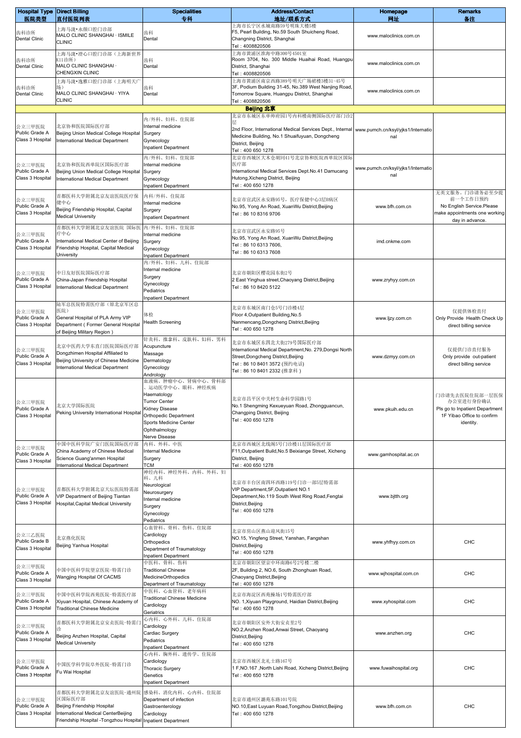| <b>Hospital Type Direct Billing</b><br>医院类型  | 直付医院列表                                                                                                                                       | <b>Specialities</b><br>专科                                                                                                                                                  | <b>Address/Contact</b><br>地址/联系方式                                                                                                                                                   | Homepage<br>网址                            | <b>Remarks</b><br>备注                                                                                        |
|----------------------------------------------|----------------------------------------------------------------------------------------------------------------------------------------------|----------------------------------------------------------------------------------------------------------------------------------------------------------------------------|-------------------------------------------------------------------------------------------------------------------------------------------------------------------------------------|-------------------------------------------|-------------------------------------------------------------------------------------------------------------|
| 齿科诊所<br>Dental Clinic                        | 上海马泷・永颜口腔门诊部<br>MALO CLINIC SHANGHAI · ISMILE<br><b>CLINIC</b>                                                                               | 齿科<br>Dental                                                                                                                                                               | 上海市长宁区水城南路59号明珠大楼5楼<br>F5, Pearl Building, No.59 South Shuicheng Road,<br>Changning District, Shanghai<br>Tel: 4008820506                                                           | www.maloclinics.com.cn                    |                                                                                                             |
| 齿科诊所<br>Dental Clinic                        | 上海马泷•澄心口腔门诊部(上海新世界<br>K11诊所)<br>MALO CLINIC SHANGHAI ·<br>CHENGXIN CLINIC                                                                    | 齿科<br>Dental                                                                                                                                                               | 上海市黄浦区淮海中路300号4501室<br>Room 3704, No. 300 Middle Huaihai Road, Huangpu<br>District, Shanghai<br>Tel: 4008820506                                                                     | www.maloclinics.com.cn                    |                                                                                                             |
| 齿科诊所<br><b>Dental Clinic</b>                 | 上海马泷•逸雅口腔门诊部(上海明天广<br>场)<br>MALO CLINIC SHANGHAI · YIYA<br><b>CLINIC</b>                                                                     | 齿科<br>Dental                                                                                                                                                               | 上海市黄浦区南京西路389号明天广场裙楼3楼31-45号<br>3F, Podium Building 31-45, No.389 West Nanjing Road,<br>Tomorrow Square, Huangpu District, Shanghai<br>Tel: 4008820506                              | www.maloclinics.com.cn                    |                                                                                                             |
|                                              |                                                                                                                                              |                                                                                                                                                                            | Beijing 北京                                                                                                                                                                          |                                           |                                                                                                             |
| 公立三甲医院<br>Public Grade A<br>Class 3 Hospital | 北京协和医院国际医疗部<br>Beijing Union Medical College Hospital<br>International Medical Department                                                    | 内/外科、妇科、住院部<br>Internal medicine<br>Surgery<br>Gynecology<br><b>Inpatient Department</b>                                                                                   | 北京市东城区东单帅府园1号内科楼南侧国际医疗部门诊2<br>2nd Floor, International Medical Services Dept., Internal<br>Medicine Building, No.1 Shuaifuyuan, Dongcheng<br>District, Beijing<br>Tel: 400 650 1278 | www.pumch.cn/ksyl/yjks1/Internatio<br>nal |                                                                                                             |
| 公立三甲医院<br>Public Grade A<br>Class 3 Hospital | 北京协和医院西单院区国际医疗部<br>Beijing Union Medical College Hospital<br>International Medical Department                                                | 内/外科、妇科、住院部<br>Internal medicine<br>Surgery<br>Gynecology<br><b>Inpatient Department</b>                                                                                   | 北京市西城区大木仓胡同41号北京协和医院西单院区国际<br>医疗部<br>International Medical Services Dept.No.41 Damucang<br>Hutong, Xicheng District, Beijing<br>Tel: 400 650 1278                                   | www.pumch.cn/ksyl/yjks1/Internatio<br>nal |                                                                                                             |
| 公立三甲医院<br>Public Grade A<br>Class 3 Hospital | 首都医科大学附属北京友谊医院医疗保<br>健中心<br>Beijing Friendship Hospital, Capital<br><b>Medical University</b>                                                | 内科/外科、住院部<br>Internal medicine<br>Surgery<br><b>Inpatient Department</b>                                                                                                   | 北京市宣武区永安路95号,医疗保健中心3层B病区<br>No.95, Yong An Road, XuanWu District, Beijing<br>Tel: 86 10 8316 9706                                                                                   | www.bfh.com.cn                            | 无英文服务。门诊请务必至少提<br>前一个工作日预约<br>No English Service.Please<br>make appointments one working<br>day in advance. |
| 公立三甲医院<br>Public Grade A<br>Class 3 Hospital | 首都医科大学附属北京友谊医院 国际医<br>疗中心<br>International Medical Center of Beijing<br>Friendship Hospital, Capital Medical<br><b>University</b>            | 内/外科、妇科、住院部<br>Internal medicine<br>Surgery<br>Gynecology<br><b>Inpatient Department</b>                                                                                   | 北京市宣武区永安路95号<br>No.95, Yong An Road, XuanWu District, Beijing<br>Tel: 86 10 6313 7606,<br>Tel: 86 10 6313 7608                                                                      | imd.cnkme.com                             |                                                                                                             |
| 公立三甲医院<br>Public Grade A<br>Class 3 Hospital | 中日友好医院国际医疗部<br>China-Japan Friendship Hospital<br>International Medical Department                                                           | 内/外科、妇科、儿科、住院部<br>Internal medicine<br>Surgery<br>Gynecology<br>Pediatrics<br><b>Inpatient Department</b>                                                                  | 北京市朝阳区樱花园东街2号<br>2 East Yinghua street, Chaoyang District, Beijing<br>Tel: 86 10 8420 5122                                                                                          | www.zryhyy.com.cn                         |                                                                                                             |
| 公立三甲医院<br>Public Grade A<br>Class 3 Hospital | 陆军总医院特需医疗部(原北京军区总<br>医院)<br>General Hospital of PLA Army VIP<br>Department (Former General Hospital<br>of Beijing Military Region)           | 体检<br><b>Health Screening</b>                                                                                                                                              | 北京市东城区南门仓5号门诊楼4层<br>Floor 4, Outpatient Building, No.5<br>Nanmencang, Dongcheng District, Beijing<br>Tel: 400 650 1278                                                              | www.ljzy.com.cn                           | 仅提供体检直付<br>Only Provide Health Check Up<br>direct billing service                                           |
| 公立三甲医院<br>Public Grade A<br>Class 3 Hospital | 北京中医药大学东直门医院国际医疗部<br>Dongzhimen Hospital Affiliated to<br>Beijing University of Chinese Medicine<br>International Medical Department         | 针灸科、推拿科、皮肤科、妇科、男科<br>Acupuncture<br>Massage<br>Dermatology<br>Gynecology<br>Andrology                                                                                      | 北京市东城区东四北大街279号国际医疗部<br>International Medical Department, No. 279, Dongsi North<br>Street, Dongcheng District, Beijing<br>Tel: 86 10 8401 3572 (预约电话)<br>Tel:86 10 8401 2332 (推拿科)  | www.dzmyy.com.cn                          | 仅提供门诊直付服务<br>Only provide out-patient<br>direct billing service                                             |
| 公立三甲医院<br>Public Grade A<br>Class 3 Hospital | 北京大学国际医院<br>Peking University International Hospital                                                                                         | 血液病、肿瘤中心、肾病中心、骨科部<br>运动医学中心、眼科、神经疾病<br>Haematology<br>I umor Center<br>Kidney Disease<br>Orthopedic Department<br>Sports Medicine Center<br>Ophthalmology<br>Nerve Disease | 北京市昌平区中关村生命科学园路1号<br>No.1 Shengming Kexueyuan Road, Zhongguancun,<br>Changping District, Beijing<br>Tel: 400 650 1278                                                               | www.pkuih.edu.cn                          | 门诊请先去医院住院部一层医保<br>办公室进行身份确认<br>Pls go to Inpatient Department<br>1F Yibao Office to confirm<br>identity.    |
| 公立三甲医院<br>Public Grade A<br>Class 3 Hospital | 中国中医科学院广安门医院国际医疗部<br>China Academy of Chinese Medical<br>Science Guang'anmen Hospital<br>International Medical Department                    | 内科、外科、中医<br>Internal Medicine<br>Surgery<br>TCM                                                                                                                            | 北京市西城区北线阁5号门诊楼11层国际医疗部<br>F11, Outpatient Build, No.5 Beixiange Street, Xicheng<br>District, Beijing<br>Tel: 400 650 1278                                                           | www.gamhospital.ac.cn                     |                                                                                                             |
| 公立三甲医院<br>Public Grade A<br>Class 3 Hospital | 首都医科大学附属北京天坛医院特需部<br>VIP Department of Beijing Tiantan<br>Hospital, Capital Medical University                                               | 神经内科、神经外科、内科、外科、妇<br>科、儿科<br>Neurological<br>Neurosurgery<br>Internal medicine<br>Surgery<br>Gynecology<br>Pediatrics                                                      | 北京市丰台区南四环西路119号门诊一部5层特需部<br>VIP Department, 5F, Outpatient NO.1<br>Department, No. 119 South West Ring Road, Fengtai<br>District, Beijing<br>Tel: 400 650 1278                      | www.bjtth.org                             |                                                                                                             |
| 公立三乙医院<br>Public Grade B<br>Class 3 Hospital | 北京燕化医院<br>Beijing Yanhua Hospital                                                                                                            | 心血管科、骨科、伤科、住院部<br>Cardiology<br>Orthopedics<br>Department of Traumatology<br><b>Inpatient Department</b>                                                                   | 北京市房山区燕山迎风街15号<br>NO.15, Yingfeng Street, Yanshan, Fangshan<br>District, Beijing<br>Tel: 400 650 1278                                                                               | www.yhfhyy.com.cn                         | CHC                                                                                                         |
| 公立三甲医院<br>Public Grade A<br>Class 3 Hospital | 中国中医科学院望京医院-特需门诊<br>Wangjing Hospital Of CACMS                                                                                               | 中医科、骨科、伤科<br><b>Traditional Chinese</b><br>MedicineOrthopedics<br>Department of Traumatology                                                                               | 北京市朝阳区望京中环南路6号2号楼二楼<br>2F, Building 2, NO.6, South Zhonghuan Road,<br>Chaoyang District, Beijing<br>Tel: 400 650 1278                                                               | www.wjhospital.com.cn                     | CHC                                                                                                         |
| 公立三甲医院<br>Public Grade A<br>Class 3 Hospital | 中国中医科学院西苑医院-特需医疗部<br>Xiyuan Hospital, Chinese Academy of<br><b>Traditional Chinese Medicine</b>                                              | 中医科、心血管科、老年病科<br><b>Traditional Chinese Medicine</b><br>Cardiology<br>Geriatrics                                                                                           | 北京市海淀区西苑操场1号特需医疗部<br>NO. 1, Xiyuan Playground, Haidian District, Beijing<br>Tel: 400 650 1278                                                                                       | www.xyhospital.com                        | CHC                                                                                                         |
| 公立三甲医院<br>Public Grade A<br>Class 3 Hospital | 首都医科大学附属北京安贞医院-特需门<br>Beijing Anzhen Hospital, Capital<br><b>Medical University</b>                                                          | 心内科、心外科、儿科、住院部<br>Cardiology<br>Cardiac Surgery<br>Pediatrics<br>Inpatient Department                                                                                      | 北京市朝阳区安外大街安贞里2号<br>NO.2, Anzhen Road, Anwai Street, Chaoyang<br>District, Beijing<br>Tel: 400 650 1278                                                                              | www.anzhen.org                            | CHC                                                                                                         |
| 公立三甲医院<br>Public Grade A<br>Class 3 Hospital | 中国医学科学院阜外医院-特需门诊<br>Fu Wai Hospital                                                                                                          | 心内科、胸外科、遗传学、住院部<br>Cardiology<br><b>Thoracic Surgery</b><br>Genetics<br><b>Inpatient Department</b>                                                                        | 北京市西城区北礼士路167号<br>1 F, NO.167, North Lishi Road, Xicheng District, Beijing<br>Tel: 400 650 1278                                                                                     | www.fuwaihospital.org                     | CHC                                                                                                         |
| 公立三甲医院<br>Public Grade A<br>Class 3 Hospital | 首都医科大学附属北京友谊医院-通州院<br>区国际医疗部<br>Beijing Friendship Hospital<br>International Medical CenterBeijing<br>Friendship Hospital -Tongzhou Hospital | 感染科、消化内科、心内科、住院部<br>Department of infection<br>Gastroenterology<br>Cardiology<br><b>Inpatient Department</b>                                                               | 北京市通州区潞苑东路101号院<br>NO.10, East Luyuan Road, Tongzhou District, Beijing<br>Tel: 400 650 1278                                                                                         | www.bfh.com.cn                            | CHC                                                                                                         |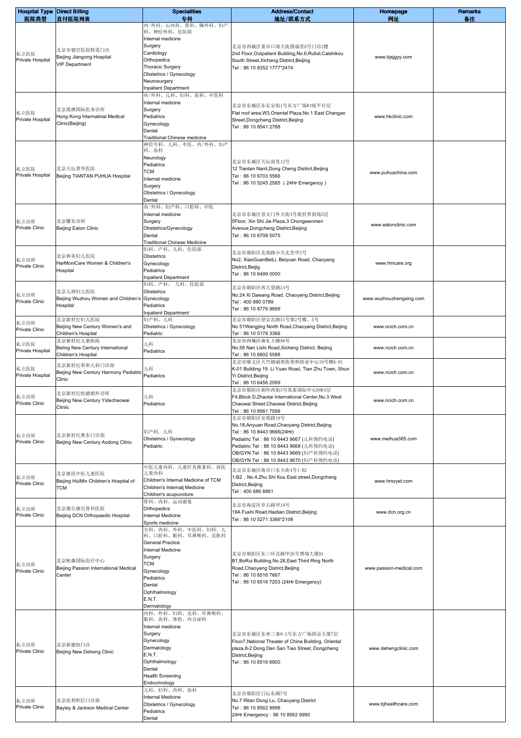| <b>Hospital Type Direct Billing</b> |                                                        | <b>Specialities</b>                                     | <b>Address/Contact</b>                                                                             | Homepage                | <b>Remarks</b> |
|-------------------------------------|--------------------------------------------------------|---------------------------------------------------------|----------------------------------------------------------------------------------------------------|-------------------------|----------------|
| 医院类型                                | 直付医院列表                                                 | 专科<br>内/外科、心内科、骨科、胸外科、妇产<br>科、神经外科、住院部                  | 地址/联系方式                                                                                            | 网址                      | 备注             |
|                                     |                                                        | Internal medicine                                       |                                                                                                    |                         |                |
| 私立医院                                | 北京市健宫医院特需门诊                                            | Surgery<br>Cardiology                                   | 北京市西城区菜市口南大街儒福里6号门诊2楼<br>2nd Floor, Outpatient Building, No.6, Rufuli, Caishikou                   |                         |                |
| Private Hospital                    | Beijing Jiangong Hospital<br><b>VIP Department</b>     | Orthopedics<br><b>Thoracic Surgery</b>                  | South Street, Xicheng District, Beijing                                                            | www.bjsjgyy.com         |                |
|                                     |                                                        | Obstetrics / Gynecology                                 | Tel: 86 10 8352 1777*2474                                                                          |                         |                |
|                                     |                                                        | Neurosurgery<br><b>Inpatient Department</b>             |                                                                                                    |                         |                |
|                                     |                                                        | 内/外科、儿科、妇科、齿科、中医科                                       |                                                                                                    |                         |                |
|                                     | 北京港澳国际医务诊所                                             | Internal medicine<br>Surgery                            | 北京市东城区东长安街1号东方广场W3座平台层                                                                             |                         |                |
| 私立医院<br>Private Hospital            | Hong Kong Internatinal Medical                         | Pediatrics                                              | Flat roof area, W3, Oriental Plaza, No. 1 East Changan<br>Street, Dongcheng District, Beijing      | www.hkclinic.com        |                |
|                                     | Clinic(Beijing)                                        | Gynecology<br>Dental                                    | Tel: 86 10 8541 2788                                                                               |                         |                |
|                                     |                                                        | Traditional Chinese medicine<br>神经专科、儿科、中医、内/外科、妇产      |                                                                                                    |                         |                |
|                                     |                                                        | 科、齿科                                                    |                                                                                                    |                         |                |
|                                     |                                                        | Neurology<br>Pediatrics                                 | 北京市东城区天坛南里12号                                                                                      |                         |                |
| 私立医院<br>Private Hospital            | 北京天坛普华医院<br>Beijing TIANTAN PUHUA Hospital             | <b>TCM</b><br>Internal medicine                         | 12 Tiantan Nanli, Dong Cheng District, Beijing<br>Tel: 86 10 6703 5566                             | www.puhuachina.com      |                |
|                                     |                                                        | Surgery                                                 | Tel: 86 10 5245 2585 (24Hr Emergency)                                                              |                         |                |
|                                     |                                                        | Obstetrics / Gynecology<br>Dental                       |                                                                                                    |                         |                |
|                                     |                                                        | 内/外科、妇产科、口腔科、中医                                         |                                                                                                    |                         |                |
| 私立诊所                                | 北京耀东诊所                                                 | Internal medicine<br>Surgery                            | 北京市东城区崇文门外大街3号新世界商场5层<br>5Floor, Xin Shi Jie Plaza,3 Chongwenmen                                   |                         |                |
| <b>Private Clinic</b>               | Beijing Eaton Clinic                                   | Obstetrics/Gynecology                                   | Avenue, Dongcheng District, Beijing<br>Tel: 86 10 6708 5075                                        | www.eatonclinic.com     |                |
|                                     |                                                        | Dental<br><b>Traditional Chinese Medicine</b>           |                                                                                                    |                         |                |
|                                     | 北京和美妇儿医院                                               | 妇科、产科、儿科、住院部<br>Obstetrics                              | 北京市朝阳区北苑路小关北里甲2号                                                                                   |                         |                |
| 私立诊所<br><b>Private Clinic</b>       | HarMoniCare Women & Children's                         | Gynecology                                              | No2, XiaoGuanBeiLi, Beiyuan Road, Chaoyang<br>District, Beijig                                     | www.hmcare.org          |                |
|                                     | Hospital                                               | Pediatrics<br><b>Inpatient Department</b>               | Tel: 86 10 6499 0000                                                                               |                         |                |
|                                     |                                                        | 妇科、产科、<br>儿科、住院部                                        | 北京市朝阳区西大望路24号                                                                                      |                         |                |
| 私立诊所<br><b>Private Clinic</b>       | 北京五洲妇儿医院<br>Beijing Wuzhou Women and Children's        | Obstetrics<br>Gynecology                                | No.24 Xi Dawang Road, Chaoyang District, Beijing<br>Tel: 400 890 0789                              | www.wuzhouzhengxing.com |                |
|                                     | Hospital                                               | Pediatrics<br><b>Inpatient Department</b>               | Tel: 86 10 8776 9899                                                                               |                         |                |
| 私立诊所                                | 北京新世纪妇儿医院                                              | 妇产科、儿科                                                  | 北京市朝阳区望京北路51号第2号楼, 5号                                                                              |                         |                |
| Private Clinic                      | Beijing New Century Women's and<br>Children's Hospital | Obstetrics / Gynecology<br>Pediatric                    | No 51 Wangjing North Road, Chaoyang District, Beijing<br>Tel: 86 10 5178 3366                      | www.ncich.com.cn        |                |
| 私立医院                                | 北京新世纪儿童医院<br>Beiing New Century International          | 儿科                                                      | 北京市西城区南礼士路56号<br>No.56 Nan Lishi Road, Xicheng District, Beijing                                   | www.ncich.com.cn        |                |
| Private Hospital                    | Children's Hospital                                    | Pediatrics                                              | Tel: 86 10 6802 5588                                                                               |                         |                |
| 私立医院                                | 北京新世纪荣和儿科门诊部                                           | 儿科                                                      | 北京市顺义区天竺镇丽苑街荣和商业中心19号楼K-01<br>K-01 Building 19. Li Yuan Road, Tian Zhu Town, Shun                  |                         |                |
| Private Hospital                    | Beijing New Century Harmony Pediatric<br>Clinic        | Pediatrics                                              | Yi District, Beijing<br>Tel: 86 10 6456 2599                                                       | www.ncich.com.cn        |                |
|                                     | 北京新世纪怡德朝外诊所                                            |                                                         | 北京市朝阳区朝外西街3号兆泰国际中心D座4层                                                                             |                         |                |
| 私立诊所<br>Private Clinic              | Beijing New Century Yidechaowai                        | 儿科<br>Pediatrics                                        | F4, Block D, Zhaotai International Center, No. 3 West<br>Chaowai Street, Chaowai District, Beijing | www.ncich.com.cn        |                |
|                                     | Cliniic                                                |                                                         | Tel: 86 10 8561 7599<br>北京市朝阳区安苑路18号                                                               |                         |                |
|                                     |                                                        |                                                         | No.18, Anyuan Road, Chaoyang District, Beijing                                                     |                         |                |
| 私立诊所                                | 北京新世纪奥东门诊部                                             | 妇产科, 儿科<br>Obstetrics / Gynecology                      | Tel: 86 10 8443 9666(24Hr)<br>Pediatric Tel: 86 10 8443 9667 (儿科预约电话)                              | www.meihua365.com       |                |
| <b>Private Clinic</b>               | Beijing New Century Aodong Clinic                      | Pediatric                                               | Pediatric Tel: 86 10 8443 9668 (儿科预约电话)                                                            |                         |                |
|                                     |                                                        |                                                         | OB/GYN Tel: 86 10 8443 9669 (妇产科预约电话)<br>OB/GYN Tel: 86 10 8443 9670 (妇产科预约电话)                     |                         |                |
|                                     | 北京惠民中医儿童医院                                             | 中医儿童内科、儿童针灸推拿科、西医<br>儿童内科                               | 北京市东城区珠市口东大街4号1-B2                                                                                 |                         |                |
| 私立诊所<br>Private Clinic              | Beijing HuiMin Children's Hospital of                  | Children's Internal Medicine of TCM                     | 1-B2, No.4, Zhu Shi Kou East street, Dongcheng<br>District, Beijing                                | www.hmzyet.com          |                |
|                                     | <b>TCM</b>                                             | Children's Internalj Medicine<br>Children's acupuncture | Tel: 400 686 8861                                                                                  |                         |                |
|                                     | 北京德尔康尼骨科医院                                             | 骨科、内科、运动康复                                              | 北京市海淀区阜石路甲19号                                                                                      |                         |                |
| 私立诊所<br>Private Clinic              | Beijing DCN Orthopaedic Hospital                       | Orthopedics<br>Internal Medicine                        | 19A Fushi Road, Haidian District, Beijing<br>Tel: 86 10 5271 3366*2108                             | www.dcn.org.cn          |                |
|                                     |                                                        | Sports medicine<br>全科、内科、外科、中医科、妇科、儿                    |                                                                                                    |                         |                |
|                                     |                                                        | 科、口腔科、眼科、耳鼻喉科、皮肤科<br><b>General Practice</b>            |                                                                                                    |                         |                |
|                                     |                                                        | <b>Internal Medicine</b>                                | 北京市朝阳区东三环北路甲26号博瑞大厦B1                                                                              |                         |                |
| 私立诊所                                | 北京帕森国际医疗中心                                             | Surgery<br><b>TCM</b>                                   | B1, BoRui Building, No.26, East Third Ring North                                                   |                         |                |
| <b>Private Clinic</b>               | Beijing Passion International Medical<br>Center        | Gynecology                                              | Road, Chaoyang District, Beijing<br>Tel: 86 10 6516 7667                                           | www.passion-medical.com |                |
|                                     |                                                        | Pediatrics<br>Dental                                    | Tel: 86 10 6516 7203 (24Hr Emergency)                                                              |                         |                |
|                                     |                                                        | Ophthalmology                                           |                                                                                                    |                         |                |
|                                     |                                                        | E.N.T.<br>Dermatology                                   |                                                                                                    |                         |                |
|                                     |                                                        | 内科、外科、妇科、皮科、耳鼻喉科、<br>眼科、齿科、体检、内分泌科                      |                                                                                                    |                         |                |
|                                     |                                                        | Internal medicine                                       |                                                                                                    |                         |                |
|                                     |                                                        | Surgery<br>Gynecology                                   | 北京市东城区东单三条8-2号东方广场国话大厦7层<br>Floor7, National Theater of China Building, Oriental                   |                         |                |
| 私立诊所<br>Private Clinic              | 北京新德恒门诊<br>Beijing New Deheng Clinic                   | Dermatology<br>E.N.T.                                   | plaza, 8-2 Dong Dan San Tiao Street, Dongcheng                                                     | www.dehengclinic.com    |                |
|                                     |                                                        | Ophthalmology                                           | District, Beijing<br>Tel: 86 10 6516 6900                                                          |                         |                |
|                                     |                                                        | Dental<br><b>Health Screening</b>                       |                                                                                                    |                         |                |
|                                     |                                                        | Endocrinology<br>儿科、妇科、内科、齿科                            |                                                                                                    |                         |                |
| 私立诊所                                | 北京庇利积臣门诊部                                              | <b>Internal Medicine</b>                                | 北京市朝阳区日坛东路7号<br>No.7 Ritan Dong Lu, Chaoyang District                                              |                         |                |
| <b>Private Clinic</b>               | Bayley & Jackson Medical Center                        | Obstetrics / Gynecology<br>Pediatrics                   | Tel: 86 10 8562 9998                                                                               | www.bjhealthcare.com    |                |
|                                     |                                                        | Dental                                                  | 24Hr Emergency: 86 10 8562 9990                                                                    |                         |                |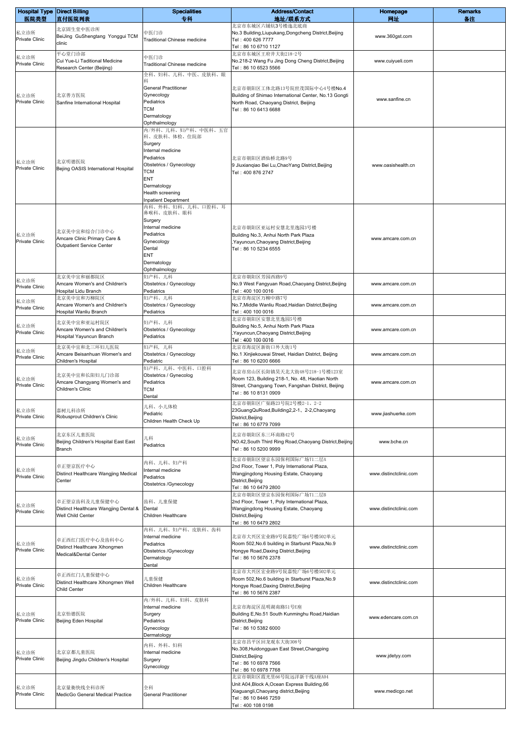| <b>Hospital Type Direct Billing</b><br>医院类型 | 直付医院列表                                                                             | <b>Specialities</b><br>专科                                                                                                                                             | <b>Address/Contact</b><br>地址/联系方式                                                                                                                               | Homepage<br>网址         | <b>Remarks</b><br>备注 |
|---------------------------------------------|------------------------------------------------------------------------------------|-----------------------------------------------------------------------------------------------------------------------------------------------------------------------|-----------------------------------------------------------------------------------------------------------------------------------------------------------------|------------------------|----------------------|
| 私立诊所<br>Private Clinic                      | 北京固生堂中医诊所<br>BeiJing GuShengtang Yonggui TCM<br>clinic                             | 中医门诊<br>Traditional Chinese medicine                                                                                                                                  | 北京市东城区六铺炕3号楼迤北底商<br>No.3 Building, Liupukang, Dongcheng District, Beijing<br>Tel: 400 626 7777<br>Tel: 86 10 6710 1127                                          | www.360gst.com         |                      |
| 私立诊所<br>Private Clinic                      | 平心堂门诊部<br>Cui Yue-Li Taditional Medicine<br>Research Center (Beijing)              | 中医门诊<br><b>Traditional Chinese medicine</b>                                                                                                                           | 北京市东城区王府井大街218-2号<br>No.218-2 Wang Fu Jing Dong Cheng District, Beijing<br>Tel: 86 10 6523 5566                                                                 | www.cuiyueli.com       |                      |
| 私立诊所<br>Private Clinic                      | 北京善方医院<br>Sanfine International Hospital                                           | 全科、妇科、儿科、中医、皮肤科、眼<br>科<br><b>General Practitioner</b><br>Gynecology<br>Pediatrics<br>TCM<br>Dermatology<br>Ophthalmology<br>内/外科、儿科、妇产科、中医科、五官                        | 北京市朝阳区工体北路13号院世茂国际中心4号楼No.4<br>Building of Shimao International Center, No.13 Gongti<br>North Road, Chaoyang District, Beijing<br>Tel: 86 10 6413 6688          | www.sanfine.cn         |                      |
| 私立诊所<br><b>Private Clinic</b>               | 北京明德医院<br>Bejing OASIS International Hospital                                      | 科、皮肤科、体检、住院部<br>Surgery<br>Internal medicine<br>Pediatrics<br>Obstetrics / Gynecology<br>TCM<br>ENT<br>Dermatology<br>Health screening<br><b>Inpatient Department</b> | 北京市朝阳区酒仙桥北路9号<br>9 Jiuxianqiao Bei Lu, ChaoYang District, Beijing<br>Tel: 400 876 2747                                                                          | www.oasishealth.cn     |                      |
| 私立诊所<br><b>Private Clinic</b>               | 北京美中宜和综合门诊中心<br>Amcare Clinic Primary Care &<br><b>Outpatient Service Center</b>   | 内科、外科、妇科、儿科、口腔科、耳<br>鼻喉科、皮肤科、眼科<br>Surgery<br>Internal medicine<br>Pediatrics<br>Gynecology<br>Dental<br><b>ENT</b><br>Dermatology                                    | 北京市朝阳区亚运村安慧北里逸园3号楼<br>Building No.3, Anhui North Park Plaza<br>Yayuncun, Chaoyang District, Beijing<br>Tel: 86 10 5234 6555                                     | www.amcare.com.cn      |                      |
| 私立诊所<br><b>Private Clinic</b><br>私立诊所       | 北京美中宜和丽都院区<br>Amcare Women's and Children's<br>Hospital Lidu Branch<br>北京美中宜和万柳院区  | Ophthalmology<br>妇产科、儿科<br>Obstetrics / Gynecology<br>Pediatrics<br>妇产科、儿科                                                                                            | 北京市朝阳区芳园西路9号<br>No.9 West Fangyuan Road, Chaoyang District, Beijing<br>Tel: 400 100 0016<br>北京市海淀区万柳中路7号                                                        | www.amcare.com.cn      |                      |
| <b>Private Clinic</b>                       | Amcare Women's and Children's<br>Hospital Wanliu Branch                            | Obstetrics / Gynecology<br>Pediatrics                                                                                                                                 | No.7, Middle Wanliu Road, Haidian District, Beijing<br>Tel: 400 100 0016                                                                                        | www.amcare.com.cn      |                      |
| 私立诊所<br>Private Clinic                      | 北京美中宜和亚运村院区<br>Amcare Women's and Children's<br>Hospital Yayuncun Branch           | 妇产科、儿科<br>Obstetrics / Gynecology<br>Pediatrics                                                                                                                       | 北京市朝阳区安慧北里逸园5号楼<br>Building No.5, Anhui North Park Plaza<br>Yayuncun, Chaoyang District, Beijing<br>Tel: 400 100 0016                                           | www.amcare.com.cn      |                      |
| 私立诊所<br>Private Clinic                      | 北京美中宜和北三环妇儿医院<br>Amcare Beisanhuan Women's and<br>Children's Hospital              | 妇产科, 儿科<br>Obstetrics / Gynecology<br>Pediatric                                                                                                                       | 北京市海淀区新街口外大街1号<br>No.1 Xinjiekouwai Street, Haidian District, Beijing<br>Tel: 86 10 6200 6666                                                                   | www.amcare.com.cn      |                      |
| 私立诊所<br><b>Private Clinic</b>               | 北京美中宜和长阳妇儿门诊部<br>Amcare Changyang Women's and<br>Children's Clinic                 | 妇产科、儿科、中医科、口腔科<br>Obstetrics / Gynecolog<br>Pediatrics<br>TCM<br>Dental                                                                                               | 北京市房山区长阳镇昊天北大街48号218-1号楼123室<br>Room 123, Building 218-1, No. 48, Haotian North<br>Street, Changyang Town, Fangshan District, Beijing<br>Tel: 86 10 8131 0909   | www.amcare.com.cn      |                      |
| 私立诊所<br><b>Private Clinic</b>               | 嘉树儿科诊所<br>Robusprout Children's Clinic                                             | 儿科、小儿体检<br>Pediatric<br>Children Health Check Up                                                                                                                      | 北京市朝阳区广渠路23号院2号楼2-1、2-2<br>23GuangQuRoad,Building2,2-1、2-2,Chaoyang<br>District, Beijing<br>Tel: 86 10 6779 7099                                                | www.jiashuerke.com     |                      |
| 私立诊所<br>Private Clinic                      | 北京东区儿童医院<br>Beijing Children's Hospital East East<br>Branch                        | 儿科<br>Pediatrics                                                                                                                                                      | 北京市朝阳区东三环南路42号<br>NO.42, South Third Ring Road, Chaoyang District, Beijing<br>Tel: 86 10 5200 9999                                                              | www.bche.cn            |                      |
| 私立诊所<br>Private Clinic                      | 卓正望京医疗中心<br>Distinct Healthcare Wangjing Medical<br>Center                         | 内科、儿科、妇产科<br>Internal medicine<br>Pediatrics<br>Obstetrics /Gynecology                                                                                                | 北京市朝阳区望京东园保利国际广场T1二层A<br>2nd Floor, Tower 1, Poly International Plaza,<br>Wangjingdong Housing Estate, Chaoyang<br>District, Beijing<br>Tel: 86 10 6479 2800    | www.distinctclinic.com |                      |
| 私立诊所<br><b>Private Clinic</b>               | 卓正望京齿科及儿童保健中心<br>Distinct Healthcare Wangjing Dental &<br><b>Well Child Center</b> | 齿科、儿童保健<br>Dental<br>Children Healthcare                                                                                                                              | 北京市朝阳区望京东园保利国际广场T1二层B<br>2nd Floor, Tower 1, Poly International Plaza,<br>Wangjingdong Housing Estate, Chaoyang<br>District, Beijing<br>Tel: 86 10 6479 2802    | www.distinctclinic.com |                      |
| 私立诊所<br>Private Clinic                      | 卓正西红门医疗中心及齿科中心<br>Distinct Healthcare Xihongmen<br>Medical&Dental Center           | 内科、儿科、妇产科、皮肤科、齿科<br>Internal medicine<br>Pediatrics<br>Obstetrics /Gynecology<br>Dermatology<br>Dental                                                                | 北京市大兴区宏业路9号院嘉悦广场6号楼502单元<br>Room 502, No.6 building in Starburst Plaza, No.9<br>Hongye Road, Daxing District, Beijing<br>Tel: 86 10 5676 2378                   | www.distinctclinic.com |                      |
| 私立诊所<br>Private Clinic                      | 卓正西红门儿童保健中心<br>Distinct Healthcare Xihongmen Well<br><b>Child Center</b>           | 儿童保健<br>Children Healthcare                                                                                                                                           | 北京市大兴区宏业路9号院嘉悦广场6号楼502单元<br>Room 502, No.6 building in Starburst Plaza, No.9<br>Hongye Road, Daxing District, Beijing<br>Tel: 86 10 5676 2387                   | www.distinctclinic.com |                      |
| 私立诊所<br><b>Private Clinic</b>               | 北京怡德医院<br>Beijing Eden Hospital                                                    | 内/外科、儿科、妇科、皮肤科<br>Internal medicine<br>Surgery<br>Pediatrics<br>Gynecology<br>Dermatology                                                                             | 北京市海淀区昆明湖南路51号E座<br>Building E, No.51 South Kunminghu Road, Haidian<br>District, Beijing<br>Tel: 86 10 5382 6000                                                | www.edencare.com.cn    |                      |
| 私立诊所<br><b>Private Clinic</b>               | 北京京都儿童医院<br>Beijing Jingdu Children's Hospital                                     | 内科、外科、妇科<br>Internal medicine<br>Surgery<br>Gynecology                                                                                                                | 北京市昌平区回龙观东大街308号<br>No.308, Huidongguan East Street, Changping<br>District, Beijing<br>Tel: 86 10 6978 7566<br>Tel: 86 10 6978 7768                             | www.jdetyy.com         |                      |
| 私立诊所<br>Private Clinic                      | 北京量衡快线全科诊所<br>MedicGo General Medical Practice                                     | 全科<br><b>General Practitioner</b>                                                                                                                                     | 北京市朝阳区霞光里66号院远洋新干线A座A04<br>Unit A04, Block A, Ocean Express Building, 66<br>Xiaguangli, Chaoyang district, Beijing<br>Tel: 86 10 8446 7259<br>Tel: 400 108 0198 | www.medicgo.net        |                      |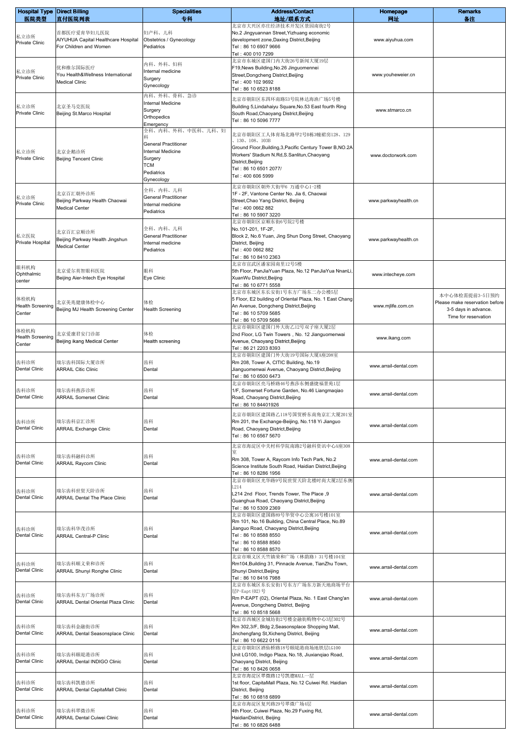| <b>Hospital Type Direct Billing</b><br>医院类型 | 直付医院列表                                                        | <b>Specialities</b><br>专科               | <b>Address/Contact</b>                                                                                   | Homepage<br>网址        | <b>Remarks</b><br>备注                             |
|---------------------------------------------|---------------------------------------------------------------|-----------------------------------------|----------------------------------------------------------------------------------------------------------|-----------------------|--------------------------------------------------|
|                                             | 首都医疗爱育华妇儿医院                                                   | 妇产科、儿科                                  | 地址/联系方式<br>北京市大兴区亦庄经济技术开发区景园南街2号<br>No.2 Jingyuannan Street, Yizhuang economic                           |                       |                                                  |
| 私立诊所<br>Private Clinic                      | AIYUHUA Capital Healthcare Hospital<br>For Children and Women | Obstetrics / Gynecology<br>Pediatrics   | development zone, Daxing District, Beijing<br>Tel: 86 10 6907 9666<br>Tel: 400 010 7299                  | www.aiyuhua.com       |                                                  |
|                                             |                                                               | 内科、外科、妇科                                | 北京市东城区建国门内大街26号新闻大厦19层                                                                                   |                       |                                                  |
| 私立诊所                                        | 优和维尔国际医疗<br>You Health&Wellness International                 | Internal medicine                       | F19, News Building, No. 26 Jinguomennei<br>Street, Dongcheng District, Beijing                           | www.youheweier.cn     |                                                  |
| Private Clinic                              | <b>Medical Clinic</b>                                         | Surgery<br>Gynecology                   | Tel: 400 102 9692<br>Tel: 86 10 6523 8188                                                                |                       |                                                  |
|                                             |                                                               | 内科、外科、骨科、急诊                             | 北京市朝阳区东四环南路53号院林达海渔广场5号楼                                                                                 |                       |                                                  |
| 私立诊所<br>Private Clinic                      | 北京圣马克医院                                                       | Internal Medicine<br>Surgery            | Building 5, Lindahaiyu Square, No.53 East fourth Ring                                                    | www.stmarco.cn        |                                                  |
|                                             | Beijing St.Marco Hospital                                     | Orthopedics<br>Emergency                | South Road, Chaoyang District, Beijing<br>Tel: 86 10 5096 7777                                           |                       |                                                  |
|                                             |                                                               | 全科、内科、外科、中医科、儿科、妇                       | 北京市朝阳区工人体育场北路甲2号B栋3幢裙房128、129                                                                            |                       |                                                  |
|                                             |                                                               | <b>General Practitioner</b>             | , 130, 108, 103B                                                                                         |                       |                                                  |
| 私立诊所<br>Private Clinic                      | 北京企鹅诊所                                                        | Internal Medicine<br>Surgery            | Ground Floor, Building, 3, Pacific Century Tower B, NO.2A<br>Workers' Stadium N.Rd, S.Sanlitun, Chaoyang | www.doctorwork.com    |                                                  |
|                                             | Beijing Tencent Clinic                                        | TCM                                     | District, Beijing<br>Tel: 86 10 6501 2077/                                                               |                       |                                                  |
|                                             |                                                               | Pediatrics<br>Gynecology                | Tel: 400 606 5999                                                                                        |                       |                                                  |
|                                             |                                                               | 全科、内科、儿科                                | 北京市朝阳区朝外大街甲6 万通中心1-2楼                                                                                    |                       |                                                  |
| 私立诊所<br>Private Clinic                      | 北京百汇朝外诊所<br>Beijing Parkway Health Chaowai                    | <b>General Practitioner</b>             | 1F - 2F, Vantone Center No. Jia 6, Chaowai<br>Street, Chao Yang District, Beijing                        | www.parkwayhealth.cn  |                                                  |
|                                             | <b>Medical Center</b>                                         | Internal medicine<br>Pediatrics         | Tel: 400 0662 882<br>Tel: 86 10 5907 3220                                                                |                       |                                                  |
|                                             |                                                               |                                         | 北京市朝阳区京顺东街6号院2号楼                                                                                         |                       |                                                  |
| 私立医院                                        | 北京百汇京顺诊所                                                      | 全科、内科、儿科<br><b>General Practitioner</b> | No.101-201, 1F-2F,<br>Block 2, No.6 Yuan, Jing Shun Dong Street, Chaoyang                                |                       |                                                  |
| Private Hospital                            | Beijing Parkway Health Jingshun<br><b>Medical Center</b>      | Internal medicine                       | District, Beijing                                                                                        | www.parkwayhealth.cn  |                                                  |
|                                             |                                                               | Pediatrics                              | Tel: 400 0662 882<br>Tel: 86 10 8410 2363                                                                |                       |                                                  |
| 眼科机构                                        | 北京爱尔英智眼科医院                                                    | 眼科                                      | 北京市宣武区潘家园南里12号5楼<br>5th Floor, PanJiaYuan Plaza, No.12 PanJiaYua NnanLi,                                 |                       |                                                  |
| Ophthalmic<br>center                        | Beijing Aier-Intech Eye Hospital                              | Eye Clinic                              | XuanWu District, Beijing                                                                                 | www.intecheye.com     |                                                  |
|                                             |                                                               |                                         | Tel: 86 10 6771 5558<br>北京市东城区东长安街1号东方广场东二办公楼5层                                                          |                       |                                                  |
| 体检机构<br><b>Health Screening</b>             | 北京美兆健康体检中心                                                    | 体检                                      | 5 Floor, E2 building of Oriental Plaza, No. 1 East Chang<br>An Avenue, Dongcheng District, Beijing       | www.mjlife.com.cn     | 本中心体检需提前3-5日预约<br>Please make reservation before |
| Center                                      | Beijing MJ Health Screening Center                            | <b>Health Screening</b>                 | Tel: 86 10 5709 5685                                                                                     |                       | 3-5 days in advance.<br>Time for reservation     |
|                                             |                                                               |                                         | Tel: 86 10 5709 5686<br>北京市朝阳区建国门外大街乙12号双子座大厦2层                                                          |                       |                                                  |
| 体检机构<br><b>Health Screening</b>             | 北京爱康君安门诊部                                                     | 体检                                      | 2nd Floor, LG Twin Towers, No. 12 Jianguomenwai                                                          | www.ikang.com         |                                                  |
| Center                                      | Beijing ikang Medical Center                                  | Health screening                        | Avenue, Chaoyang District, Beijing<br>Tel: 86 21 2203 8393                                               |                       |                                                  |
| 齿科诊所                                        | 瑞尔齿科国际大厦诊所                                                    | 齿科                                      | 北京市朝阳区建国门外大街19号国际大厦A座208室<br>Rm 208, Tower A, CITIC Building, No.19                                      |                       |                                                  |
| Dental Clinic                               | <b>ARRAIL Citic Clinic</b>                                    | Dental                                  | Jianguomenwai Avenue, Chaoyang District, Beijing                                                         | www.arrail-dental.com |                                                  |
|                                             |                                                               |                                         | Tel: 86 10 6500 6473<br>北京市朝阳区亮马桥路46号燕莎东侧盛捷福景苑1层                                                         |                       |                                                  |
| 齿科诊所<br>Dental Clinic                       | 瑞尔齿科燕莎诊所<br><b>ARRAIL Somerset Clinic</b>                     | 齿科<br>Dental                            | 1/F, Somerset Fortune Garden, No.46 Liangmagiao<br>Road, Chaoyang District, Beijing                      | www.arrail-dental.com |                                                  |
|                                             |                                                               |                                         | Tel: 86 10 84401926                                                                                      |                       |                                                  |
| 齿科诊所                                        | 瑞尔齿科京汇诊所                                                      | 齿科                                      | 北京市朝阳区建国路乙118号国贸桥东南角京汇大厦201室<br>Rm 201, the Exchange-Beijing, No.118 Yi Jianguo                          |                       |                                                  |
| <b>Dental Clinic</b>                        | <b>ARRAIL Exchange Clinic</b>                                 | Dental                                  | Road, Chaoyang District, Beijing                                                                         | www.arrail-dental.com |                                                  |
|                                             |                                                               |                                         | Tel: 86 10 6567 5670                                                                                     |                       |                                                  |
| 齿科诊所                                        | 瑞尔齿科融科诊所                                                      | 齿科                                      | 北京市海淀区中关村科学院南路2号融科资讯中心A座308                                                                              |                       |                                                  |
| <b>Dental Clinic</b>                        | <b>ARRAIL Raycom Clinic</b>                                   | Dental                                  | Rm 308, Tower A, Raycom Info Tech Park, No.2<br>Science Institute South Road, Haidian District, Beijing  | www.arrail-dental.com |                                                  |
|                                             |                                                               |                                         | Tel: 86 10 8286 1956                                                                                     |                       |                                                  |
| 齿科诊所                                        | 瑞尔齿科世贸天阶诊所                                                    | 齿科                                      | 北京市朝阳区光华路9号院世贸天阶北楼时尚大厦2层东侧<br>L214                                                                       |                       |                                                  |
| <b>Dental Clinic</b>                        | <b>ARRAIL Dental The Place Clinic</b>                         | Dental                                  | L214 2nd Floor, Trends Tower, The Place ,9<br>Guanghua Road, Chaoyang District, Beijing                  | www.arrail-dental.com |                                                  |
|                                             |                                                               |                                         | Tel: 86 10 5309 2369                                                                                     |                       |                                                  |
|                                             |                                                               |                                         | 北京市朝阳区建国路89号华贸中心公寓16号楼101室<br>Rm 101, No.16 Building, China Central Place, No.89                         |                       |                                                  |
| 齿科诊所<br><b>Dental Clinic</b>                | 瑞尔齿科华茂诊所<br><b>ARRAIL Central-P Clinic</b>                    | 齿科<br>Dental                            | Jianguo Road, Chaoyang District, Beijing<br>Tel: 86 10 8588 8550                                         | www.arrail-dental.com |                                                  |
|                                             |                                                               |                                         | Tel: 86 10 8588 8560                                                                                     |                       |                                                  |
|                                             |                                                               |                                         | Tel: 86 10 8588 8570<br>北京市顺义区天竺镇荣和广场(林荫路)31号楼104室                                                       |                       |                                                  |
| 齿科诊所<br><b>Dental Clinic</b>                | 瑞尔齿科顺义荣和诊所<br><b>ARRAIL Shunyi Ronghe Clinic</b>              | 齿科<br>Dental                            | Rm104, Building 31, Pinnacle Avenue, TianZhu Town,<br>Shunyi District, Beijing                           | www.arrail-dental.com |                                                  |
|                                             |                                                               |                                         | Tel: 86 10 8416 7988                                                                                     |                       |                                                  |
|                                             | 瑞尔齿科东方广场诊所                                                    | 齿科                                      | 北京市东城区东长安街1号东方广场东方新天地商场平台<br>层P-Eapt (02) 号                                                              |                       |                                                  |
| 齿科诊所<br>Dental Clinic                       | <b>ARRAIL Dental Oriental Plaza Clinic</b>                    | Dental                                  | Rm P-EAPT (02), Oriental Plaza, No. 1 East Chang'an<br>Avenue, Dongcheng District, Beijing               | www.arrail-dental.com |                                                  |
|                                             |                                                               |                                         | Tel: 86 10 8518 5668                                                                                     |                       |                                                  |
| 齿科诊所                                        | 瑞尔齿科金融街诊所                                                     | 齿科                                      | 北京市西城区金城坊街2号楼金融街购物中心3层302号<br>Rm 302,3/F, Bldg 2, Seasonsplace Shopping Mall,                            | www.arrail-dental.com |                                                  |
| <b>Dental Clinic</b>                        | ARRAIL Dental Seasonsplace Clinic                             | Dental                                  | Jinchengfang St, Xicheng District, Beijing<br>Tel: 86 10 6622 0116                                       |                       |                                                  |
|                                             |                                                               |                                         | 北京市朝阳区酒仙桥路18号颐堤港商场地铁层LG100                                                                               |                       |                                                  |
| 齿科诊所<br><b>Dental Clinic</b>                | 瑞尔齿科颐堤港诊所<br>ARRAIL Dental INDIGO Clinic                      | 齿科<br>Dental                            | Unit LG100, Indigo Plaza, No.18, Jiuxianqiao Road,<br>Chaoyang District, Beijing                         | www.arrail-dental.com |                                                  |
|                                             |                                                               |                                         | Tel: 86 10 8426 0658<br>北京市海淀区翠微路12号凯德MALL一层                                                             |                       |                                                  |
| 齿科诊所                                        | 瑞尔齿科凯德诊所                                                      | 齿科                                      | 1st floor, CapitaMall Plaza, No.12 Cuiwei Rd. Haidian                                                    | www.arrail-dental.com |                                                  |
| Dental Clinic                               | <b>ARRAIL Dental CapitaMall Clinic</b>                        | Dental                                  | District, Beijing<br>Tel: 86 10 6818 6899                                                                |                       |                                                  |
|                                             | 瑞尔齿科翠微诊所                                                      | 齿科                                      | 北京市海淀区复兴路29号翠微广场4层<br>4th Floor, Cuiwei Plaza, No.29 Fuxing Rd,                                          |                       |                                                  |
| 齿科诊所<br>Dental Clinic                       | <b>ARRAIL Dental Cuiwei Clinic</b>                            | Dental                                  | HaidianDistrict, Beijing                                                                                 | www.arrail-dental.com |                                                  |
|                                             |                                                               |                                         | Tel: 86 10 6826 6488                                                                                     |                       |                                                  |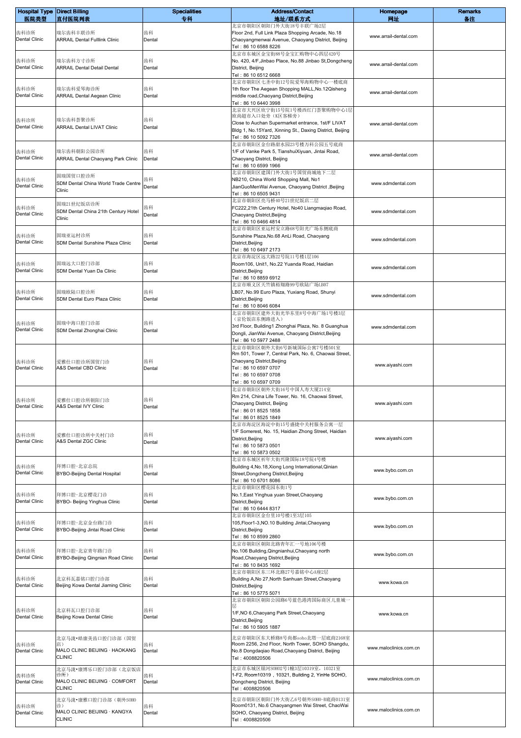| <b>Hospital Type Direct Billing</b> |                                                   | <b>Specialities</b> | <b>Address/Contact</b>                                                                                                         | Homepage               | <b>Remarks</b> |
|-------------------------------------|---------------------------------------------------|---------------------|--------------------------------------------------------------------------------------------------------------------------------|------------------------|----------------|
| 医院类型                                | 直付医院列表                                            | 专科                  | 地址/联系方式<br>北京市朝阳区朝阳门外大街18号丰联广场2层                                                                                               | 网址                     | 备注             |
| 齿科诊所<br><b>Dental Clinic</b>        | 瑞尔齿科丰联诊所<br><b>ARRAIL Dental Fulllink Clinic</b>  | 齿科<br>Dental        | Floor 2nd, Full Link Plaza Shopping Arcade, No.18<br>Chaoyangmenwai Avenue, Chaoyang District, Beijing<br>Tel: 86 10 6588 8226 | www.arrail-dental.com  |                |
|                                     |                                                   |                     | 北京市东城区金宝街88号金宝汇购物中心四层420号                                                                                                      |                        |                |
| 齿科诊所<br>Dental Clinic               | 瑞尔齿科方寸诊所<br><b>ARRAIL Dental Detail Dental</b>    | 齿科<br>Dental        | No. 420, 4/F, Jinbao Place, No.88 Jinbao St, Dongcheng<br>District, Beijing                                                    | www.arrail-dental.com  |                |
|                                     |                                                   |                     | Tel: 86 10 6512 6668<br>北京市朝阳区七圣中街12号院爱琴海购物中心一楼底商                                                                              |                        |                |
| 齿科诊所                                | 瑞尔齿科爱琴海诊所                                         | 齿科                  | 1th floor The Aegean Shopping MALL, No.12Qisheng                                                                               | www.arrail-dental.com  |                |
| Dental Clinic                       | <b>ARRAIL Dental Aegean Clinic</b>                | Dental              | middle road, Chaoyang District, Beijing<br>Tel: 86 10 6440 3998                                                                |                        |                |
|                                     |                                                   |                     | 北京市大兴区欣宁街15号院1号楼西红门荟聚购物中心1层                                                                                                    |                        |                |
| 齿科诊所                                | 瑞尔齿科荟聚诊所                                          | 齿科                  | 欧尚超市入口处旁(K区客梯旁)<br>Close to Auchan Supermarket entrance, 1st/F LIVAT                                                           | www.arrail-dental.com  |                |
| <b>Dental Clinic</b>                | <b>ARRAIL Dental LIVAT Clinic</b>                 | Dental              | Bldg 1, No.15Yard, Xinning St., Daxing District, Beijing<br>Tel: 86 10 5092 7326                                               |                        |                |
|                                     |                                                   |                     | 北京市朝阳区金台路甜水园23号楼万科公园五号底商                                                                                                       |                        |                |
| 齿科诊所<br>Dental Clinic               | 瑞尔齿科朝阳公园诊所<br>ARRAIL Dental Chaoyang Park Clinic  | 齿科<br>Dental        | 1/F of Vanke Park 5, TianshuiXiyuan, Jintai Road,<br>Chaoyang District, Beijing                                                | www.arrail-dental.com  |                |
|                                     |                                                   |                     | Tel: 86 10 6599 1966                                                                                                           |                        |                |
| 齿科诊所                                | 固瑞国贸口腔诊所                                          | 齿科                  | 北京市朝阳区建国门外大街1号国贸商城地下二层<br>NB210, China World Shopping Mall, No1                                                                |                        |                |
| <b>Dental Clinic</b>                | SDM Dental China World Trade Centre<br>Clinic     | Dental              | JianGuoMenWai Avenue, Chaoyang District, Beijing                                                                               | www.sdmdental.com      |                |
|                                     |                                                   |                     | Tel: 86 10 6505 9431<br>北京市朝阳区亮马桥40号21世纪饭店二层                                                                                   |                        |                |
| 齿科诊所                                | 固瑞21世纪饭店诊所<br>SDM Dental China 21th Century Hotel | 齿科                  | FC222,21th Century Hotel, No40 Liangmaqiao Road,                                                                               | www.sdmdental.com      |                |
| Dental Clinic                       | Clinic                                            | Dental              | Chaoyang District, Beijing<br>Tel: 86 10 6466 4814                                                                             |                        |                |
|                                     |                                                   |                     | 北京市朝阳区亚运村安立路68号阳光广场东侧底商                                                                                                        |                        |                |
| 齿科诊所<br>Dental Clinic               | 固瑞亚运村诊所                                           | 齿科                  | Sunshine Plaza, No.68 AnLi Road, Chaoyang                                                                                      | www.sdmdental.com      |                |
|                                     | SDM Dental Sunshine Plaza Clinic                  | Dental              | District, Beijing<br>Tel: 86 10 6497 2173                                                                                      |                        |                |
|                                     |                                                   |                     | 北京市海淀区远大路22号院11号楼1层106                                                                                                         |                        |                |
| 齿科诊所<br><b>Dental Clinic</b>        | 固瑞远大口腔门诊部<br>SDM Dental Yuan Da Clinic            | 齿科<br>Dental        | Room106, Unit1, No.22 Yuanda Road, Haidian<br>District, Beijing                                                                | www.sdmdental.com      |                |
|                                     |                                                   |                     | Tel: 86 10 8859 6912                                                                                                           |                        |                |
| 齿科诊所                                | 固瑞欧陆口腔诊所                                          | 齿科                  | 北京市顺义区天竺镇裕翔路99号欧陆广场LB07<br>LB07, No.99 Euro Plaza, Yuxiang Road, Shunyi                                                        |                        |                |
| <b>Dental Clinic</b>                | SDM Dental Euro Plaza Clinic                      | Dental              | District, Beijing                                                                                                              | www.sdmdental.com      |                |
|                                     |                                                   |                     | Tel: 86 10 8046 6084<br>北京市朝阳区建外大街光华东里8号中海广场1号楼3层                                                                              |                        |                |
|                                     | 固瑞中海口腔门诊部                                         | 齿科                  | (京伦饭店东侧路进入)                                                                                                                    |                        |                |
| 齿科诊所<br><b>Dental Clinic</b>        | SDM Dental Zhonghai Clinic                        | Dental              | 3rd Floor, Building1 Zhonghai Plaza, No. 8 Guanghua                                                                            | www.sdmdental.com      |                |
|                                     |                                                   |                     | Dongli, JianWai Avenue, Chaoyang District, Beijing<br>Tel: 86 10 5977 2488                                                     |                        |                |
|                                     |                                                   |                     | 北京市朝阳区朝外大街6号新城国际公寓7号楼501室                                                                                                      |                        |                |
| 齿科诊所                                | 爱雅仕口腔诊所国贸门诊                                       | 齿科                  | Rm 501, Tower 7, Central Park, No. 6, Chaowai Street,<br>Chaoyang District, Beijing                                            |                        |                |
| Dental Clinic                       | A&S Dental CBD Clinic                             | Dental              | Tel: 86 10 6597 0707                                                                                                           | www.aiyashi.com        |                |
|                                     |                                                   |                     | Tel: 86 10 6597 0708<br>Tel: 86 10 6597 0709                                                                                   |                        |                |
|                                     |                                                   |                     | 北京市朝阳区朝外大街16号中国人寿大厦214室                                                                                                        |                        |                |
| 齿科诊所                                | 爱雅仕口腔诊所朝阳门诊                                       | 齿科                  | Rm 214, China Life Tower, No. 16, Chaowai Street,<br>Chaoyang District, Beijing                                                | www.aiyashi.com        |                |
| <b>Dental Clinic</b>                | A&S Dental IVY Clinic                             | Dental              | Tel: 86 01 8525 1858                                                                                                           |                        |                |
|                                     |                                                   |                     | Tel: 86 01 8525 1849<br>北京市海淀区海淀中街15号盛捷中关村服务公寓一层                                                                               |                        |                |
| 齿科诊所                                | 爱雅仕口腔诊所中关村门诊                                      | 齿科                  | 1/F Somerest, No. 15, Haidian Zhong Street, Haidian                                                                            |                        |                |
| Dental Clinic                       | A&S Dental ZGC Clinic                             | Dental              | District, Beijing                                                                                                              | www.aiyashi.com        |                |
|                                     |                                                   |                     | Tel: 86 10 5873 0501<br>Tel: 86 10 5873 0502                                                                                   |                        |                |
|                                     |                                                   |                     | 北京市东城区祈年大街兴隆国际18号院4号楼                                                                                                          |                        |                |
| 齿科诊所<br>Dental Clinic               | 拜博口腔-北京总院<br><b>BYBO-Beijing Dental Hospital</b>  | 齿科<br>Dental        | Building 4, No.18, Xiong Long International, Qinian<br>Street, Dongcheng District, Beijing                                     | www.bybo.com.cn        |                |
|                                     |                                                   |                     | Tel: 86 10 6701 8086                                                                                                           |                        |                |
| 齿科诊所                                | 拜博口腔-北京樱花门诊                                       | 齿科                  | 北京市朝阳区樱花园东街1号<br>No.1, East Yinghua yuan Street, Chaoyang                                                                      |                        |                |
| Dental Clinic                       | BYBO- Beijing Yinghua Clinic                      | Dental              | District, Beijing                                                                                                              | www.bybo.com.cn        |                |
|                                     |                                                   |                     | Tel: 86 10 6444 8317<br>北京市朝阳区金台里10号楼1至3层105                                                                                   |                        |                |
| 齿科诊所                                | 拜博口腔-北京金台路门诊                                      | 齿科                  | 105, Floor1-3, NO.10 Building Jintai, Chaoyang                                                                                 | www.bybo.com.cn        |                |
| <b>Dental Clinic</b>                | BYBO-Beijing Jintai Road Clinic                   | Dental              | District, Beijing<br>Tel: 86 10 8599 2860                                                                                      |                        |                |
|                                     |                                                   |                     | 北京市朝阳区朝阳北路青年汇一号地106号楼                                                                                                          |                        |                |
| 齿科诊所<br>Dental Clinic               | 拜博口腔-北京青年路门诊<br>BYBO-Beijing Qingnian Road Clinic | 齿科<br>Dental        | No.106 Building, Qingnianhui, Chaoyang north<br>Road, Chaoyang District, Beijing                                               | www.bybo.com.cn        |                |
|                                     |                                                   |                     | Tel: 86 10 8435 1692                                                                                                           |                        |                |
| 齿科诊所                                | 北京科瓦嘉铭口腔门诊部                                       | 齿科                  | 北京市朝阳区东三环北路27号嘉铭中心A座2层                                                                                                         |                        |                |
| Dental Clinic                       | Beijing Kowa Dental Jiaming Clinic                | Dental              | Building A, No 27, North Sanhuan Street, Chaoyang<br>District, Beijing                                                         | www.kowa.cn            |                |
|                                     |                                                   |                     | Tel: 86 10 5775 5071                                                                                                           |                        |                |
|                                     |                                                   |                     | 北京市朝阳区朝阳公园路6号蓝色港湾国际商区儿童城-<br>昃                                                                                                 |                        |                |
| 齿科诊所<br>Dental Clinic               | 北京科瓦口腔门诊部<br>Beijing Kowa Dental Clinic           | 齿科<br>Dental        | 1/F, NO 6, Chaoyang Park Street, Chaoyang<br>District, Beijing                                                                 | www.kowa.cn            |                |
|                                     |                                                   |                     | Tel: 86 10 5905 1887                                                                                                           |                        |                |
|                                     | 北京马泷•皓康美齿口腔门诊部(国贸                                 |                     | 北京市朝阳区东大桥路8号尚都soho北塔一层底商2168室                                                                                                  |                        |                |
| 齿科诊所<br>Dental Clinic               | 店)<br>MALO CLINIC BEIJING · HAOKANG               | 齿科<br>Dental        | Room 2256, 2nd Floor, North Tower, SOHO Shangdu,<br>No.8 Dongdaqiao Road, Chaoyang District, Beijing                           | www.maloclinics.com.cn |                |
|                                     | <b>CLINIC</b>                                     |                     | Tel: 4008820506                                                                                                                |                        |                |
|                                     | 北京马泷·康博乐口腔门诊部(北京饭店                                |                     | 北京市东城区银河SOHO2号1幢3层10319室, 10321室                                                                                               |                        |                |
| 齿科诊所<br>Dental Clinic               | 诊所)<br>MALO CLINIC BEIJING · COMFORT              | 齿科<br>Dental        | 1-F2, Room10319, 10321, Building 2, YinHe SOHO,                                                                                | www.maloclinics.com.cn |                |
|                                     | <b>CLINIC</b>                                     |                     | Dongcheng District, Beijing<br>Tel: 4008820506                                                                                 |                        |                |
|                                     | 北京马泷·康雅口腔门诊部(朝外SOHO                               |                     | 北京市朝阳区朝阳门外大街乙6号朝外SOHO-B底商0131室                                                                                                 |                        |                |
| 齿科诊所<br><b>Dental Clinic</b>        | 诊)<br>MALO CLINIC BEIJING · KANGYA                | 齿科<br>Dental        | Room0131, No.6 Chaoyangmen Wai Street, ChaoWai<br>SOHO, Chaoyang District, Beijing                                             | www.maloclinics.com.cn |                |
|                                     | <b>CLINIC</b>                                     |                     | Tel: 4008820506                                                                                                                |                        |                |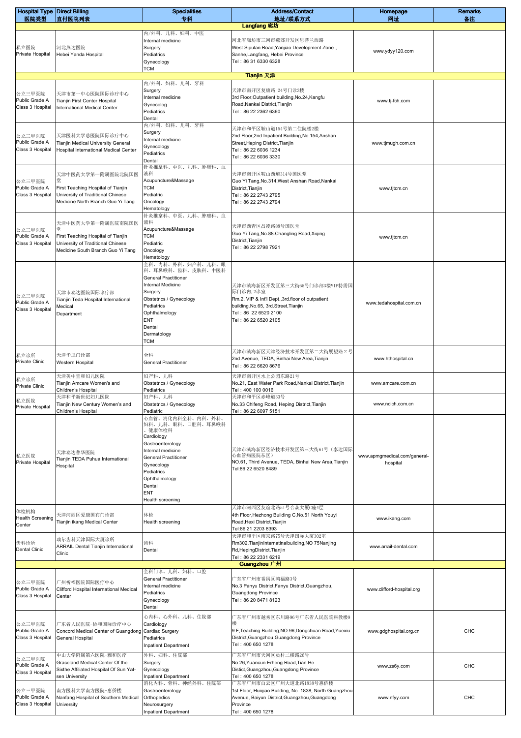| <b>Hospital Type Direct Billing</b>          |                                                                                                                                        | <b>Specialities</b>                                                                                                                                                                                                                  | <b>Address/Contact</b>                                                                                                                                                               | Homepage                                 | <b>Remarks</b> |
|----------------------------------------------|----------------------------------------------------------------------------------------------------------------------------------------|--------------------------------------------------------------------------------------------------------------------------------------------------------------------------------------------------------------------------------------|--------------------------------------------------------------------------------------------------------------------------------------------------------------------------------------|------------------------------------------|----------------|
| 医院类型                                         | 直付医院列表                                                                                                                                 | 专科                                                                                                                                                                                                                                   | 地址/联系方式<br>Langfang 廊坊                                                                                                                                                               | 网址                                       | 备注             |
| 私立医院<br>Private Hospital                     | 河北燕达医院<br>Hebei Yanda Hospital                                                                                                         | 内/外科、儿科、妇科、中医<br>Internal medicine<br>Surgery<br>Pediatrics<br>Gynecology<br><b>TCM</b>                                                                                                                                              | 河北省廊坊市三河市燕郊开发区思菩兰西路<br>West Sipulan Road, Yanjiao Development Zone,<br>Sanhe, Langfang, Hebei Province<br>Tel: 86 31 6330 6328                                                       | www.ydyy120.com                          |                |
|                                              |                                                                                                                                        |                                                                                                                                                                                                                                      | Tianjin 天津                                                                                                                                                                           |                                          |                |
| 公立三甲医院<br>Public Grade A<br>Class 3 Hospital | 天津市第一中心医院国际诊疗中心<br>Tianjin First Center Hospital<br>International Medical Center                                                       | 内/外科、妇科、儿科、牙科<br>Surgery<br>Internal medicine<br>Gynecolog<br>Pediatrics<br>Dental                                                                                                                                                   | 天津市南开区复康路 24号门诊3楼<br>3rd Floor, Outpatient building, No.24, Kangfu<br>Road, Nankai District, Tianjin<br>Tel: 86 22 2362 6360                                                         | www.tj-fch.com                           |                |
| 公立三甲医院<br>Public Grade A<br>Class 3 Hospital | 天津医科大学总医院国际诊疗中心<br>Tianjin Medical University General<br>Hospital International Medical Center                                         | 内/外科、妇科、儿科、牙科<br>Surgery<br>Internal medicine<br>Gynecology<br>Pediatrics<br>Dental                                                                                                                                                  | 天津市和平区鞍山道154号第二住院楼2楼<br>2nd Floor, 2nd Inpatient Building, No. 154, Anshan<br>Street, Heping District, Tianjin<br>Tel: 86 22 6036 1234<br>Tel: 86 22 6036 3330                       | www.tjmugh.com.cn                        |                |
| 公立三甲医院<br>Public Grade A<br>Class 3 Hospital | 天津中医药大学第一附属医院北院国医<br>堂<br>First Teaching Hospital of Tianjin<br>University of Traditional Chinese<br>Medicine North Branch Guo Yi Tang | 针灸推拿科、中医、儿科、肿瘤科、血<br>液科<br>Acupuncture&Massage<br>TCM<br>Pediatric<br>Oncology<br>Hematology                                                                                                                                         | 天津市南开区鞍山西道314号国医堂<br>Guo Yi Tang, No.314, West Anshan Road, Nankai<br>District, Tianjin<br>Tel: 86 22 2743 2795<br>Tel: 86 22 2743 2794                                              | www.tjtcm.cn                             |                |
| 公立三甲医院<br>Public Grade A<br>Class 3 Hospital | 天津中医药大学第一附属医院南院国医<br>堂<br>First Teaching Hospital of Tianjin<br>University of Traditional Chinese<br>Medicine South Branch Guo Yi Tang | 针灸推拿科、中医、儿科、肿瘤科、血<br>液科<br>Acupuncture&Massage<br>TCM<br>Pediatric<br>Oncology<br>Hematology                                                                                                                                         | 天津市西青区昌凌路88号国医堂<br>Guo Yi Tang, No.88. Changling Road, Xiqing<br>District, Tianjin<br>Tel: 86 22 2798 7921                                                                           | www.tjtcm.cn                             |                |
| 公立三甲医院<br>Public Grade A<br>Class 3 Hospital | 天津市泰达医院国际诊疗部<br>Tianjin Teda Hospital International<br>Medical<br>Department                                                           | 全科、内科、外科、妇产科、儿科、眼<br>科、耳鼻喉科、齿科、皮肤科、中医科<br><b>General Practitioner</b><br>Internal Medicine<br>Surgery<br>Obstetrics / Gynecology<br>Pediatrics<br>Ophthalmology<br>ENT<br>Dental<br>Dermatology<br>тсм                               | 天津市滨海新区开发区第三大街65号门诊部3楼VIP特需国<br>际门诊内, 2诊室<br>Rm.2, VIP & Int'l Dept., 3rd.floor of outpatient<br>building.No.65, 3rd.Street, Tianjin<br>Tel: 86 22 6520 2100<br>Tel: 86 22 6520 2105 | www.tedahospital.com.cn                  |                |
| 私立诊所<br>Private Clinic                       | 天津华卫门诊部<br>Western Hospital                                                                                                            | 全科<br><b>General Practitioner</b>                                                                                                                                                                                                    | 天津市滨海新区天津经济技术开发区第二大街展望路 2 号<br>2nd Avenue, TEDA, Binhai New Area, Tianjin<br>Tel: 86 22 6620 8676                                                                                    | www.hthospital.cn                        |                |
| 私立诊所<br><b>Private Clinic</b>                | 天津美中宜和妇儿医院<br>Tianjin Amcare Women's and<br>Children's Hospital                                                                        | 妇产科、儿科<br>Obstetrics / Gynecology<br>Pediatrics                                                                                                                                                                                      | 天津市南开区水上公园东路21号<br>No.21, East Water Park Road, Nankai District, Tianjin<br>Tel: 400 100 0016                                                                                        | www.amcare.com.cn                        |                |
| 私立医院<br>Private Hospital                     | 天津和平新世纪妇儿医院<br>Tianjin New Century Women's and                                                                                         | 妇产科、儿科<br>Obstetrics / Gynecology                                                                                                                                                                                                    | 天津市和平区赤峰道33号<br>No.33 Chifeng Road, Heping District, Tianjin                                                                                                                         | www.ncich.com.cn                         |                |
| 私立医院<br>Private Hospital                     | Children's Hospital<br>天津泰达普华医院<br>Tianjin TEDA Puhua International<br>Hospital                                                        | Pediatric<br>心血管、消化内科全科、内科、外科、<br>妇科、儿科、眼科、口腔科、耳鼻喉科<br>健康体检科<br>Cardiology<br>Gastroenterology<br>Internal medicine<br><b>General Practitioner</b><br>Gynecology<br>Pediatrics<br>Ophthalmology<br>Dental<br>ENT<br>Health screening | Tel: 86 22 6097 5151<br>天津市滨海新区经济技术开发区第三大街61号(泰达国际<br>心血管病医院东区)<br>NO.61, Third Avenue, TEDA, Binhai New Area, Tianjin<br>Tel:86 22 6520 8489                                        | www.apmgmedical.com/general-<br>hospital |                |
| 体检机构<br><b>Health Screening</b><br>Center    | 天津河西区爱康国宾门诊部<br>Tianjin ikang Medical Center                                                                                           | 体检<br>Health screening                                                                                                                                                                                                               | 天津市河西区友谊北路51号合众大厦C座4层<br>4th Floor, Hezhong Building C, No.51 North Youyi<br>Road, Hexi District, Tianjin<br>Tel:86 21 2203 8393                                                     | www.ikang.com                            |                |
| 齿科诊所<br><b>Dental Clinic</b>                 | 瑞尔齿科天津国际大厦诊所<br><b>ARRAIL Dental Tianjin International</b><br>Clinic                                                                   | 齿科<br>Dental                                                                                                                                                                                                                         | 天津市和平区南京路75号天津国际大厦302室<br>Rm302, TianjinInternatinalbuilding, NO 75Nanjing<br>Rd, HepingDistrict, Tianjin<br>Tel: 86 22 2331 6219                                                    | www.arrail-dental.com                    |                |
| 公立三甲医院<br>Public Grade A<br>Class 3 Hospital | 广州祈福医院国际医疗中心<br>Clifford Hospital International Medical<br>Center                                                                      | 全科门诊、儿科、妇科、口腔<br><b>General Practitioner</b><br>Internal medicine<br>Pediatrics<br>Gynecology<br>Dental                                                                                                                              | Guangzhou 广州<br>广东省广州市番禺区鸿福路3号<br>No.3 Panyu District, Fanyu District, Guangzhou,<br><b>Guangdong Province</b><br>Tel: 86 20 8471 8123                                               | www.clifford-hospital.org                |                |
| 公立三甲医院<br>Public Grade A<br>Class 3 Hospital | 广东省人民医院-协和国际诊疗中心<br>Concord Medical Center of Guangdong Cardiac Surgery<br>General Hospital                                            | 心内科、心外科、儿科、住院部<br>Cardiology<br>Pediatrics<br><b>Inpatient Department</b>                                                                                                                                                            | 广东省广州市越秀区东川路96号广东省人民医院科教楼9<br>9 F, Teaching Building, NO.96, Dongchuan Road, Yuexiu<br>District, Guangzhou, Guangdong Province<br>Tel: 400 650 1278                                  | www.gdghospital.org.cn                   | CHC            |
| 公立三甲医院<br>Public Grade A<br>Class 3 Hospital | 中山大学附属第六医院-雅和医疗<br>Graceland Medical Center Of the<br>Sixthe Affiliated Hospital Of Sun Yat-<br>sen University                         | 外科、妇科、住院部<br>Surgery<br>Gynecology<br><b>Inpatient Department</b>                                                                                                                                                                    | 广东省广州市天河区员村二横路26号<br>No 26, Yuancun Erheng Road, Tian He<br>Distict, Guangzhou, Guangdong Province<br>Tel: 400 650 1278                                                              | www.zs6y.com                             | CHC            |
| 公立三甲医院<br>Public Grade A<br>Class 3 Hospital | 南方医科大学南方医院-惠侨楼<br>Nanfang Hospital of Southern Medical<br>University                                                                   | 消化内科、骨科、神经外科、住院部<br>Gastroenterology<br>Orthopedics<br>Neurosurgery<br><b>Inpatient Department</b>                                                                                                                                   | 广东省广州市白云区广州大道北路1838号惠侨楼<br>1st Floor, Huigiao Building, No. 1838, North Guangzhou<br>Avenue, Baiyun District, Guangzhou, Guangdong<br>Province<br>Tel: 400 650 1278                  | www.nfyy.com                             | CHC            |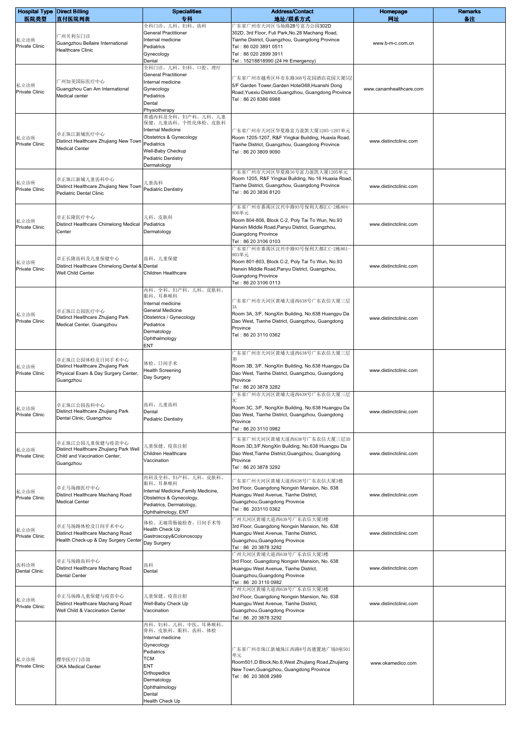| <b>Hospital Type Direct Billing</b> |                                                                                                          | <b>Specialities</b>                                                                                                                                                             | <b>Address/Contact</b>                                                                                                                                                                                                          | Homepage                | <b>Remarks</b> |
|-------------------------------------|----------------------------------------------------------------------------------------------------------|---------------------------------------------------------------------------------------------------------------------------------------------------------------------------------|---------------------------------------------------------------------------------------------------------------------------------------------------------------------------------------------------------------------------------|-------------------------|----------------|
| 医院类型<br>私立诊所<br>Private Clinic      | 直付医院列表<br>广州贝利尔门诊<br>Guangzhou Bellaire International<br><b>Healthcare Clinic</b>                        | 专科<br>全科门诊、儿科、妇科、齿科<br><b>General Practitioner</b><br>Internal medicine<br>Pediatrics<br>Gynecology<br>Dental                                                                   | 地址/联系方式<br>广东省广州市天河区马场路28号富力公园302D<br>302D, 3rd Floor, Fuli Park, No.28 Machang Road,<br>Tianhe District, Guangzhou, Guangdong Province<br>Tel: 86 020 3891 0511<br>Tel: 86 020 2899 3911<br>Tel: 15218818990 (24 Hr Emergency) | 网址<br>www.b-m-c.com.cn  | 备注             |
| 私立诊所<br><b>Private Clinic</b>       | 广州加美国际医疗中心<br>Guangzhou Can Am International<br>Medical center                                           | 全科门诊、儿科、妇科、口腔、理疗<br><b>General Practitioner</b><br>Internal medicine<br>Gynecology<br>Pediatrics<br>Dental<br>Physiotherapy                                                     | 广东省广州市越秀区环市东路368号花园酒店花园大厦5层<br>5/F Garden Tower, Garden Hotel368, Huanshi Dong<br>Road, Yuexiu District, Guangzhou, Guangdong Province<br>Tel: 86 20 8386 6988                                                                  | www.canamhealthcare.com |                |
| 私立诊所<br>Private Clinic              | 卓正珠江新城医疗中心<br>Distinct Healthcare Zhujiang New Town<br><b>Medical Center</b>                             | 普通内科及全科、妇产科、儿科、儿童<br>保健、儿童齿科、个性化体检、皮肤科<br><b>Internal Medicine</b><br>Obstetrics & Gynecology<br>Pediatrics<br>Well-Baby Checkup<br><b>Pediatric Dentistry</b><br>Dermatology   | 广东省广州市天河区华夏路富力盈凯大厦1205-1207单元<br>Room 1205-1207, R&F Yingkai Building, Huaxia Road,<br>Tianhe District, Guangzhou, Guangdong Province<br>Tel: 86 20 3809 9090                                                                   | www.distinctclinic.com  |                |
| 私立诊所<br>Private Clinic              | 卓正珠江新城儿童齿科中心<br>Distinct Healthcare Zhujiang New Town<br>Pediatric Dental Clinic                         | 儿童齿科<br>Pediatric Dentistry                                                                                                                                                     | 广东省广州市天河区华夏路16号富力盈凯大厦1205单元<br>Room 1205, R&F Yingkai Building, No.16 Huaxia Road,<br>Tianhe District, Guangzhou, Guangdong Province<br>Tel: 86 20 3836 8120                                                                    | www.distinctclinic.com  |                |
| 私立诊所<br><b>Private Clinic</b>       | 卓正长隆医疗中心<br>Distinct Healthcare Chimelong Medical<br>Center                                              | 儿科、皮肤科<br>Pediatrics<br>Dermatology                                                                                                                                             | 广东省广州市番禺区汉兴中路93号保利大都汇C-2栋804-<br>806单元<br>Room 804-806, Block C-2, Poly Tai To Wun, No.93<br>Hanxin Middle Road, Panyu District, Guangzhou,<br><b>Guangdong Province</b><br>Tel: 86 20 3106 0103                                | www.distinctclinic.com  |                |
| 私立诊所<br>Private Clinic              | 卓正长隆齿科及儿童保健中心<br>Distinct Healthcare Chimelong Dental & Dental<br>Well Child Center                      | 齿科、儿童保健<br>Children Healthcare                                                                                                                                                  | 广东省广州市番禺区汉兴中路93号保利大都汇C-2栋801-<br>803单元<br>Room 801-803, Block C-2, Poly Tai To Wun, No.93<br>Hanxin Middle Road, Panyu District, Guangzhou,<br><b>Guangdong Province</b><br>Tel: 86 20 3106 0113                                | www.distinctclinic.com  |                |
| 私立诊所<br>Private Clinic              | 卓正珠江公园医疗中心<br>Distinct Healthcare Zhujiang Park<br>Medical Center, Guangzhou                             | 内科、全科、妇产科、儿科、皮肤科、<br>眼科、耳鼻喉科<br>Internal medicine<br>General Medicine<br>Obstetrics / Gynecology<br>Pediatrics<br>Dermatology<br>Ophthalmology<br>ENT                           | 广东省广州市天河区黄埔大道西638号广东农信大厦三层<br>3A<br>Room 3A, 3/F, NongXin Building, No.638 Huangpu Da<br>Dao West, Tianhe District, Guangzhou, Guangdong<br>Province<br>Tel: 86 20 3110 0362                                                    | www.distinctclinic.com  |                |
| 私立诊所<br>Private Clinic              | 卓正珠江公园体检及日间手术中心<br>Distinct Healthcare Zhujiang Park<br>Physical Exam & Day Surgery Center,<br>Guangzhou | 体检、日间手术<br><b>Health Screening</b><br>Day Surgery                                                                                                                               | 广东省广州市天河区黄埔大道西638号广东农信大厦三层<br>Room 3B, 3/F, NongXin Building, No.638 Huangpu Da<br>Dao West, Tianhe District, Guangzhou, Guangdong<br>Province<br>Tel: 86 20 3878 3282                                                          | www.distinctclinic.com  |                |
| 私立诊所<br>Private Clinic              | 卓正珠江公园齿科中心<br>Distinct Healthcare Zhujiang Park<br>Dental Clinic, Guangzhou                              | 齿科、儿童齿科<br>Dental<br><b>Pediatric Dentistry</b>                                                                                                                                 | 广东省广州市天河区黄埔大道西638号广东农信大厦三层<br>Room 3C, 3/F, NongXin Building, No.638 Huangpu Da<br>Dao West, Tianhe District, Guangzhou, Guangdong<br>Province<br>Tel: 86 20 3110 0982                                                          | www.distinctclinic.com  |                |
| 私立诊所<br><b>Private Clinic</b>       | 卓正珠江公园儿童保健与疫苗中心<br>Distinct Healthcare Zhujiang Park Well<br>Child and Vaccination Center,<br>Guangzhou  | 儿童保健、疫苗注射<br>Children Healthcare<br>Vaccination                                                                                                                                 | 广东省广州天河区黄埔大道西638号广东农信大厦三层3D<br>Room 3D, 3/F, Nong Xin Building, No.638 Huangpu Da<br>Dao West, Tianhe District, Guangzhou, Guangdong<br>Province<br>Tel: 86 20 3878 3292                                                        | www.distinctclinic.com  |                |
| 私立诊所<br>Private Clinic              | 卓正马场路医疗中心<br>Distinct Healthcare Machang Road<br><b>Medical Center</b>                                   | 内科及全科、妇产科、儿科、皮肤科、<br>眼科、耳鼻喉科<br>Internal Medicine, Family Medicine,<br>Obstetrics & Gynecology,<br>Pediatrics, Dermatology,<br>Ophthalmology, ENT                               | 广东省广州天河区黄埔大道西638号广东农信大厦3楼<br>3rd Floor, Guangdong Nongxin Mansion, No. 638<br>Huangpu West Avenue, Tianhe District,<br>Guangzhou, Guangdong Province<br>Tel: 86 203110 0362                                                     | www.distinctclinic.com  |                |
| 私立诊所<br>Private Clinic              | 卓正马场路体检及日间手术中心<br>Distinct Healthcare Machang Road<br>Health Check-up & Day Surgery Center               | 体检、无痛胃肠镜检查、日间手术等<br>Health Check Up<br>Gastroscopy&Colonoscopy<br>Day Surgery                                                                                                   | 广州天河区黄埔大道西638号广东农信大厦3楼<br>3rd Floor, Guangdong Nongxin Mansion, No. 638<br>Huangpu West Avenue, Tianhe District,<br>Guangzhou, Guangdong Province<br>Tel: 86 20 3878 3282                                                       | www.distinctclinic.com  |                |
| 齿科诊所<br><b>Dental Clinic</b>        | 卓正马场路齿科中心<br>Distinct Healthcare Machang Road<br><b>Dental Center</b>                                    | 齿科<br>Dental                                                                                                                                                                    | 广州天河区黄埔大道西638号广东农信大厦3楼<br>3rd Floor, Guangdong Nongxin Mansion, No. 638<br>Huangpu West Avenue, Tianhe District,<br>Guangzhou, Guangdong Province<br>Tel: 86 20 3110 0982                                                       | www.distinctclinic.com  |                |
| 私立诊所<br>Private Clinic              | 卓正马场路儿童保健与疫苗中心<br>Distinct Healthcare Machang Road<br>Well Child & Vaccination Center                    | 儿童保健、疫苗注射<br>Well-Baby Check Up<br>Vaccination                                                                                                                                  | 广州天河区黄埔大道西638号广东农信大厦3楼<br>3rd Floor, Guangdong Nongxin Mansion, No. 638<br>Huangpu West Avenue, Tianhe District,<br>Guangzhou, Guangdong Province<br>Tel: 86 20 3878 3292                                                       | www.distinctclinic.com  |                |
| 私立诊所<br>Private Clinic              | 樱华医疗门诊部<br><b>OKA Medical Center</b>                                                                     | 内科、妇科、儿科、中医、耳鼻喉科、<br>骨科、皮肤科、眼科、齿科、体检<br>Internal medicine<br>Gynecology<br>Pediatrics<br>TCM<br>ENT<br>Orthopedics<br>Dermatology<br>Ophthalmology<br>Dental<br>Health Check Up | 广东省广州市珠江新城珠江西路8号高德置地广场D座501<br>单元<br>Room501,D Block,No.8,West Zhujiang Road,Zhujiang<br>New Town, Guangzhou, Guangdong Province<br>Tel: 86 20 3808 2989                                                                        | www.okamedico.com       |                |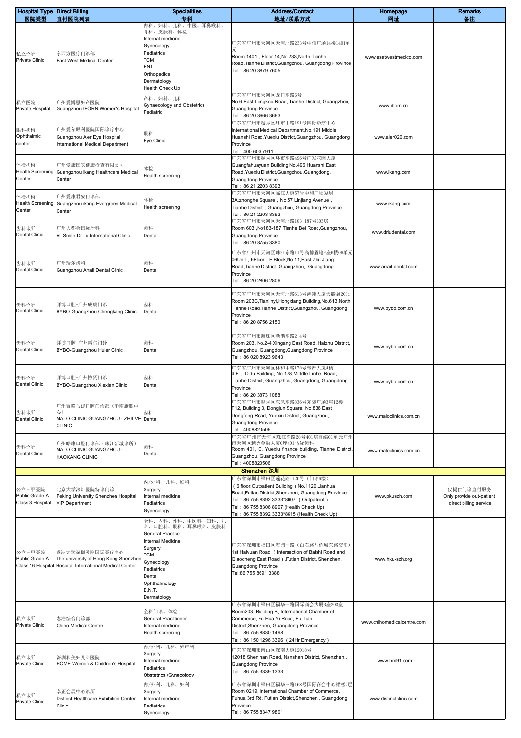| <b>Hospital Type Direct Billing</b> |                                                              | <b>Specialities</b>                    | <b>Address/Contact</b>                                                                                        | Homepage                   | <b>Remarks</b>                                     |
|-------------------------------------|--------------------------------------------------------------|----------------------------------------|---------------------------------------------------------------------------------------------------------------|----------------------------|----------------------------------------------------|
| 医院类型                                | 直付医院列表                                                       | 专科<br>内科、妇科、儿科、中医、耳鼻喉科、                | 地址/联系方式                                                                                                       | 网址                         | 备注                                                 |
|                                     |                                                              | 骨科、皮肤科、体检<br>Internal medicine         |                                                                                                               |                            |                                                    |
|                                     |                                                              | Gynecology                             | 亠东省广州市天河区天河北路233号中信广场14楼1401单<br>元                                                                            |                            |                                                    |
| 私立诊所<br>Private Clinic              | 东西方医疗门诊部<br>East West Medical Center                         | Pediatrics<br>тсм                      | Room 1401, Floor 14, No.233, North Tianhe                                                                     | www.esatwestmedico.com     |                                                    |
|                                     |                                                              | ENT                                    | Road, Tianhe District, Guangzhou, Guangdong Province<br>Tel: 86 20 3879 7605                                  |                            |                                                    |
|                                     |                                                              | Orthopedics<br>Dermatology             |                                                                                                               |                            |                                                    |
|                                     |                                                              | Health Check Up                        |                                                                                                               |                            |                                                    |
| 私立医院                                | "州爱博恩妇产医院                                                    | 产科、妇科、儿科<br>Gynaecology and Obstetrics | 一东省广州市天河区龙口东路6号<br>No.6 East Longkou Road, Tianhe District, Guangzhou,                                        |                            |                                                    |
| Private Hospital                    | Guangzhou IBORN Women's Hospital                             | Pediatric                              | <b>Guangdong Province</b><br>Tel: 86 20 3666 3663                                                             | www.iborn.cn               |                                                    |
|                                     |                                                              |                                        | 一东省广州市越秀区环市中路191号国际诊疗中心                                                                                       |                            |                                                    |
| 眼科机构<br>Ophthalmic                  | 广州爱尔眼科医院国际诊疗中心<br>Guangzhou Aier Eye Hospital                | 眼科                                     | International Medical Department, No. 191 Middle<br>Huanshi Road, Yuexiu District, Guangzhou, Guangdong       | www.aier020.com            |                                                    |
| center                              | International Medical Department                             | Eye Clinic                             | Province                                                                                                      |                            |                                                    |
|                                     |                                                              |                                        | Tel: 400 600 7911<br>"东省广州市越秀区环市东路496号广发花园大厦                                                                  |                            |                                                    |
| 体检机构<br><b>Health Screening</b>     | 亠州爱康国宾健康检查有限公司<br>Guangzhou ikang Healthcare Medical         | 体检                                     | Guangfahuayuan Building, No.496 Huanshi East<br>Road, Yuexiu District, Guangzhou, Guangdong,                  | www.ikang.com              |                                                    |
| Center                              | Center                                                       | Health screening                       | <b>Guangdong Province</b>                                                                                     |                            |                                                    |
| 体检机构                                | "州爱康君安门诊部                                                    |                                        | Tel: 86 21 2203 8393<br>"东省广州市天河区临江大道57号中和广场3A层                                                               |                            |                                                    |
| <b>Health Screening</b>             | Guangzhou ikang Evergreen Medical                            | 体检<br>Health screening                 | 3A, zhonghe Square, No.57 Linjiang Avenue,<br>Tianhe District, Guangzhou, Guangdong Province                  | www.ikang.com              |                                                    |
| Center                              | Center                                                       |                                        | Tel: 86 21 2203 8393                                                                                          |                            |                                                    |
| 齿科诊所                                | 广州大都会国际牙科                                                    | 齿科                                     | ↑东省广州市天河区天河北路183-187号603房<br>Room 603 , No183-187 Tianhe Bei Road, Guangzhou,                                 |                            |                                                    |
| Dental Clinic                       | All Smile-Dr Lu International Clinic                         | Dental                                 | <b>Guangdong Province</b>                                                                                     | www.drludental.com         |                                                    |
|                                     |                                                              |                                        | Tel: 86 20 8755 3380<br>广东省广州市天河区珠江东路11号高德置地F座6楼06单元                                                          |                            |                                                    |
| 齿科诊所                                | 广州瑞尔齿科                                                       | 齿科                                     | 06Unit, 6Floor, F Block, No 11, East Zhu Jiang                                                                |                            |                                                    |
| <b>Dental Clinic</b>                | Guangzhou Arrail Dental Clinic                               | Dental                                 | Road, Tianhe District , Guangzhou,, Guangdong<br>Province                                                     | www.arrail-dental.com      |                                                    |
|                                     |                                                              |                                        | Tel: 86 20 2806 2806                                                                                          |                            |                                                    |
|                                     |                                                              |                                        | <sup>亠</sup> 东省广州市天河区天河北路613号鸿翔大厦天麟翼203c                                                                      |                            |                                                    |
| 齿科诊所                                | 拜博口腔-广州成康门诊                                                  | 齿科                                     | Room 203C, Tianlinyi, Hongxiang Building, No.613, North<br>Tianhe Road, Tianhe District, Guangzhou, Guangdong | www.bybo.com.cn            |                                                    |
| Dental Clinic                       | BYBO-Guangzhou Chengkang Clinic                              | Dental                                 | Province                                                                                                      |                            |                                                    |
|                                     |                                                              |                                        | Tel: 86 20 8756 2150                                                                                          |                            |                                                    |
|                                     |                                                              | 齿科                                     | 芒东省广州市海珠区新港东路2−4号                                                                                             |                            |                                                    |
| 齿科诊所<br>Dental Clinic               | 拜博口腔-广州惠尔门诊<br>BYBO-Guangzhou Huier Clinic                   | Dental                                 | Room 203, No.2-4 Xingang East Road, Haizhu District,<br>Guangzhou, Guangdong, Guangdong Province              | www.bybo.com.cn            |                                                    |
|                                     |                                                              |                                        | Tel: 86 020 8923 9643                                                                                         |                            |                                                    |
|                                     |                                                              |                                        | "东省广州市天河区林和中路178号帝都大厦4楼<br>4 F, Didu Building, No.178 Middle Linhe Road,                                      |                            |                                                    |
| 齿科诊所<br>Dental Clinic               | 拜博口腔-广州协贤门诊<br>BYBO-Guangzhou Xiexian Clinic                 | 齿科<br>Dental                           | Tianhe District, Guangzhou, Guangdong, Guangdong<br>Province                                                  | www.bybo.com.cn            |                                                    |
|                                     |                                                              |                                        | Tel: 86 20 3873 1088                                                                                          |                            |                                                    |
|                                     | 广州置略马泷口腔门诊部(华南旗舰中                                            |                                        | <sup>-</sup> 东省广州市越秀区东风东路836号东骏广场3座12楼<br>F12, Building 3, Dongjun Square, No.836 East                        |                            |                                                    |
| 齿科诊所<br><b>Dental Clinic</b>        | 心)<br>MALO CLINIC GUANGZHOU · ZHILVE Dental                  | 齿科                                     | Dongfeng Road, Yuexiu District, Guangzhou,<br><b>Guangdong Province</b>                                       | www.maloclinics.com.cn     |                                                    |
|                                     | <b>CLINIC</b>                                                |                                        | Tel: 4008820506                                                                                               |                            |                                                    |
|                                     | "州皓康口腔门诊部(珠江新城诊所)                                            |                                        | "东省广州市天河区珠江东路28号401房自编01单元广州<br>市天河区越秀金融大厦C座401马泷齿科                                                           |                            |                                                    |
| 齿科诊所<br><b>Dental Clinic</b>        | MALO CLINIC GUANGZHOU ·<br><b>HAOKANG CLINIC</b>             | 齿科<br>Dental                           | Room 401, C, Yuexiu finance building, Tianhe District,<br>Guangzhou, Guangdong Province                       | www.maloclinics.com.cn     |                                                    |
|                                     |                                                              |                                        | Tel: 4008820506                                                                                               |                            |                                                    |
|                                     |                                                              | 内/外科、儿科、妇科                             | Shenzhen 深圳<br>"东省深圳市福田区莲花路1120号(门诊6楼)                                                                        |                            |                                                    |
| 公立三甲医院                              | 北京大学深圳医院特诊门诊                                                 | Surgery                                | (6 floor, Outpatient Building) No.1120, Lianhua<br>Road, Futian District, Shenzhen, Guangdong Province        |                            | 仅提供门诊直付服务                                          |
| Public Grade A<br>Class 3 Hospital  | Peking University Shenzhen Hospital<br><b>VIP Department</b> | Internal medicine<br>Pediatrics        | Tel: 86 755 8392 3333*8607 (Outpatient)                                                                       | www.pkuszh.com             | Only provide out-patient<br>direct billing service |
|                                     |                                                              | Gynecology                             | Tel: 86 755 8306 8907 (Health Check Up)<br>Tel: 86 755 8392 3333*8615 (Health Check Up)                       |                            |                                                    |
|                                     |                                                              | 全科、内科、外科、中医科、妇科、儿<br>科、口腔科、眼科、耳鼻喉科、皮肤科 |                                                                                                               |                            |                                                    |
|                                     |                                                              | <b>General Practice</b>                |                                                                                                               |                            |                                                    |
|                                     |                                                              | Internal Medicine<br>Surgery           | 广东省深圳市福田区海园一路(白石路与侨城东路交汇)                                                                                     |                            |                                                    |
| 公立三甲医院<br>Public Grade A            | 香港大学深圳医院国际医疗中心<br>The university of Hong Kong-Shenzhen       | TCM<br>Gynecology                      | 1st Haiyuan Road ( Intersection of Baishi Road and<br>Qiaocheng East Road), Futian District, Shenzhen,        | www.hku-szh.org            |                                                    |
|                                     | Class 16 Hospital Hospital International Medical Center      | Pediatrics                             | <b>Guangdong Province</b><br>Tel:86 755 8691 3388                                                             |                            |                                                    |
|                                     |                                                              | Dental<br>Ophthalmology                |                                                                                                               |                            |                                                    |
|                                     |                                                              | E.N.T.                                 |                                                                                                               |                            |                                                    |
|                                     |                                                              | Dermatology                            | <sup>一</sup> 东省深圳市福田区福华一路国际商会大厦B座203室                                                                         |                            |                                                    |
| 私立诊所                                | 志浩综合门诊部                                                      | 全科门诊、体检<br><b>General Practitioner</b> | Room203, Building B, International Chamber of<br>Commerce, Fu Hua Yi Road, Fu Tian                            |                            |                                                    |
| <b>Private Clinic</b>               | Chiho Medical Centre                                         | Internal medicine                      | District, Shenzhen, Guangdong Province                                                                        | www.chihomedicalcentre.com |                                                    |
|                                     |                                                              | Health screening                       | Tel: 86 755 8830 1498<br>Tel: 86 150 1296 3396 (24Hr Emergency)                                               |                            |                                                    |
|                                     |                                                              | 内/外科、儿科、妇产科<br>Surgery                 | 亠东省深圳市南山区深南大道12018号                                                                                           |                            |                                                    |
| 私立诊所<br><b>Private Clinic</b>       | 深圳和美妇儿科医院<br>HOME Women & Children's Hospital                | Internal medicine                      | 12018 Shen nan Road, Nanshan District, Shenzhen,,<br><b>Guangdong Province</b>                                | www.hm91.com               |                                                    |
|                                     |                                                              | Pediatrics<br>Obstetrics /Gynecology   | Tel: 86 755 3339 1333                                                                                         |                            |                                                    |
|                                     |                                                              | 内/外科、儿科、妇科                             | └东省深圳市福田区福华三路168号国际商会中心裙楼2层                                                                                   |                            |                                                    |
| 私立诊所<br>Private Clinic              | 卓正会展中心诊所<br>Distinct Healthcare Exhibition Center            | Surgery<br>Internal medicine           | Room 0219, International Chamber of Commerce,<br>Fuhua 3rd Rd, Futian District, Shenzhen,, Guangdong          | www.distinctclinic.com     |                                                    |
|                                     | Clinic                                                       | Pediatrics                             | Province<br>Tel: 86 755 8347 9801                                                                             |                            |                                                    |
|                                     |                                                              | Gynecology                             |                                                                                                               |                            |                                                    |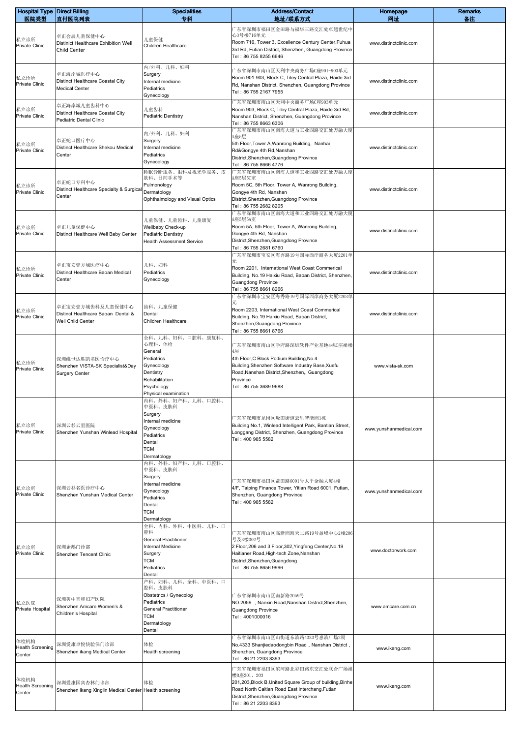| <b>Hospital Type Direct Billing</b><br>医院类型 | 直付医院列表                                                                      | <b>Specialities</b><br>专科                                                                                                               | <b>Address/Contact</b><br>地址/联系方式                                                                                                                                                                                        | Homepage<br>网址         | <b>Remarks</b><br>备注 |
|---------------------------------------------|-----------------------------------------------------------------------------|-----------------------------------------------------------------------------------------------------------------------------------------|--------------------------------------------------------------------------------------------------------------------------------------------------------------------------------------------------------------------------|------------------------|----------------------|
| 私立诊所<br>Private Clinic                      | 卓正会展儿童保健中心<br>Distinict Healthcare Exhibition Well<br>Child Center          | 儿童保健<br>Children Healthcare                                                                                                             | <sup>一</sup> 东省深圳市福田区金田路与福华三路交汇处卓越世纪中<br>心3号楼716单元<br>Room 716, Tower 3, Excellence Century Center, Fuhua<br>3rd Rd, Futian District, Shenzhen, Guangdong Province<br>Tel: 86 755 8255 6646                              | www.distinctclinic.com |                      |
| 私立诊所<br>Private Clinic                      | 卓正海岸城医疗中心<br>Distinct Healthcare Coastal City<br><b>Medical Center</b>      | 内/外科、儿科、妇科<br>Surgery<br>Internal medicine<br>Pediatrics<br>Gynecology                                                                  | 广东省深圳市南山区天利中央商务广场C座901-903单元<br>Room 901-903, Block C, Tiley Central Plaza, Haide 3rd<br>Rd, Nanshan District, Shenzhen, Guangdong Province<br>Tel: 86 755 2167 7955                                                     | www.distinctclinic.com |                      |
| 私立诊所<br>Private Clinic                      | 卓正海岸城儿童齿科中心<br>Distinct Healthcare Coastal City<br>Pediatric Dental Clinic  | 儿童齿科<br><b>Pediatric Dentistry</b>                                                                                                      | <sup>一</sup> 东省深圳市南山区天利中央商务广场C座903单元<br>Room 903, Block C, Tiley Central Plaza, Haide 3rd Rd,<br>Nanshan District, Shenzhen, Guangdong Province<br>Tel: 86 755 8663 6306                                                 | www.distinctclinic.com |                      |
| 私立诊所<br><b>Private Clinic</b>               | 卓正蛇口医疗中心<br>Distinct Healthcare Shekou Medical<br>Center                    | 内/外科、儿科、妇科<br>Surgery<br>Internal medicine<br>Pediatrics<br>Gynecology                                                                  | <sup>一</sup> 东省深圳市南山区南海大道与工业四路交汇处万融大厦<br>A座5层<br>5th Floor, Tower A, Wanrong Building, Nanhai<br>Rd&Gongye 4th Rd,Nanshan<br>District, Shenzhen, Guangdong Province<br>Tel: 86 755 8666 4776                             | www.distinctclinic.com |                      |
| 私立诊所<br>Private Clinic                      | 卓正蛇口专科中心<br>Distinct Healthcare Specialty & Surgica<br>Center               | 睡眠诊断服务、眼科及视光学服务、皮<br>肤科、日间手术等<br>Pulmonology<br>Dermatology<br>Ophthalmology and Visual Optics                                          | <sup>一</sup> 东省深圳市南山区南海大道和工业四路交汇处万融大厦<br>A座5层5C室<br>Room 5C, 5th Floor, Tower A, Wanrong Building,<br>Gongye 4th Rd, Nanshan<br>District, Shenzhen, Guangdong Province<br>Tel: 86 755 2682 8205                          | www.distinctclinic.com |                      |
| 私立诊所<br>Private Clinic                      | 卓正儿童保健中心<br>Distinct Healthcare Well Baby Center                            | 儿童保健、儿童齿科、儿童康复<br>Wellbaby Check-up<br><b>Pediatric Dentistry</b><br><b>Health Assessment Service</b>                                   | 广东省深圳市南山区南海大道和工业四路交汇处万融大厦<br>A座5层5A室<br>Room 5A, 5th Floor, Tower A, Wanrong Building,<br>Gongye 4th Rd, Nanshan<br>District, Shenzhen, Guangdong Province<br>Tel: 86 755 2681 6760                                      | www.distinctclinic.com |                      |
| 私立诊所<br>Private Clinic                      | 卓正宝安壹方城医疗中心<br>Distinct Healthcare Baoan Medical<br>Center                  | 儿科、妇科<br>Pediatrics<br>Gynecology                                                                                                       | 广东省深圳市宝安区海秀路19号国际西岸商务大厦2201单<br>元<br>Room 2201, International West Coast Commerical<br>Building, No.19 Haixiu Road, Baoan District, Shenzhen,<br><b>Guangdong Province</b><br>Tel: 86 755 8661 8266                      | www.distinctclinic.com |                      |
| 私立诊所<br>Private Clinic                      | 卓正宝安壹方城齿科及儿童保健中心<br>Distinct Healthcare Baoan Dental &<br>Well Child Center | 齿科、儿童保健<br>Dental<br>Children Healthcare                                                                                                | 广东省深圳市宝安区海秀路19号国际西岸商务大厦2203单<br>元<br>Room 2203, International West Coast Commerical<br>Building, No.19 Haixiu Road, Baoan District,<br>Shenzhen, Guangdong Province<br>Tel: 86 755 8661 8766                             | www.distinctclinic.com |                      |
| 私立诊所<br>Private Clinic                      | 深圳维世达胜凯名医诊疗中心<br>Shenzhen VISTA-SK Specialist&Day<br><b>Surgery Center</b>  | 全科、儿科、妇科、口腔科、康复科、<br>心理科、体检<br>General<br>Pediatrics<br>Gynecology<br>Dentistry<br>Rehabilitation<br>Psychology<br>Physical examination | 广东省深圳市南山区学府路深圳软件产业基地4栋C座裙楼<br>4层<br>4th Floor, C Block Podium Building, No.4<br>Building, Shenzhen Software Industry Base, Xuefu<br>Road, Nanshan District, Shenzhen,, Guangdong<br>Province<br>Tel: 86 755 3689 9688    | www.vista-sk.com       |                      |
| 私立诊所<br>Private Clinic                      | 深圳云杉云里医院<br>Shenzhen Yunshan Winlead Hospital                               | 内科、外科、妇产科、儿科、口腔科、<br>中医科、皮肤科<br>Surgery<br>Internal medicine<br>Gynecology<br>Pediatrics<br>Dental<br><b>TCM</b><br>Dermatology         | 广东省深圳市龙岗区坂田街道云里智能园1栋<br>Building No.1, Winlead Intelligent Park, Bantian Street,<br>Longgang District, Shenzhen, Guangdong Province<br>Tel: 400 965 5582                                                                 | www.yunshanmedical.com |                      |
| 私立诊所<br>Private Clinic                      | 深圳云杉名医诊疗中心<br>Shenzhen Yunshan Medical Center                               | 内科、外科、妇产科、儿科、口腔科、<br>中医科、皮肤科<br>Surgery<br>Internal medicine<br>Gynecology<br>Pediatrics<br>Dental<br><b>TCM</b><br>Dermatology         | 广东省深圳市福田区益田路6001号太平金融大厦4楼<br>4/F, Taiping Finance Tower, Yitian Road 6001, Futian,<br>Shenzhen, Guangdong Province<br>Tel: 400 965 5582                                                                                  | www.yunshanmedical.com |                      |
| 私立诊所<br>Private Clinic                      | 深圳企鹅门诊部<br>Shenzhen Tencent Clinic                                          | 全科、内科、外科、中医科、儿科、口<br>腔科<br><b>General Practitioner</b><br>Internal Medicine<br>Surgery<br>TCM<br>Pediatrics<br>Dental                   | 亠东省深圳市南山区高新园海天二路19号盈峰中心2楼206<br>号及3楼302号<br>2 Floor, 206 and 3 Floor, 302, Yingfeng Center, No. 19<br>Haitianer Road, High-tech Zone, Nanshan<br>District, Shenzhen, Guangdong<br>Tel: 86 755 8656 9996                  | www.doctorwork.com     |                      |
| 私立医院<br>Private Hospital                    | 深圳美中宜和妇产医院<br>Shenzhen Amcare Women's &<br>Children's Hospital              | 产科、妇科、儿科、全科、中医科、口<br>腔科、皮肤科<br>Obstetrics / Gynecolog<br>Pediatrics<br><b>General Practitioner</b><br>TCM<br>Dermatology<br>Dental      | 广东省深圳市南山区南新路2059号<br>NO.2059, Nanxin Road, Nanshan District, Shenzhen,<br>Guangdong Province<br>Tel: 4001000016                                                                                                          | www.amcare.com.cn      |                      |
| 体检机构<br><b>Health Screening</b><br>Center   | 深圳爱康卓悦快验保门诊部<br>Shenzhen ikang Medical Center                               | 体检<br>Health screening                                                                                                                  | 亡东省深圳市南山区山街道东滨路4333号惠滨广场2期<br>No.4333 Shanjiedaodongbin Road, Nanshan District,<br>Shenzhen, Guangdong Province<br>Tel: 86 21 2203 8393                                                                                  | www.ikang.com          |                      |
| 体检机构<br><b>Health Screening</b><br>Center   | 深圳爱康国宾杏林门诊部<br>Shenzhen ikang Xinglin Medical Center Health screening       | 体检                                                                                                                                      | 广东省深圳市福田区滨河路北彩田路东交汇处联合广场裙<br>楼B座201、203<br>201,203, Block B, United Square Group of building, Binhe<br>Road North Caitian Road East interchang, Futian<br>District, Shenzhen, Guangdong Province<br>Tel: 86 21 2203 8393 | www.ikang.com          |                      |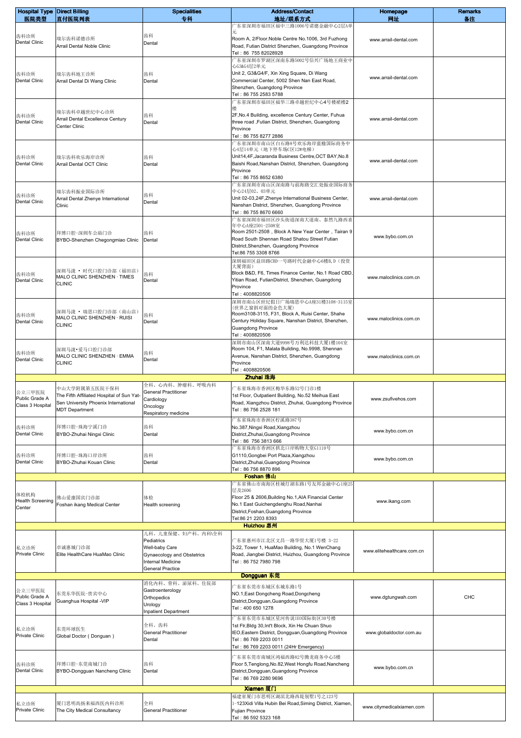| <b>Hospital Type Direct Billing</b> |                                                            | <b>Specialities</b>                                 | <b>Address/Contact</b>                                                                                         | Homepage                   | <b>Remarks</b> |
|-------------------------------------|------------------------------------------------------------|-----------------------------------------------------|----------------------------------------------------------------------------------------------------------------|----------------------------|----------------|
| 医院类型                                | 直付医院列表                                                     | 专科                                                  | 地址/联系方式<br>广东省深圳市福田区福中三路1006号诺德金融中心2层A单                                                                        | 网址                         | 备注             |
| 齿科诊所<br><b>Dental Clinic</b>        | 瑞尔齿科诺德诊所<br>Arrail Dental Noble Clinic                     | 齿科<br>Dental                                        | 元<br>Room A, 2/Floor. Noble Centre No. 1006, 3rd Fuzhong<br>Road, Futian District Shenzhen, Guangdong Province | www.arrail-dental.com      |                |
|                                     |                                                            |                                                     | Tel: 86 755 82028928<br>广东省深圳市罗湖区深南东路5002号信兴广场地王商业中                                                            |                            |                |
| 齿科诊所                                | 瑞尔齿科地王诊所                                                   | 齿科                                                  | 心G3&G4层2单元<br>Unit 2, G3&G4/F, Xin Xing Square, Di Wang                                                        |                            |                |
| <b>Dental Clinic</b>                | Arrail Dental Di Wang Clinic                               | Dental                                              | Commercial Center, 5002 Shen Nan East Road,                                                                    | www.arrail-dental.com      |                |
|                                     |                                                            |                                                     | Shenzhen, Guangdong Province<br>Tel: 86 755 2583 5788                                                          |                            |                |
|                                     |                                                            |                                                     | 广东省深圳市福田区福华三路卓越世纪中心4号楼裙楼2                                                                                      |                            |                |
| 齿科诊所                                | 瑞尔齿科卓越世纪中心诊所<br>Arrail Dental Excellence Century           | 齿科                                                  | 2F, No.4 Building, excellence Century Center, Fuhua                                                            | www.arrail-dental.com      |                |
| <b>Dental Clinic</b>                | Center Clinic                                              | Dental                                              | three road ,Futian District, Shenzhen, Guangdong<br>Province                                                   |                            |                |
|                                     |                                                            |                                                     | Tel: 86 755 8277 2886<br>广东省深圳市南山区白石路8号欢乐海岸蓝楹国际商务中                                                             |                            |                |
|                                     |                                                            |                                                     | 心4层14单元(地下停车场C区12#电梯)                                                                                          |                            |                |
| 齿科诊所<br><b>Dental Clinic</b>        | 瑞尔齿科欢乐海岸诊所<br>Arrail Dental OCT Clinic                     | 齿科<br>Dental                                        | Unit14,4F,Jacaranda Business Centre,OCT BAY,No.8<br>Baishi Road, Nanshan District, Shenzhen, Guangdong         | www.arrail-dental.com      |                |
|                                     |                                                            |                                                     | Province<br>Tel: 86 755 8652 6380                                                                              |                            |                |
|                                     |                                                            |                                                     | 广东省深圳市南山区深南路与前海路交汇处振业国际商务                                                                                      |                            |                |
| 齿科诊所                                | 瑞尔齿科振业国际诊所<br>Arrail Dental Zhenye International           | 齿科                                                  | 中心24层02、03单元<br>Unit 02-03,24F, Zhenye International Business Center,                                          | www.arrail-dental.com      |                |
| <b>Dental Clinic</b>                | Clinic                                                     | Dental                                              | Nanshan District, Shenzhen, Guangdong Province<br>Tel: 86 755 8670 6660                                        |                            |                |
|                                     |                                                            |                                                     | 广东省深圳市福田区沙头街道深南大道南、泰然九路西喜                                                                                      |                            |                |
| 齿科诊所                                | 拜博口腔-深圳车公庙门诊                                               | 齿科                                                  | 年中心A座2501-2508室<br>Room 2501-2508, Block A New Year Center, Tairan 9                                           |                            |                |
| <b>Dental Clinic</b>                | BYBO-Shenzhen Chegongmiao Clinic                           | Dental                                              | Road South Shennan Road Shatou Street Futian<br>District, Shenzhen, Guangdong Province                         | www.bybo.com.cn            |                |
|                                     |                                                            |                                                     | Tel:86 755 3308 8766                                                                                           |                            |                |
|                                     |                                                            |                                                     | 深圳福田区益田路CBD一号路时代金融中心6楼B,D(投资<br>大厦背面)                                                                          |                            |                |
| 齿科诊所<br><b>Dental Clinic</b>        | 深圳马泷 • 时代口腔门诊部(福田店)<br>MALO CLINIC SHENZHEN · TIMES        | 齿科<br>Dental                                        | Block B&D, F6, Times Finance Center, No.1 Road CBD,<br>Yitian Road, FutianDistrict, Shenzhen, Guangdong        | www.maloclinics.com.cn     |                |
|                                     | <b>CLINIC</b>                                              |                                                     | Province                                                                                                       |                            |                |
|                                     |                                                            |                                                     | Tel: 4008820506<br>深圳市南山区世纪假日广场瑞思中心A座31楼3108-3115室                                                             |                            |                |
| 齿科诊所                                | 采圳马泷 • 瑞思口腔门诊部(南山店)                                        | 齿科                                                  | (世界之窗斜对面的金色大厦)<br>Room3108-3115, F31, Block A, Ruisi Center, Shahe                                             |                            |                |
| <b>Dental Clinic</b>                | MALO CLINIC SHENZHEN · RUISI<br><b>CLINIC</b>              | Dental                                              | Century Holiday Square, Nanshan District, Shenzhen,                                                            | www.maloclinics.com.cn     |                |
|                                     |                                                            |                                                     | Guangdong Province<br>Tel: 4008820506                                                                          |                            |                |
|                                     | 深圳马泷•爱马口腔门诊部                                               |                                                     | 深圳市南山区深南大道9998号万利达科技大厦1楼104室<br>Room 104, F1, Malata Building, No.9998, Shennan                                |                            |                |
| 齿科诊所<br><b>Dental Clinic</b>        | MALO CLINIC SHENZHEN · EMMA                                | 齿科<br>Dental                                        | Avenue, Nanshan District, Shenzhen, Guangdong                                                                  | www.maloclinics.com.cn     |                |
|                                     | <b>CLINIC</b>                                              |                                                     | Province<br>Tel: 4008820506                                                                                    |                            |                |
|                                     |                                                            | 全科、心内科、肿瘤科、呼吸内科                                     | Zhuhai 珠海                                                                                                      |                            |                |
| 公立三甲医院                              | 中山大学附属第五医院干保科<br>The Fifth Affiliated Hospital of Sun Yat- | <b>General Practitioner</b>                         | 广东省珠海市香洲区梅华东路52号门诊1楼<br>1st Floor, Outpatient Building, No.52 Meihua East                                      |                            |                |
| Public Grade A<br>Class 3 Hospital  | Sen University Phoenix International                       | Cardiology<br>Oncology                              | Road, Xiangzhou District, Zhuhai, Guangdong Province                                                           | www.zsufivehos.com         |                |
|                                     | <b>MDT</b> Department                                      | Respiratory medicine                                | Tel: 86 756 2528 181                                                                                           |                            |                |
| 齿科诊所                                | 拜博口腔-珠海宁溪门诊                                                | 齿科                                                  | 广东省珠海市香洲区柠溪路387号<br>No.387, Ningxi Road, Xiangzhou                                                             | www.bybo.com.cn            |                |
| Dental Clinic                       | BYBO-Zhuhai Ningxi Clinic                                  | Dental                                              | District, Zhuhai, Guangdong Province<br>Tel: 86 756 3813 666                                                   |                            |                |
|                                     |                                                            |                                                     | 广东省珠海市香洲区拱北口岸购物大堂G1110号                                                                                        |                            |                |
| 齿科诊所<br><b>Dental Clinic</b>        | 拜博口腔-珠海口岸诊所<br>BYBO-Zhuhai Kouan Clinic                    | 齿科<br>Dental                                        | G1110, Gongbei Port Plaza, Xiangzhou<br>District, Zhuhai, Guangdong Province                                   | www.bybo.com.cn            |                |
|                                     |                                                            |                                                     | Tel: 86 756 8870 896<br>Foshan 佛山                                                                              |                            |                |
|                                     |                                                            |                                                     | 广东省佛山市南海区桂城灯湖东路1号友邦金融中心1座25                                                                                    |                            |                |
| 体检机构<br><b>Health Screening</b>     | 弗山爱康国宾门诊部                                                  | 体检                                                  | 层及2606<br>Floor 25 & 2606, Building No.1, AIA Financial Center                                                 |                            |                |
| Center                              | Foshan ikang Medical Center                                | Health screening                                    | No.1 East Guichengdenghu Road, Nanhai<br>District, Foshan, Guangdong Province                                  | www.ikang.com              |                |
|                                     |                                                            |                                                     | Tel:86 21 2203 8393                                                                                            |                            |                |
|                                     |                                                            | 儿科、儿童保健、妇产科、内科\全科                                   | Huizhou 惠州                                                                                                     |                            |                |
|                                     |                                                            | Pediatrics                                          | 广东省惠州市江北区文昌一路华贸大厦1号楼 3-22                                                                                      |                            |                |
| 私立诊所<br>Private Clinic              | 卓诚惠城门诊部<br>Elite HealthCare HuaMao Clinic                  | Well-baby Care<br>Gynaecology and Obstetrics        | 3-22, Tower 1, HuaMao Building, No.1 WenChang<br>Road, Jiangbei District, Huizhou, Guangdong Province          | www.elitehealthcare.com.cn |                |
|                                     |                                                            | <b>Internal Medicine</b><br><b>General Practice</b> | Tel: 86 752 7980 798                                                                                           |                            |                |
|                                     |                                                            |                                                     | Dongguan 东莞                                                                                                    |                            |                |
| 公立三甲医院                              |                                                            | 消化内科、骨科、泌尿科、住院部<br>Gastroenterology                 | 广东省东莞市东城区东城东路1号                                                                                                |                            |                |
| Public Grade A<br>Class 3 Hospital  | 东莞东华医院-贵宾中心<br>Guanghua Hospital -VIP                      | Orthopedics<br>Urology                              | NO.1, East Dongcheng Road, Dongcheng<br>District, Dongguan, Guangdong Province                                 | www.dgtungwah.com          | CHC            |
|                                     |                                                            | <b>Inpatient Department</b>                         | Tel: 400 650 1278                                                                                              |                            |                |
|                                     |                                                            | 全科、齿科                                               | 广东省东莞市东城区星河传说IE0国际街区30号楼<br>1st Fir, Bldg 30, Int't Block, Xin He Chuan Shuo                                   |                            |                |
| 私立诊所<br>Private Clinic              | 东莞环球医生<br>Global Doctor (Donguan)                          | <b>General Practitioner</b><br>Dental               | IEO, Eastern District, Dongguan, Guangdong Province<br>Tel: 86 769 2203 0011                                   | www.globaldoctor.com.au    |                |
|                                     |                                                            |                                                     | Tel: 86 769 2203 0011 (24Hr Emergency)                                                                         |                            |                |
|                                     |                                                            |                                                     | 广东省东莞市南城区鸿福西路82号腾龙商务中心5楼                                                                                       |                            |                |
| 齿科诊所<br><b>Dental Clinic</b>        | 拜博口腔-东莞南城门诊<br>BYBO-Dongguan Nancheng Clinic               | 齿科<br>Dental                                        | Floor 5, Tenglong, No.82, West Hongfu Road, Nancheng<br>District, Dongguan, Guangdong Province                 | www.bybo.com.cn            |                |
|                                     |                                                            |                                                     | Tel: 86 769 2280 9696                                                                                          |                            |                |
|                                     |                                                            |                                                     | Xiamen 厦门<br>福建省厦门市思明区湖滨北路西堤别墅1号之123号                                                                          |                            |                |
| 私立诊所                                | 厦门思明高扬来福西医内科诊所                                             | 全科                                                  | 1-123Xidi Villa Hubin Bei Road, Siming District, Xiamen,                                                       | www.citymedicalxiamen.com  |                |
| Private Clinic                      | The City Medical Consultancy                               | <b>General Practitioner</b>                         | Fujian Province<br>Tel: 86 592 5323 168                                                                        |                            |                |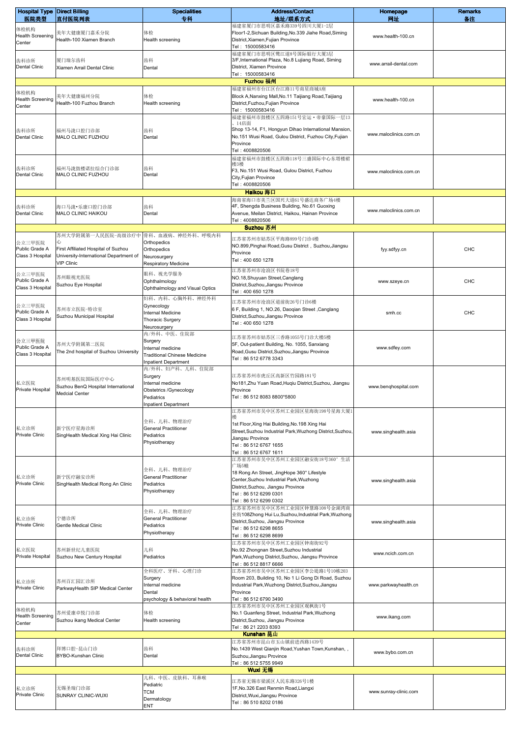| <b>Hospital Type Direct Billing</b><br>医院类型  | 直付医院列表                                                                                             | <b>Specialities</b><br>专科                                                                                              | <b>Address/Contact</b><br>地址/联系方式                                                                                                                                                                                    | Homepage<br>网址         | <b>Remarks</b><br>备注 |
|----------------------------------------------|----------------------------------------------------------------------------------------------------|------------------------------------------------------------------------------------------------------------------------|----------------------------------------------------------------------------------------------------------------------------------------------------------------------------------------------------------------------|------------------------|----------------------|
| 体检机构<br><b>Health Screening</b><br>Center    | 美年大健康厦门嘉禾分院<br>Health-100 Xiamen Branch                                                            | 体检<br>Health screening                                                                                                 | 福建省厦门市思明区嘉禾路339号四川大厦1-2层<br>Floor1-2, Sichuan Building, No.339 Jiahe Road, Siming<br>District, Xiamen, Fujian Province<br>Tel: 15000583416                                                                           | www.health-100.cn      |                      |
| 齿科诊所<br><b>Dental Clinic</b>                 | 厦门瑞尔齿科<br>Xiamen Arrail Dental Clinic                                                              | 齿科<br>Dental                                                                                                           | 福建省厦门市思明区鹭江道8号国际银行大厦3层<br>3/F, International Plaza, No.8 Lujiang Road, Siming<br>District, Xiamen Province<br>Tel: 15000583416                                                                                       | www.arrail-dental.com  |                      |
|                                              |                                                                                                    |                                                                                                                        | Fuzhou 福州                                                                                                                                                                                                            |                        |                      |
| 体检机构<br><b>Health Screening</b><br>Center    | 美年大健康福州分院<br>Health-100 Fuzhou Branch                                                              | 体检<br>Health screening                                                                                                 | 福建省福州市台江区台江路11号南星商城A座<br>Block A, Nanxing Mall, No. 11 Taijiang Road, Taijiang<br>District, Fuzhou, Fujian Province<br>Tel: 15000583416<br>福建省福州市鼓楼区五四路151号宏运・帝豪国际一层13                                               | www.health-100.cn      |                      |
| 齿科诊所<br><b>Dental Clinic</b>                 | 福州马泷口腔门诊部<br>MALO CLINIC FUZHOU                                                                    | 齿科<br>Dental                                                                                                           | - 14店面<br>Shop 13-14, F1, Hongyun Dihao International Mansion,<br>No.151 Wusi Road, Gulou District, Fuzhou City, Fujian<br>Province<br>Tel: 4008820506                                                               | www.maloclinics.com.cn |                      |
| 齿科诊所<br><b>Dental Clinic</b>                 | 福州马泷鼓楼诺拉综合门诊部<br>MALO CLINIC FUZHOU                                                                | 齿科<br>Dental                                                                                                           | 福建省福州市鼓楼区五四路118号三盛国际中心东塔楼裙<br>楼3楼<br>F3, No.151 Wusi Road, Gulou District, Fuzhou<br>City, Fujian Province<br>Tel: 4008820506                                                                                        | www.maloclinics.com.cn |                      |
|                                              |                                                                                                    |                                                                                                                        | Haikou 海口                                                                                                                                                                                                            |                        |                      |
| 齿科诊所<br><b>Dental Clinic</b>                 | 海口马泷・乐康口腔门诊部<br>MALO CLINIC HAIKOU                                                                 | 齿科<br>Dental                                                                                                           | 海南省海口市美兰区国兴大道61号盛达商务广场4楼<br>4F, Shengda Business Building, No.61 Guoxing<br>Avenue, Meilan District, Haikou, Hainan Province<br>Tel: 4008820506<br>Suzhou 苏州                                                         | www.maloclinics.com.cn |                      |
|                                              | 苏州大学附属第一人民医院-高级诊疗中                                                                                 | 骨科、血液病、神经外科、呼吸内科                                                                                                       | 江苏省苏州市姑苏区平海路899号门诊4楼                                                                                                                                                                                                 |                        |                      |
| 公立三甲医院<br>Public Grade A<br>Class 3 Hospital | First Affiliated Hospital of Suzhou<br>University-International Department of<br><b>VIP Clinic</b> | Orthopedics<br>Orthopedics<br>Neurosurgery<br>Respiratory Medicine                                                     | NO.899, Pinghai Road, Gusu District, Suzhou, Jiangsu<br>Province<br>Tel: 400 650 1278                                                                                                                                | fyy.sdfyy.cn           | CHC                  |
| 公立三甲医院<br>Public Grade A<br>Class 3 Hospital | 苏州眼视光医院<br>Suzhou Eye Hospital                                                                     | 眼科、视光学服务<br>Ophthalmology<br>Ophthalmology and Visual Optics                                                           | 江苏省苏州市沧浪区书院巷18号<br>NO.18, Shuyuan Street, Canglang<br>District, Suzhou, Jiangsu Province<br>Tel: 400 650 1278                                                                                                        | www.szeye.cn           | CHC                  |
| 公立三甲医院<br>Public Grade A<br>Class 3 Hospital | 苏州市立医院-特诊室<br>Suzhou Municipal Hospital                                                            | 妇科、内科、心胸外科、神经外科<br>Gynecology<br>Internal Medicine<br>Thoracic Surgery<br>Neurosurgery                                 | 江苏省苏州市沧浪区道前街26号门诊6楼<br>6 F, Building 1, NO.26, Daoqian Street , Canglang<br>District, Suzhou, Jiangsu Province<br>Tel: 400 650 1278                                                                                  | smh.cc                 | CHC                  |
| 公立三甲医院<br>Public Grade A<br>Class 3 Hospital | 苏州大学附属第二医院<br>The 2nd hospital of Suzhou University                                                | 内/外科、中医、住院部<br>Surgery<br>Internal medicine<br><b>Traditional Chinese Medicine</b><br><b>Inpatient Department</b>      | 江苏省苏州市姑苏区三香路1055号门诊大楼5楼<br>5F, Out-patient Building, No. 1055, Sanxiang<br>Road, Gusu District, Suzhou, Jiangsu Province<br>Tel: 86 512 6778 3343                                                                    | www.sdfey.com          |                      |
| 私立医院<br>Private Hospital                     | 苏州明基医院国际医疗中心<br>Suzhou BenQ Hospital International<br>Medcial Center                               | 内/外科、妇产科、儿科、住院部<br>Surgery<br>Internal medicine<br>Obstetrics /Gynecology<br>Pediatrics<br><b>Inpatient Department</b> | 江苏省苏州市虎丘区高新区竹园路181号<br>No181, Zhu Yuan Road, Huqiu District, Suzhou, Jiangsu<br>Province<br>Tel: 86 512 8083 8800*5800                                                                                               | www.benqhospital.com   |                      |
|                                              |                                                                                                    |                                                                                                                        | 江苏省苏州市吴中区苏州工业园区星海街198号星海大厦1                                                                                                                                                                                          |                        |                      |
| 私立诊所<br>Private Clinic                       | 新宁医疗星海诊所<br>SingHealth Medical Xing Hai Clinic                                                     | 全科、儿科、物理治疗<br><b>General Practitioner</b><br>Pediatrics<br>Physiotherapy                                               | 1st Floor, Xing Hai Building, No. 198 Xing Hai<br>Street, Suzhou Industrial Park, Wuzhong District, Suzhou,<br>Jiangsu Province<br>Tel: 86 512 6767 1655<br>Tel: 86 512 6767 1611                                    | www.singhealth.asia    |                      |
| 私立诊所<br>Private Clinic                       | 新宁医疗融安诊所<br>SingHealth Medical Rong An Clinic                                                      | 全科、儿科、物理治疗<br><b>General Practitioner</b><br>Pediatrics<br>Physiotherapy                                               | 江苏省苏州市吴中区苏州工业园区融安街18号360°生活<br>广场5幢<br>18 Rong An Street, JingHope 360° Lifestyle<br>Center, Suzhou Industrial Park, Wuzhong<br>District, Suzhou, Jiangsu Province<br>Tel: 86 512 6299 0301<br>Tel: 86 512 6299 0302 | www.singhealth.asia    |                      |
| 私立诊所<br>Private Clinic                       | 宁德诊所<br>Gentle Medical Clinic                                                                      | 全科、儿科、物理治疗<br><b>General Practitioner</b><br>Pediatrics<br>Physiotherapy                                               | 江苏省苏州市吴中区苏州工业园区钟慧路108号金湖湾商<br>业街108Zhong Hui Lu,Suzhou,Industrial Park,Wuzhong<br>District, Suzhou, Jiangsu Province<br>Tel: 86 512 6298 8655<br>Tel: 86 512 6298 8699                                               | www.singhealth.asia    |                      |
| 私立医院<br>Private Hospital                     | 苏州新世纪儿童医院<br>Suzhou New Century Hospital                                                           | 儿科<br>Pediatrics                                                                                                       | 江苏省苏州市吴中区苏州工业园区钟南街92号<br>No.92 Zhongnan Street, Suzhou Industrial<br>Park, Wuzhong District, Suzhou, Jiangsu Province<br>Tel: 86 512 8817 6666                                                                       | www.ncich.com.cn       |                      |
| 私立诊所<br>Private Clinic                       | 苏州百汇园汇诊所<br>ParkwayHealth SIP Medical Center                                                       | 全科医疗、牙科、心理门诊<br>Surgery<br>Internal medicine<br>Dental<br>psychology & behavioral health                               | 江苏省苏州市吴中区苏州工业园区李公堤路1号10栋203<br>Room 203, Building 10, No 1 Li Gong Di Road, Suzhou<br>Industrial Park, Wuzhong District, Suzhou, Jiangsu<br>Province<br>Tel: 86 512 6790 3490                                        | www.parkwayhealth.cn   |                      |
| 体检机构<br><b>Health Screening</b><br>Center    | 苏州爱康卓悦门诊部<br>Suzhou ikang Medical Center                                                           | 体检<br>Health screening                                                                                                 | 江苏省苏州市吴中区苏州工业园区观枫街1号<br>No.1 Guanfeng Street, Industrial Park, Wuzhong<br>District, Suzhou, Jiangsu Province<br>Tel: 86 21 2203 8393                                                                                 | www.ikang.com          |                      |
| 齿科诊所<br><b>Dental Clinic</b>                 | 拜博口腔-昆山门诊<br>BYBO-Kunshan Clinic                                                                   | 齿科<br>Dental                                                                                                           | Kunshan 昆山<br>江苏省苏州市昆山市玉山镇前进西路1439号<br>No.1439 West Qianjin Road, Yushan Town, Kunshan,,<br>Suzhou, Jiangsu Province<br>Tel: 86 512 5755 9949<br>Wuxi 无锡                                                             | www.bybo.com.cn        |                      |
| 私立诊所<br>Private Clinic                       | 无锡圣瑞门诊部<br>SUNRAY CLINIC-WUXI                                                                      | 儿科、中医、皮肤科、耳鼻喉<br>Pediatric<br><b>TCM</b><br>Dermatology<br>ENT                                                         | 江苏省无锡市梁溪区人民东路326号1楼<br>1F, No.326 East Renmin Road, Liangxi<br>District, Wuxi, Jiangsu Province<br>Tel: 86 510 8202 0186                                                                                             | www.sunray-clinic.com  |                      |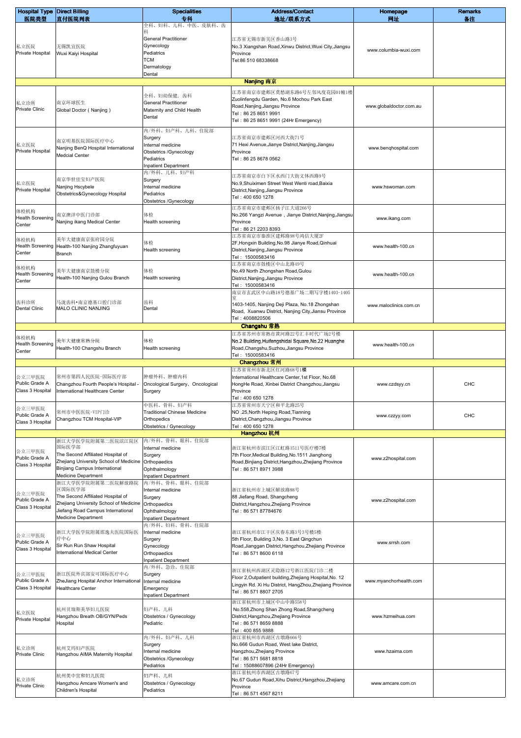| <b>Hospital Type Direct Billing</b>          |                                                                                                                                                                        | <b>Specialities</b>                                                                                                    | <b>Address/Contact</b>                                                                                                                                                        | Homepage                | <b>Remarks</b> |
|----------------------------------------------|------------------------------------------------------------------------------------------------------------------------------------------------------------------------|------------------------------------------------------------------------------------------------------------------------|-------------------------------------------------------------------------------------------------------------------------------------------------------------------------------|-------------------------|----------------|
| 医院类型                                         | 直付医院列表                                                                                                                                                                 | 专科<br>全科、妇科、儿科、中医、皮肤科、齿                                                                                                | 地址/联系方式                                                                                                                                                                       | 网址                      | 备注             |
| 私立医院<br>Private Hospital                     | 无锡凯宜医院<br>Wuxi Kaiyi Hospital                                                                                                                                          | General Practitioner<br>Gynecology<br>Pediatrics<br>тсм<br>Dermatology<br>Dental                                       | 江苏省无锡市新吴区香山路3号<br>No.3 Xiangshan Road, Xinwu District, Wuxi City, Jiangsu<br>Province<br>Tel:86 510 68338668                                                                  | www.columbia-wuxi.com   |                |
|                                              |                                                                                                                                                                        |                                                                                                                        | Nanjing 南京                                                                                                                                                                    |                         |                |
| 私立诊所<br>Private Clinic                       | 南京环球医生<br>Global Doctor (Nanjing)                                                                                                                                      | 全科、妇幼保健、齿科<br><b>General Practitioner</b><br>Maternity and Child Health<br>Dental                                      | 江苏省南京市建邺区莫愁湖东路6号左邻风度花园01幢1楼<br>Zuolinfengdu Garden, No.6 Mochou Park East<br>Road, Nanjing, Jiangsu Province<br>Tel: 86 25 8651 9991<br>Tel: 86 25 8651 9991 (24Hr Emergency) | www.globaldoctor.com.au |                |
| 私立医院<br>Private Hospital                     | 南京明基医院国际医疗中心<br>Nanjing BenQ Hospital International<br><b>Medcial Center</b>                                                                                           | 内/外科、妇产科、儿科、住院部<br>Surgery<br>Internal medicine<br>Obstetrics /Gynecology<br>Pediatrics<br><b>Inpatient Department</b> | 江苏省南京市建邺区河西大街71号<br>71 Hexi Avenue, Jianye District, Nanjing, Jiangsu<br>Province<br>Tel: 86 25 8678 0562                                                                     | www.benqhospital.com    |                |
| 私立医院<br>Private Hospital                     | 南京华世佳宝妇产医院<br>Nanjing Hscybele<br>Obstetrics&Gynecology Hospital                                                                                                       | 内/外科、儿科、妇产科<br>Surgery<br>Internal medicine<br>Pediatrics<br>Obstetrics /Gynecology                                    | 江苏省南京市白下区水西门大街文体西路9号<br>No.9, Shuiximen Street West Wenti road, Baixia<br>District, Nanjing, Jiangsu Province<br>Tel: 400 650 1278                                            | www.hswoman.com         |                |
| 体检机构<br><b>Health Screening</b><br>Center    | 南京澳洋中医门诊部<br>Nanjing ikang Medical Center                                                                                                                              | 体检<br>Health screening                                                                                                 | 江苏省南京市建邺区扬子江大道266号<br>No.266 Yangzi Avenue, Jianye District, Nanjing, Jiangsu<br>Province<br>Tel: 86 21 2203 8393                                                             | www.ikang.com           |                |
| 体检机构<br><b>Health Screening</b><br>Center    | 美年大健康南京张府园分院<br>Health-100 Nanjing Zhangfuyuan<br>Branch                                                                                                               | 体检<br>Health screening                                                                                                 | 江苏省南京市秦淮区建邺路98号鸿信大厦2F<br>2F, Hongxin Building, No.98 Jianye Road, Qinhuai<br>District, Nanjing, Jiangsu Province<br>Tel: 15000583416<br>江苏省南京市鼓楼区中山北路49号                      | www.health-100.cn       |                |
| 体检机构<br><b>Health Screening</b><br>Center    | 美年大健康南京鼓楼分院<br>Health-100 Nanjing Gulou Branch                                                                                                                         | 体检<br>Health screening                                                                                                 | No.49 North Zhongshan Road, Gulou<br>District, Nanjing, Jiangsu Province<br>Tel: 15000583416<br>南京市玄武区中山路18号德基广场二期写字楼1403-1405                                                | www.health-100.cn       |                |
| 齿科诊所<br><b>Dental Clinic</b>                 | 马泷齿科•南京德基口腔门诊部<br>MALO CLINIC NANJING                                                                                                                                  | 齿科<br>Dental                                                                                                           | 1403-1405, Nanjing Deji Plaza, No.18 Zhongshan<br>Road, Xuanwu District, Nanjing City, Jiansu Province<br>Tel: 4008820506                                                     | www.maloclinics.com.cn  |                |
| 体检机构                                         | 美年大健康常熟分院                                                                                                                                                              | 体检                                                                                                                     | Changshu 常熟<br>江苏省苏州市常熟市黄河路22号汇丰时代广场2号楼<br>No.2 Building, Huifengshidai Square, No.22 Huanghe                                                                                 |                         |                |
| <b>Health Screening</b><br>Center            | Health-100 Changshu Branch                                                                                                                                             | Health screening                                                                                                       | Road, Changshu, Suzhou, Jiangsu Province                                                                                                                                      | www.health-100.cn       |                |
|                                              |                                                                                                                                                                        |                                                                                                                        | Tel: 15000583416<br>Changzhou 常州                                                                                                                                              |                         |                |
| 公立三甲医院<br>Public Grade A<br>Class 3 Hospital | 常州市第四人民医院-国际医疗部<br>Changzhou Fourth People's Hospital -<br>International Healthcare Center                                                                             | 肿瘤外科、肿瘤内科<br>Oncological Surgery, Oncological<br>Surgery                                                               | 江苏省常州市新北区红河路68号1楼<br>International Healthcare Center, 1st Floor, No.68<br>HongHe Road, Xinbei District Changzhou, Jiangsu<br>Province<br>Tel: 400 650 1278                    | www.czdsyy.cn           | CHC            |
| 公立三甲医院<br>Public Grade A<br>Class 3 Hospital | 常州市中医医院-VIP门诊<br>Changzhou TCM Hospital-VIP                                                                                                                            | 中医科、骨科、妇产科<br><b>Traditional Chinese Medicine</b><br>Orthopedics<br>Obstetrics / Gynecology                            | 江苏省常州市天宁区和平北路25号<br>NO .25, North Heping Road, Tianning<br>District, Changzhou, Jiangsu Province<br>Tel: 400 650 1278                                                         | www.czzyy.com           | CHC            |
| 公立三甲医院<br>Public Grade A<br>Class 3 Hospital | 浙江大学医学院附属第二医院滨江院区<br>国际医学部<br>The Second Affiliated Hospital of<br>Zhejiang University School of Medicine<br>Binjiang Campus International<br>Medicine Department      | 内/外科、骨科、眼科、住院部<br>Internal medicine<br>Surgery<br>Orthopaedics<br>Ophthalmology<br><b>Inpatient Department</b>         | Hangzhou 杭州<br>浙江省杭州市滨江区江虹路1511号医疗楼7楼<br>7th Floor, Medical Building, No. 1511 Jianghong<br>Road, Binjiang District, Hangzhou, Zhejiang Province<br>Tel: 86 571 8971 3988     | www.z2hospital.com      |                |
| 公立三甲医院<br>Public Grade A<br>Class 3 Hospital | 浙江大学医学院附属第二医院解放路院<br>区国际医学部<br>The Second Affiliated Hospital of<br>Zhejiang University School of Medicine<br>Jiefang Road Campus International<br>Medicine Department | 内/外科、骨科、眼科、住院部<br>Internal medicine<br>Surgery<br>Orthopaedics<br>Ophthalmology<br><b>Inpatient Department</b>         | 浙江省杭州市上城区解放路88号<br>88 Jiefang Road, Shangcheng<br>District, Hangzhou, Zhejiang Province<br>Tel: 86 571 87784676                                                               | www.z2hospital.com      |                |
| 公立三甲医院<br>Public Grade A<br>Class 3 Hospital | 浙江大学医学院附属邵逸夫医院国际医<br>疗中心<br>Sir Run Run Shaw Hospital<br>nternational Medical Center                                                                                   | 内/外科、妇科、骨科、住院部<br>Internal medicine<br>Surgery<br>Gynecology<br>Orthopaedics<br><b>Inpatient Department</b>            | 浙江省杭州市江干区庆春东路3号3号楼5楼<br>5th Floor, Building 3, No. 3 East Qingchun<br>Road, Jianggan District, Hangzhou, Zhejiang Province<br>Tel: 86 571 8600 6118                           | www.srrsh.com           |                |
| 公立三甲医院<br>Public Grade A<br>Class 3 Hospital | 浙江医院外宾部安可国际医疗中心<br>ZheJiang Hospital Anchor International<br><b>Healthcare Center</b>                                                                                  | 内/外科、急诊、住院部<br>Surgery<br>Internal medicine<br>Emergency<br>Inpatient Department                                       | 浙江省杭州西湖区灵隐路12号浙江医院门诊二楼<br>Floor 2, Outpatient building, Zhejiang Hospital, No. 12<br>Lingyin Rd. Xi Hu District, HangZhou,Zhejiang Province<br>Tel: 86 571 8807 2705          | www.myanchorhealth.com  |                |
| 私立医院<br>Private Hospital                     | 杭州贝瑞斯美华妇儿医院<br>Hangzhou Breath OB/GYN/Peds<br>Hospital                                                                                                                 | 妇产科、儿科<br>Obstetrics / Gynecology<br>Pediatric                                                                         | 浙江省杭州市上城区中山中路558号<br>No.558, Zhong Shan Zhong Road, Shangcheng<br>District, Hangzhou, Zhejiang Province<br>Tel: 86 571 8659 8888<br>Tel: 400 855 9888                         | www.hzmeihua.com        |                |
| 私立诊所<br>Private Clinic                       | 杭州艾玛妇产医院<br>Hangzhou AIMA Maternity Hospital                                                                                                                           | 内/外科、妇产科、儿科<br>Surgery<br>Internal medicine<br>Obstetrics /Gynecology<br>Pediatrics                                    | 浙江省杭州市西湖区古墩路666号<br>No.666 Gudun Road, West lake District,<br>Hangzhou, Zhejiang Province<br>Tel: 86 571 5681 8818<br>Tel: 15088607896 (24Hr Emergency)                       | www.hzaima.com          |                |
| 私立诊所<br>Private Clinic                       | 杭州美中宜和妇儿医院<br>Hangzhou Amcare Women's and<br>Children's Hospital                                                                                                       | 妇产科、儿科<br>Obstetrics / Gynecology<br>Pediatrics                                                                        | 浙江省杭州市西湖区古墩路67号<br>No.67 Gudun Road, Xihu District, Hangzhou, Zhejiang<br>Province<br>Tel: 86 571 4567 8211                                                                   | www.amcare.com.cn       |                |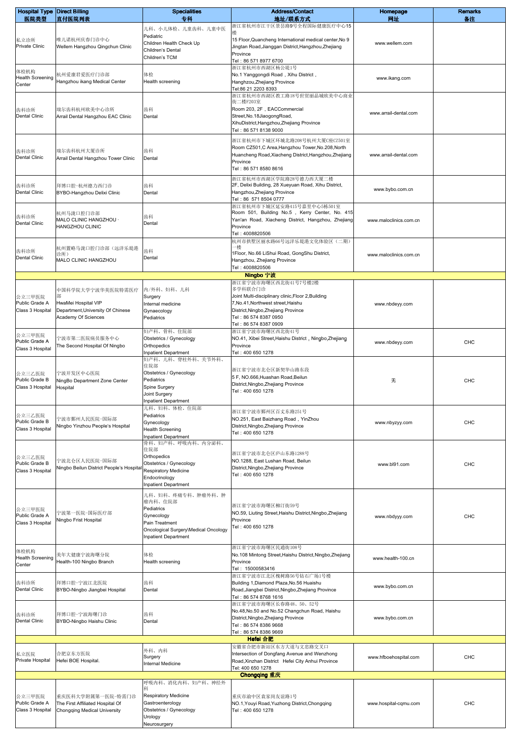| <b>Hospital Type Direct Billing</b><br>医院类型  | 直付医院列表                                                                                               | <b>Specialities</b><br>专科                                                                                                                         | <b>Address/Contact</b><br>地址/联系方式                                                                                                                                                                                    | Homepage<br>网址         | <b>Remarks</b><br>备注 |
|----------------------------------------------|------------------------------------------------------------------------------------------------------|---------------------------------------------------------------------------------------------------------------------------------------------------|----------------------------------------------------------------------------------------------------------------------------------------------------------------------------------------------------------------------|------------------------|----------------------|
|                                              |                                                                                                      | 儿科、小儿体检、儿童齿科、儿童中医                                                                                                                                 | 浙江省杭州市江干区景昙路9号全程国际健康医疗中心15                                                                                                                                                                                           |                        |                      |
| 私立诊所<br>Private Clinic                       | 唯儿诺杭州庆春门诊中心<br>Wellem Hangzhou Qingchun Clinic                                                       | Pediatric<br>Children Health Check Up<br>Children's Dental                                                                                        | 15 Floor, Quancheng International medical center, No 9<br>Jingtan Road, Jianggan District, Hangzhou, Zhejiang                                                                                                        | www.wellem.com         |                      |
| 体检机构<br><b>Health Screening</b><br>Center    | 杭州爱康君爱医疗门诊部<br>Hangzhou ikang Medical Center                                                         | Children's TCM<br>体检<br>Health screening                                                                                                          | Province<br>Tel: 86 571 8977 6700<br>浙江省杭州市西湖区杨公堤1号<br>No.1 Yanggongdi Road, Xihu District,<br>Hanghzou, Zhejiang Province<br>Tel:86 21 2203 8393                                                                    | www.ikang.com          |                      |
| 齿科诊所<br><b>Dental Clinic</b>                 | 瑞尔齿科杭州欧美中心诊所<br>Arrail Dental Hangzhou EAC Clinic                                                    | 齿科<br>Dental                                                                                                                                      | 浙江省杭州市西湖区教工路18号世贸丽晶城欧美中心商业<br>街二楼F203室<br>Room 203, 2F, EACCommercial<br>Street, No. 18 Jiaogong Road,<br>XihuDistrict, Hangzhou, Zhejiang Province<br>Tel: 86 571 8138 9000                                         | www.arrail-dental.com  |                      |
| 齿科诊所<br><b>Dental Clinic</b>                 | 瑞尔齿科杭州大厦诊所<br>Arrail Dental Hangzhou Tower Clinic                                                    | 齿科<br>Dental                                                                                                                                      | 浙江省杭州市下城区环城北路208号杭州大厦C座CZ501室<br>Room CZ501,C Area, Hangzhou Tower, No.208, North<br>Huancheng Road, Xiacheng District, Hangzhou, Zhejiang<br>Province<br>Tel: 86 571 8580 8616                                      | www.arrail-dental.com  |                      |
| 齿科诊所<br><b>Dental Clinic</b>                 | 拜博口腔-杭州德力西门诊<br>BYBO-Hangzhou Delixi Clinic                                                          | 齿科<br>Dental                                                                                                                                      | 浙江省杭州市西湖区学院路28号德力西大厦二楼<br>2F, Delixi Building, 28 Xueyuan Road, Xihu District,<br>Hangzhou, Zhejiang Province<br>Tel: 86 571 8504 0777                                                                               | www.bybo.com.cn        |                      |
| 齿科诊所<br><b>Dental Clinic</b>                 | 杭州马泷口腔门诊部<br>MALO CLINIC HANGZHOU ·<br>HANGZHOU CLINIC                                               | 齿科<br>Dental                                                                                                                                      | 浙江省杭州市下城区延安路415号嘉里中心5栋501室<br>Room 501, Building No.5, Kerry Center, No. 415<br>Yan'an Road, Xiacheng District, Hangzhou, Zhejiang<br>Province<br>Tel: 4008820506<br>杭州市拱墅区丽水路66号远洋乐堤港文化体验区(二期)                      | www.maloclinics.com.cn |                      |
| 齿科诊所<br><b>Dental Clinic</b>                 | 杭州置略马泷口腔门诊部(远洋乐堤港<br>诊所)<br>MALO CLINIC HANGZHOU                                                     | 齿科<br>Dental                                                                                                                                      | 1Floor, No.66 LiShui Road, GongShu District,<br>Hangzhou, Zhejiang Province<br>Tel: 4008820506                                                                                                                       | www.maloclinics.com.cn |                      |
|                                              |                                                                                                      |                                                                                                                                                   | Ningbo 宁波                                                                                                                                                                                                            |                        |                      |
| 公立三甲医院<br>Public Grade A<br>Class 3 Hospital | 中国科学院大学宁波华美医院特需医疗<br>HwaMei Hospital VIP<br>Department, University Of Chinese<br>Academy Of Sciences | 内/外科、妇科、儿科<br>Surgery<br>Internal medicine<br>Gynaecology<br>Pediatrics                                                                           | 浙江省宁波市海曙区西北街41号7号楼2楼<br>多学科联合门诊<br>Joint Multi-disciplinary clinic, Floor 2, Building<br>7, No.41, Northwest street, Haishu<br>District, Ningbo, Zhejiang Province<br>Tel: 86 574 8387 0950<br>Tel: 86 574 8387 0909 | www.nbdeyy.com         |                      |
| 公立三甲医院<br>Public Grade A<br>Class 3 Hospital | 宁波市第二医院病员服务中心<br>The Second Hospital Of Ningbo                                                       | 妇产科、骨科、住院部<br>Obstetrics / Gynecology<br>Orthopedics<br><b>Inpatient Department</b>                                                               | 浙江省宁波市海曙区西北街41号<br>NO.41, Xibei Street, Haishu District, Ningbo, Zhejiang<br>Province<br>Tel: 400 650 1278                                                                                                           | www.nbdeyy.com         | CHC                  |
| 公立三乙医院<br>Public Grade B<br>Class 3 Hospital | 宁波开发区中心医院<br>NingBo Department Zone Center<br>Hospital                                               | 妇产科、儿科、脊柱外科、关节外科、<br>住院部<br>Obstetrics / Gynecology<br>Pediatrics<br>Spine Surgery<br>Joint Surgery<br>Inpatient Department                       | 浙江省宁波市北仑区新契华山路东段<br>5 F, NO.666, Huashan Road, Beilun<br>District, Ningbo, Zhejiang Province<br>Tel: 400 650 1278                                                                                                    | 无                      | <b>CHC</b>           |
| 公立三乙医院<br>Public Grade B<br>Class 3 Hospital | 宁波市鄞州人民医院-国际部<br>Ningbo Yinzhou People's Hospital                                                    | 儿科、妇科、体检、住院部<br>Pediatrics<br>Gynecology<br><b>Health Screening</b><br><b>Inpatient Department</b>                                                | 浙江省宁波市鄞州区百丈东路251号<br>NO.251, East Baizhang Road, YinZhou<br>District, Ningbo, Zhejiang Province<br>Tel: 400 650 1278                                                                                                 | www.nbyzyy.com         | <b>CHC</b>           |
| 公立三乙医院<br>Public Grade B<br>Class 3 Hospital | 宁波北仑区人民医院-国际部<br>Ningbo Beilun District People's Hospita                                             | 骨科、妇产科、呼吸内科、内分泌科、<br>住院部<br>Orthopedics<br>Obstetrics / Gynecology<br><b>Respiratory Medicine</b><br>Endocrinology<br><b>Inpatient Department</b> | 浙江省宁波市北仑区庐山东路1288号<br>NO.1288, East Lushan Road, Beilun<br>District, Ningbo, Zhejiang Province<br>Tel: 400 650 1278                                                                                                  | www.bl91.com           | <b>CHC</b>           |
| 公立三甲医院<br>Public Grade A<br>Class 3 Hospital | 宁波第一医院-国际医疗部<br>Ningbo Frist Hospital                                                                | 儿科、妇科、疼痛专科、肿瘤外科、肿<br>瘤内科、住院部<br>Pediatrics<br>Gynecology<br>Pain Treatment<br>Oncological Surgery\Medical Oncology<br><b>Inpatient Department</b> | 浙江省宁波市海曙区柳汀街59号<br>NO.59, Liuting Street, Haishu District, Ningbo, Zhejiang<br>Province<br>Tel: 400 650 1278                                                                                                         | www.nbdyyy.com         | CHC                  |
| 体检机构<br><b>Health Screening</b><br>Center    | 美年大健康宁波海曙分院<br>Health-100 Ningbo Branch                                                              | 体检<br>Health screening                                                                                                                            | 浙江省宁波市海曙区民通街108号<br>No.108 Mintong Street, Haishu District, Ningbo, Zhejiang<br>Province<br>Tel: 15000583416                                                                                                         | www.health-100.cn      |                      |
| 齿科诊所<br><b>Dental Clinic</b>                 | 拜博口腔-宁波江北医院<br>BYBO-Ningbo Jiangbei Hospital                                                         | 齿科<br>Dental                                                                                                                                      | 浙江省宁波市江北区槐树路56号钻石广场1号楼<br>Building 1, Diamond Plaza, No.56 Huaishu<br>Road, Jiangbei District, Ningbo, Zhejiang Province<br>Tel: 86 574 8768 1616                                                                    | www.bybo.com.cn        |                      |
| 齿科诊所<br>Dental Clinic                        | 拜博口腔-宁波海曙门诊<br>BYBO-Ningbo Haishu Clinic                                                             | 齿科<br>Dental                                                                                                                                      | 浙江省宁波市海曙区长春路48、50、52号<br>No.48, No.50 and No.52 Changchun Road, Haishu<br>District, Ningbo, Zhejiang Province<br>Tel: 86 574 8386 9668<br>Tel: 86 574 8386 9669<br>Hefei 合肥                                          | www.bybo.com.cn        |                      |
| 私立医院<br>Private Hospital                     | 合肥京东方医院<br>Hefei BOE Hospital.                                                                       | 外科、内科<br>Surgery<br>Internal Medicine                                                                                                             | 安徽省合肥市新站区东方大道与文忠路交叉口<br>Intersection of Dongfang Avenue and Wenzhong<br>Road, Xinzhan District Hefei City Anhui Province<br>Tel: 400 650 1278                                                                        | www.hfboehospital.com  | <b>CHC</b>           |
|                                              |                                                                                                      | 呼吸内科、消化内科、妇产科、神经外                                                                                                                                 | Chongqing 重庆                                                                                                                                                                                                         |                        |                      |
| 公立三甲医院<br>Public Grade A<br>Class 3 Hospital | 重庆医科大学附属第一医院-特需门诊<br>The First Affiliated Hospital Of<br>Chongqing Medical University                | 科<br>Respiratory Medicine<br>Gastroenterology<br>Obstetrics / Gynecology<br>Urology<br>Neurosurgery                                               | 重庆市渝中区袁家岗友谊路1号<br>NO.1, Youyi Road, Yuzhong District, Chongging<br>Tel: 400 650 1278                                                                                                                                 | www.hospital-cqmu.com  | <b>CHC</b>           |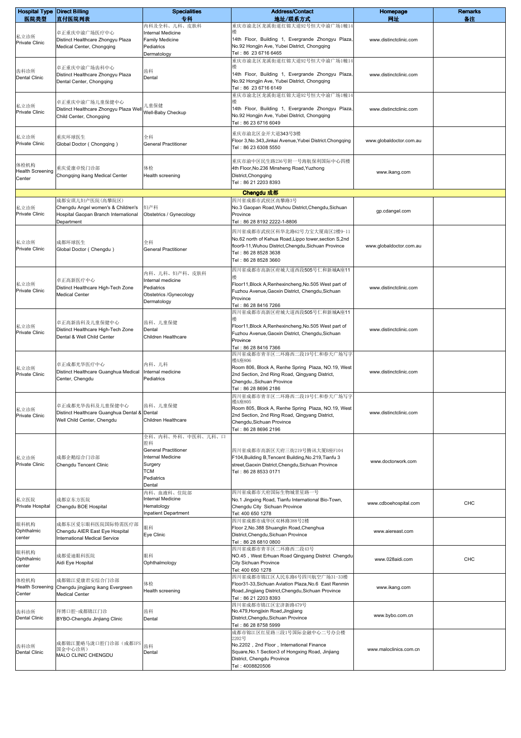| <b>Hospital Type Direct Billing</b><br>医院类型 | 直付医院列表                                                                     | <b>Specialities</b><br>专科                               | <b>Address/Contact</b><br>地址/联系方式                                                                              | Homepage<br>网址          | <b>Remarks</b><br>备注 |
|---------------------------------------------|----------------------------------------------------------------------------|---------------------------------------------------------|----------------------------------------------------------------------------------------------------------------|-------------------------|----------------------|
|                                             |                                                                            | 内科及全科、儿科、皮肤科                                            | 重庆市渝北区龙溪街道红锦大道92号恒大中渝广场1幢14                                                                                    |                         |                      |
| 私立诊所                                        | 卓正重庆中渝广场医疗中心<br>Distinct Healthcare Zhongyu Plaza                          | <b>Internal Medicine</b><br>Family Medicine             | 14th Floor, Building 1, Evergrande Zhongyu Plaza,                                                              | www.distinctclinic.com  |                      |
| Private Clinic                              | Medical Center, Chongqing                                                  | Pediatrics                                              | No.92 Hongjin Ave, Yubei District, Chongqing                                                                   |                         |                      |
|                                             |                                                                            | Dermatology                                             | Tel: 86 23 6716 6465                                                                                           |                         |                      |
|                                             | 卓正重庆中渝广场齿科中心                                                               |                                                         | 重庆市渝北区龙溪街道红锦大道92号恒大中渝广场1幢14                                                                                    |                         |                      |
| 齿科诊所<br>Dental Clinic                       | Distinct Healthcare Zhongyu Plaza                                          | 齿科<br>Dental                                            | 14th Floor, Building 1, Evergrande Zhongyu Plaza,                                                              | www.distinctclinic.com  |                      |
|                                             | Dental Center, Chongqing                                                   |                                                         | No.92 Hongjin Ave, Yubei District, Chongqing<br>Tel: 86 23 6716 6149                                           |                         |                      |
|                                             |                                                                            |                                                         | 重庆市渝北区龙溪街道红锦大道92号恒大中渝广场1幢14                                                                                    |                         |                      |
| 私立诊所                                        | 卓正重庆中渝广场儿童保健中心<br>Distinct Healthcare Zhongyu Plaza Well                   | 儿童保健                                                    | 楼<br>14th Floor, Building 1, Evergrande Zhongyu Plaza,                                                         | www.distinctclinic.com  |                      |
| Private Clinic                              | Child Center, Chongqing                                                    | Well-Baby Checkup                                       | No.92 Hongjin Ave, Yubei District, Chongqing                                                                   |                         |                      |
|                                             |                                                                            |                                                         | Tel: 86 23 6716 6049                                                                                           |                         |                      |
| 私立诊所                                        | 重庆环球医生                                                                     | 全科                                                      | 重庆市渝北区金开大道343号3楼<br>Floor 3, No.343, Jinkai Avenue, Yubei District. Chongqing                                  | www.globaldoctor.com.au |                      |
| Private Clinic                              | Global Doctor (Chongqing)                                                  | <b>General Practitioner</b>                             | Tel: 86 23 6308 5550                                                                                           |                         |                      |
|                                             |                                                                            |                                                         | 重庆市渝中区民生路236号附一号海航保利国际中心四楼                                                                                     |                         |                      |
| 体检机构<br><b>Health Screening</b>             | 重庆爱康卓悦门诊部                                                                  | 体检                                                      | 4th Floor, No.236 Minsheng Road, Yuzhong                                                                       | www.ikang.com           |                      |
| Center                                      | Chongqing ikang Medical Center                                             | Health screening                                        | District, Chongqing<br>Tel: 86 21 2203 8393                                                                    |                         |                      |
|                                             |                                                                            |                                                         | Chengdu 成都                                                                                                     |                         |                      |
|                                             | 成都安琪儿妇产医院(高攀院区)                                                            |                                                         | 四川省成都市武侯区高攀路3号                                                                                                 |                         |                      |
| 私立诊所<br>Private Clinic                      | Chengdu Angel women's & Children's<br>Hospital Gaopan Branch International | 妇产科<br>Obstetrics / Gynecology                          | No.3 Gaopan Road, Wuhou District, Chengdu, Sichuan<br>Province                                                 | gp.cdangel.com          |                      |
|                                             | Department                                                                 |                                                         | Tel: 86 28 8192 2222-1-8806                                                                                    |                         |                      |
|                                             |                                                                            |                                                         | 四川省成都市武侯区科华北路62号力宝大厦南区2楼9-11                                                                                   |                         |                      |
| 私立诊所                                        | 成都环球医生                                                                     | 全科                                                      | No.62 north of Kehua Road, Lippo tower, section S, 2nd<br>floor9-11, Wuhou District, Chengdu, Sichuan Province | www.globaldoctor.com.au |                      |
| Private Clinic                              | Global Doctor (Chengdu)                                                    | <b>General Practitioner</b>                             | Tel: 86 28 8528 3638                                                                                           |                         |                      |
|                                             |                                                                            |                                                         | Tel: 86 28 8528 3660                                                                                           |                         |                      |
|                                             |                                                                            | 内科、儿科、妇产科、皮肤科                                           | 四川省成都市高新区府城大道西段505号仁和新城A座11                                                                                    |                         |                      |
| 私立诊所                                        | 卓正高新医疗中心<br>Distinct Healthcare High-Tech Zone                             | Internal medicine<br>Pediatrics                         | Floor11, Block A, Renhexincheng, No.505 West part of                                                           | www.distinctclinic.com  |                      |
| Private Clinic                              | <b>Medical Center</b>                                                      | Obstetrics /Gynecology                                  | Fuzhou Avenue, Gaoxin District, Chengdu, Sichuan<br>Province                                                   |                         |                      |
|                                             |                                                                            | Dermatology                                             | Tel: 86 28 8416 7266                                                                                           |                         |                      |
|                                             |                                                                            |                                                         | 四川省成都市高新区府城大道西段505号仁和新城A座11                                                                                    |                         |                      |
| 私立诊所                                        | 卓正高新齿科及儿童保健中心<br>Distinct Healthcare High-Tech Zone                        | 齿科、儿童保健<br>Dental                                       | Floor11, Block A, Renhexincheng, No.505 West part of                                                           | www.distinctclinic.com  |                      |
| Private Clinic                              | Dental & Well Child Center                                                 | Children Healthcare                                     | Fuzhou Avenue, Gaoxin District, Chengdu, Sichuan<br>Province                                                   |                         |                      |
|                                             |                                                                            |                                                         | Tel: 86 28 8416 7366                                                                                           |                         |                      |
|                                             |                                                                            |                                                         | 四川省成都市青羊区二环路西二段19号仁和春天广场写字<br>楼A座806                                                                           |                         |                      |
| 私立诊所                                        | 卓正成都光华医疗中心<br>Distinct Healthcare Guanghua Medical                         | 内科、儿科<br>Internal medicine                              | Room 806, Block A, Renhe Spring Plaza, NO.19, West                                                             | www.distinctclinic.com  |                      |
| Private Clinic                              | Center, Chengdu                                                            | Pediatrics                                              | 2nd Section, 2nd Ring Road, Qingyang District,<br>Chengdu., Sichuan Province                                   |                         |                      |
|                                             |                                                                            |                                                         | Tel: 86 28 8696 2186                                                                                           |                         |                      |
|                                             |                                                                            |                                                         | 四川省成都市青羊区二环路西二段19号仁和春天广场写字<br>122 A / 120 A                                                                    |                         |                      |
| 私立诊所                                        | 卓正成都光华齿科及儿童保健中心<br>Distinct Healthcare Guanghua Dental &                   | 齿科、儿童保健<br>Dental                                       | Room 805, Block A, Renhe Spring Plaza, NO.19, West<br>2nd Section, 2nd Ring Road, Qingyang District,           | www.distinctclinic.com  |                      |
| Private Clinic                              | Well Child Center, Chengdu                                                 | Children Healthcare                                     | Chengdu, Sichuan Province                                                                                      |                         |                      |
|                                             |                                                                            | 全科、内科、外科、中医科、儿科、口                                       | Tel: 86 28 8696 2196                                                                                           |                         |                      |
|                                             |                                                                            | 腔科                                                      |                                                                                                                |                         |                      |
|                                             | 成都企鹅综合门诊部                                                                  | <b>General Practitioner</b><br><b>Internal Medicine</b> | 四川省成都市高新区天府三街219号腾讯大厦B座F104                                                                                    |                         |                      |
| 私立诊所<br>Private Clinic                      | Chengdu Tencent Clinic                                                     | Surgery                                                 | F104, Building B, Tencent Building, No.219, Tianfu 3<br>street, Gaoxin District, Chengdu, Sichuan Province     | www.doctorwork.com      |                      |
|                                             |                                                                            | <b>TCM</b><br>Pediatrics                                | Tel: 86 28 8533 0171                                                                                           |                         |                      |
|                                             |                                                                            | Dental                                                  |                                                                                                                |                         |                      |
| 私立医院                                        | 成都京东方医院                                                                    | 内科、血液科、住院部<br>Internal Medicine                         | 四川省成都市天府国际生物城景星路一号<br>No.1 Jingxing Road, Tianfu International Bio-Town,                                       |                         |                      |
| Private Hospital                            | Chengdu BOE Hospital                                                       | Hematology                                              | Chengdu City Sichuan Province                                                                                  | www.cdboehospital.com   | CHC                  |
|                                             |                                                                            | <b>Inpatient Department</b>                             | Tel: 400 650 1278<br>四川省成都市成华区双林路388号2楼                                                                        |                         |                      |
| 眼科机构<br>Ophthalmic                          | 成都东区爱尔眼科医院国际特需医疗部<br>Chengdu AIER East Eye Hospital                        | 眼科                                                      | Floor 2, No.388 Shuanglin Road, Chenghua                                                                       | www.aiereast.com        |                      |
| center                                      | International Medical Service                                              | Eye Clinic                                              | District, Chengdu, Sichuan Province<br>Tel: 86 28 6810 0800                                                    |                         |                      |
| 眼科机构                                        |                                                                            |                                                         | 四川省成都市青羊区二环路西二段43号                                                                                             |                         |                      |
| Ophthalmic                                  | 成都爱迪眼科医院<br>Aidi Eye Hospital                                              | 眼科<br>Ophthalmology                                     | NO.45, West Erhuan Road Qingyang District Chengdu<br>City Sichuan Province                                     | www.028aidi.com         | CHC                  |
| center                                      |                                                                            |                                                         | Tel: 400 650 1278                                                                                              |                         |                      |
| 体检机构                                        | 成都锦江爱康君安综合门诊部                                                              | 体检                                                      | 四川省成都市锦江区人民东路6号四川航空广场31-33楼<br>Floor31-33, Sichuan Aviation Plaza, No.6 East Renmin                            |                         |                      |
| <b>Health Screening</b><br>Center           | Chengdu jingjiang ikang Evergreen<br><b>Medical Center</b>                 | Health screening                                        | Road, Jingjiang District, Chengdu, Sichuan Province                                                            | www.ikang.com           |                      |
|                                             |                                                                            |                                                         | Tel: 86 21 2203 8393<br>四川省成都市锦江区宏济新路479号                                                                      |                         |                      |
| 齿科诊所                                        | 拜博口腔-成都锦江门诊                                                                | 齿科                                                      | No.479, Hongjixin Road, Jingjiang                                                                              | www.bybo.com.cn         |                      |
| Dental Clinic                               | BYBO-Chengdu Jinjiang Clinic                                               | Dental                                                  | District, Chengdu, Sichuan Province<br>Tel: 86 28 8758 5999                                                    |                         |                      |
|                                             |                                                                            |                                                         | 成都市锦江区红星路三段1号国际金融中心二号办公楼<br>2202号                                                                              |                         |                      |
| 齿科诊所                                        | 成都锦江置略马泷口腔门诊部(成都IFS<br>国金中心诊所)                                             | 齿科                                                      | No.2202, 2nd Floor, International Finance                                                                      |                         |                      |
| Dental Clinic                               | MALO CLINIC CHENGDU                                                        | Dental                                                  | Square, No.1 Section3 of Hongxing Road, Jinjiang<br>District, Chengdu Province                                 | www.maloclinics.com.cn  |                      |
|                                             |                                                                            |                                                         | Tel: 4008820506                                                                                                |                         |                      |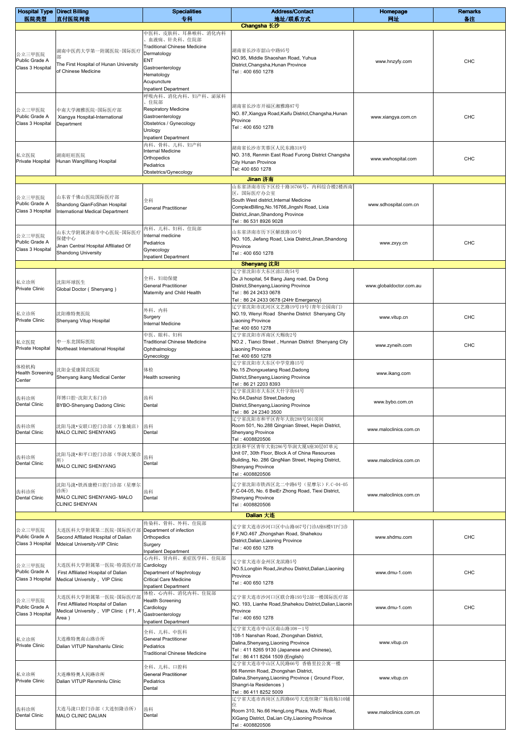| <b>Hospital Type Direct Billing</b><br>医院类型  |                                                                                                             | <b>Specialities</b><br>专科                                                                                                                                                     | <b>Address/Contact</b><br>地址/联系方式                                                                                                                                                     | Homepage<br>网址          | <b>Remarks</b> |
|----------------------------------------------|-------------------------------------------------------------------------------------------------------------|-------------------------------------------------------------------------------------------------------------------------------------------------------------------------------|---------------------------------------------------------------------------------------------------------------------------------------------------------------------------------------|-------------------------|----------------|
|                                              | 直付医院列表                                                                                                      |                                                                                                                                                                               | Changsha 长沙                                                                                                                                                                           |                         | 备注             |
| 公立三甲医院<br>Public Grade A<br>Class 3 Hospital | 湖南中医药大学第一附属医院-国际医疗<br>部<br>The First Hospital of Hunan University<br>of Chinese Medicine                    | 中医科、皮肤科、耳鼻喉科、消化内科<br>血液病、针灸科、住院部<br><b>Traditional Chinese Medicine</b><br>Dermatology<br>ENT<br>Gastroenterology<br>Hematology<br>Acupuncture<br><b>Inpatient Department</b> | 湖南省长沙市韶山中路95号<br>NO.95, Middle Shaoshan Road, Yuhua<br>District, Changsha, Hunan Province<br>Tel: 400 650 1278                                                                        | www.hnzyfy.com          | <b>CHC</b>     |
| 公立三甲医院<br>Public Grade A<br>Class 3 Hospital | 中南大学湘雅医院-国际医疗部<br>Xiangya Hospital-International<br>Department                                              | 呼吸内科、消化内科、妇产科、泌尿科<br>、住院部<br><b>Respiratory Medicine</b><br>Gastroenterology<br>Obstetrics / Gynecology<br>Urology<br><b>Inpatient Department</b>                             | 湖南省长沙市开福区湘雅路87号<br>NO. 87, Xiangya Road, Kaifu District, Changsha, Hunan<br>Province<br>Tel: 400 650 1278                                                                             | www.xiangya.com.cn      | CHC            |
| 私立医院<br>Private Hospital                     | 湖南旺旺医院<br>Hunan WangWang Hospital                                                                           | 内科、骨科、儿科、妇产科<br><b>Internal Medicine</b><br>Orthopedics<br>Pediatrics<br>Obstetrics/Gynecology                                                                                | 湖南省长沙市芙蓉区人民东路318号<br>NO. 318, Renmin East Road Furong District Changsha<br>City Hunan Province<br>Tel: 400 650 1278                                                                   | www.wwhospital.com      | CHC            |
|                                              |                                                                                                             |                                                                                                                                                                               | Jinan 济南<br>山东省济南市历下区经十路16766号, 内科综合楼2楼西南                                                                                                                                             |                         |                |
| 公立三甲医院<br>Public Grade A<br>Class 3 Hospital | 山东省千佛山医院国际医疗部<br>Shandong QianFoShan Hospital<br>nternational Medical Department                            | 全科<br><b>General Practitioner</b>                                                                                                                                             | 区,国际医疗办公室<br>South West district, Internal Medicine<br>ComplexBilling, No. 16766, Jingshi Road, Lixia<br>District, Jinan, Shandong Province<br>Tel: 86 531 8926 9028                  | www.sdhospital.com.cn   |                |
| 公立三甲医院<br>Public Grade A<br>Class 3 Hospital | 山东大学附属济南市中心医院-国际医疗<br>保健中心<br>Jinan Central Hospital Affiliated Of<br><b>Shandong University</b>            | 内科、儿科、妇科、住院部<br>Internal medicine<br>Pediatrics<br>Gynecology<br><b>Inpatient Department</b>                                                                                  | 山东省济南市历下区解放路105号<br>NO. 105, Jiefang Road, Lixia District, Jinan, Shandong<br>Province<br>Tel: 400 650 1278                                                                           | www.zxyy.cn             | CHC            |
|                                              |                                                                                                             |                                                                                                                                                                               | Shenyang 沈阳<br>辽宁省沈阳市大东区滂江街54号                                                                                                                                                        |                         |                |
| 私立诊所<br>Private Clinic                       | 沈阳环球医生<br>Global Doctor (Shenyang)                                                                          | 全科、妇幼保健<br><b>General Practitioner</b><br>Maternity and Child Health                                                                                                          | De Ji hospital, 54 Bang Jiang road, Da Dong<br>District, Shenyang, Liaoning Province<br>Tel: 86 24 2433 0678<br>Tel: 86 24 2433 0678 (24Hr Emergency)                                 | www.globaldoctor.com.au |                |
| 私立诊所<br>Private Clinic                       | 沈阳维特奥医院<br>Shenyang Vitup Hospital                                                                          | 外科、内科<br>Surgery<br><b>Internal Medicine</b>                                                                                                                                  | 辽宁省沈阳市沈河区文艺路19号19号(青年公园南门)<br>NO.19, Wenyi Road Shenhe District Shenyang City<br><b>Liaoning Province</b><br>Tel: 400 650 1278                                                        | www.vitup.cn            | <b>CHC</b>     |
| 私立医院<br>Private Hospital                     | 中一东北国际医院<br>Northeast International Hospital                                                                | 中医、眼科、妇科<br><b>Traditional Chinese Medicine</b><br>Ophthalmology<br>Gynecology                                                                                                | 辽宁省沈阳市浑南区天赐街2号<br>NO.2, Tianci Street, Hunnan District Shenyang City<br>Liaoning Province<br>Tel: 400 650 1278                                                                        | www.zyneih.com          | CHC            |
| 体检机构<br><b>Health Screening</b><br>Center    | 尤阳金爱康国宾医院<br>Shenyang ikang Medical Center                                                                  | 体检<br>Health screening                                                                                                                                                        | 辽宁省沈阳市大东区中学堂路15号<br>No.15 Zhongxuetang Road, Dadong<br>District, Shenyang, Liaoning Province<br>Tel: 86 21 2203 8393                                                                  | www.ikang.com           |                |
| 齿科诊所<br>Dental Clinic                        | 拜博口腔-沈阳大东门诊<br>BYBO-Shenyang Dadong Clinic                                                                  | 齿科<br>Dental                                                                                                                                                                  | 辽宁省沈阳市大东区大什字街64号<br>No.64, Dashizi Street, Dadong<br>District, Shenyang, Liaoning Province<br>Tel: 86 24 2340 3500                                                                    | www.bybo.com.cn         |                |
| 齿科诊所<br>Dental Clinic                        | 沈阳马泷•安联口腔门诊部(万象城店)<br>MALO CLINIC SHENYANG                                                                  | 齿科<br>Dental                                                                                                                                                                  | 辽宁省沈阳市和平区青年大街288号501房间<br>Room 501, No.288 Qingnian Street, Hepin District,<br>Shenyang Province<br>Tel: 4008820506                                                                   | www.maloclinics.com.cn  |                |
| 齿科诊所<br><b>Dental Clinic</b>                 | 沈阳马泷•和平口腔门诊部(华润大厦诊<br>所)<br>MALO CLINIC SHENYANG                                                            | 齿科<br>Dental                                                                                                                                                                  | 沈阳和平区青年大街286号华润大厦A座30层07单元<br>Unit 07, 30th Floor, Block A of China Resources<br>Building, No. 286 QingNian Street, Heping District,<br>Shenyang Province<br>Tel: 4008820506          | www.maloclinics.com.cn  |                |
| 齿科诊所<br><b>Dental Clinic</b>                 | 沈阳马泷•铁西康橙口腔门诊部(星摩尔<br>诊所)<br>MALO CLINIC SHENYANG- MALO<br><b>CLINIC SHENYAN</b>                            | 齿科<br>Dental                                                                                                                                                                  | 辽宁省沈阳市铁西区北二中路6号(星摩尔)F.C-04-05<br>F.C-04-05, No. 6 BeiEr Zhong Road, Tiexi District,<br><b>Shenyang Province</b><br>Tel: 4008820506                                                    | www.maloclinics.com.cn  |                |
|                                              |                                                                                                             |                                                                                                                                                                               | <b>Dalian 大连</b>                                                                                                                                                                      |                         |                |
| 公立三甲医院<br>Public Grade A<br>Class 3 Hospital | 大连医科大学附属第二医院-国际医疗部<br>Second Affilated Hospital of Dalian<br>Mdeical University-VIP Clinic                  | 传染科、骨科、外科、住院部<br>Department of infection<br>Orthopedics<br>Surgery<br><b>Inpatient Department</b>                                                                             | 辽宁省大连市沙河口区中山路467号门诊A座6楼VIP门诊<br>6 F, NO.467, Zhongshan Road, Shahekou<br>District, Dalian, Liaoning Province<br>Tel: 400 650 1278                                                     | www.shdmu.com           | CHC            |
| 公立三甲医院<br>Public Grade A<br>Class 3 Hospital | 大连医科大学附属第一医院-特需医疗部<br>First Affiliated Hospital of Dalian<br>Medical University, VIP Clinic                 | 心内科、肾内科、重症医学科、住院部<br>Cardiology<br>Department of Nephrology<br><b>Critical Care Medicine</b><br><b>Inpatient Department</b>                                                   | 辽宁省大连市金州区龙滨路5号<br>NO.5, Longbin Road, Jinzhou District, Dalian, Liaoning<br>Province<br>Tel: 400 650 1278                                                                             | www.dmu-1.com           | <b>CHC</b>     |
| 公立三甲医院<br>Public Grade A<br>Class 3 Hospital | 大连医科大学附属第一医院-国际医疗部<br>First Affiliated Hospital of Dalian<br>Medical University, VIP Clinic (F1, A<br>Area) | 体检、心内科、消化内科、住院部<br><b>Health Screening</b><br>Cardiology<br>Gastroenterology<br><b>Inpatient Department</b>                                                                   | 辽宁省大连市沙河口区联合路193号2部一楼国际医疗部<br>NO. 193, Lianhe Road, Shahekou District, Dalian, Liaonin<br>Province<br>Tel: 400 650 1278                                                               | www.dmu-1.com           | CHC            |
| 私立诊所<br>Private Clinic                       | 大连维特奥南山路诊所<br>Dalian VITUP Nanshanlu Clinic                                                                 | 全科、儿科、中医科<br><b>General Practitioner</b><br>Pediatrics<br><b>Traditional Chinese Medicine</b>                                                                                 | 辽宁省大连市中山区南山路108-1号<br>108-1 Nanshan Road, Zhongshan District,<br>Dalina, Shenyang, Liaoning Province<br>Tel: 411 8265 9130 (Japanese and Chinese),<br>Tel: 86 411 8264 1509 (English) | www.vitup.cn            |                |
| 私立诊所<br>Private Clinic                       | 大连维特奥人民路诊所<br>Dalian VITUP Renminlu Clinic                                                                  | 全科、儿科、口腔科<br><b>General Practitioner</b><br>Pediatrics<br>Dental                                                                                                              | 辽宁省大连市中山区人民路66号 香格里拉公寓一楼<br>66 Renmin Road, Zhongshan District,<br>Dalina, Shenyang, Liaoning Province (Ground Floor,<br>Shangri-la Residences)<br>Tel: 86 411 8252 5009              | www.vitup.cn            |                |
| 齿科诊所<br><b>Dental Clinic</b>                 | 大连马泷口腔门诊部 (大连恒隆诊所)<br>MALO CLINIC DALIAN                                                                    | 齿科<br>Dental                                                                                                                                                                  | 辽宁省大连市西岗区五四路66号大连恒隆广场商场310铺<br>Room 310, No.66 HengLong Plaza, WuSi Road,<br>XiGang District, DaLian City, Liaoning Province<br>Tel: 4008820506                                       | www.maloclinics.com.cn  |                |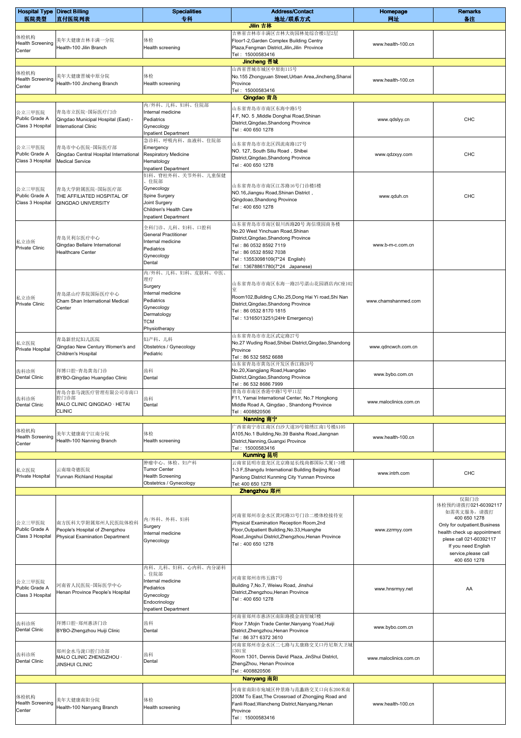| <b>Hospital Type Direct Billing</b><br>医院类型  | 直付医院列表                                                                                 | <b>Specialities</b><br>专科                                                                                                      | <b>Address/Contact</b><br>地址/联系方式                                                                                                                                                                                             | Homepage<br>网址         | <b>Remarks</b><br>备注                                                                                                                                                                                               |
|----------------------------------------------|----------------------------------------------------------------------------------------|--------------------------------------------------------------------------------------------------------------------------------|-------------------------------------------------------------------------------------------------------------------------------------------------------------------------------------------------------------------------------|------------------------|--------------------------------------------------------------------------------------------------------------------------------------------------------------------------------------------------------------------|
|                                              |                                                                                        |                                                                                                                                | Jilin 吉林                                                                                                                                                                                                                      |                        |                                                                                                                                                                                                                    |
| 体检机构<br><b>Health Screening</b><br>Center    | 美年大健康吉林丰满一分院<br>Health-100 Jilin Branch                                                | 体检<br>Health screening                                                                                                         | 吉林省吉林市丰满区吉林大街园林处综合楼1层2层<br>Floor1-2, Garden Complex Building Centry<br>Plaza, Fengman District, Jilin, Jilin Province<br>Tel: 15000583416                                                                                     | www.health-100.cn      |                                                                                                                                                                                                                    |
|                                              |                                                                                        |                                                                                                                                | Jincheng 晋城                                                                                                                                                                                                                   |                        |                                                                                                                                                                                                                    |
| 体检机构<br><b>Health Screening</b><br>Center    | 美年大健康晋城中原分院<br>Health-100 Jincheng Branch                                              | 体检<br>Health screening                                                                                                         | 山西省晋城市城区中原街115号<br>No.155 Zhongyuan Street, Urban Area, Jincheng, Shanxi<br>Province<br>Tel: 15000583416                                                                                                                      | www.health-100.cn      |                                                                                                                                                                                                                    |
|                                              |                                                                                        | 内/外科、儿科、妇科、住院部                                                                                                                 | Qingdao 青岛<br>山东省青岛市市南区东海中路5号                                                                                                                                                                                                 |                        |                                                                                                                                                                                                                    |
| 公立三甲医院<br>Public Grade A<br>Class 3 Hospital | 青岛市立医院-国际医疗门诊<br>Qingdao Municipal Hospital (East) -<br>International Clinic           | Internal medicine<br>Pediatrics<br>Gynecology<br><b>Inpatient Department</b>                                                   | 4 F, NO. 5, Middle Donghai Road, Shinan<br>District, Qingdao, Shandong Province<br>Tel: 400 650 1278                                                                                                                          | www.qdslyy.cn          | CHC                                                                                                                                                                                                                |
| 公立三甲医院<br>Public Grade A<br>Class 3 Hospital | 青岛市中心医院-国际医疗部<br>Qingdao Central Hospital International<br><b>Medical Service</b>      | 急诊科、呼吸内科、血液科、住院部<br>Emergency<br><b>Respiratory Medicine</b><br>Hematology<br><b>Inpatient Department</b><br>妇科、脊柱外科、关节外科、儿童保健 | 山东省青岛市市北区四流南路127号<br>NO. 127, South Siliu Road, Shibei<br>District, Qingdao, Shandong Province<br>Tel: 400 650 1278                                                                                                           | www.qdzxyy.com         | <b>CHC</b>                                                                                                                                                                                                         |
| 公立三甲医院<br>Public Grade A<br>Class 3 Hospital | 青岛大学附属医院-国际医疗部<br>THE AFFILIATED HOSPITAL OF<br>QINGDAO UNIVERSITY                     | 住院部<br>Gynecology<br>Spine Surgery<br>Joint Surgery<br>Children's Health Care<br><b>Inpatient Department</b>                   | 山东省青岛市市南区江苏路16号门诊楼5楼<br>NO.16, Jiangsu Road, Shinan District,<br>Qingdoao, Shandong Province<br>Tel: 400 650 1278                                                                                                             | www.qduh.cn            | <b>CHC</b>                                                                                                                                                                                                         |
| 私立诊所<br>Private Clinic                       | 青岛贝利尔医疗中心<br>Qingdao Bellaire International<br>Healthcare Center                       | 全科门诊、儿科、妇科、口腔科<br><b>General Practitioner</b><br>Internal medicine<br>Pediatrics<br>Gynecology<br>Dental<br>内/外科、儿科、妇科、皮肤科、中医、 | 山东省青岛市市南区银川西路20号 海信璞园商务楼<br>No.20 West Yinchuan Road, Shinan<br>District, Qingdao, Shandong Province<br>Tel: 86 0532 8592 7119<br>Tel: 86 0532 8592 7038<br>Tel: 13553098109(7*24 English)<br>Tel: 13678861780(7*24 Japanese) | www.b-m-c.com.cn       |                                                                                                                                                                                                                    |
| 私立诊所<br><b>Private Clinic</b>                | 青岛湛山疗养院国际医疗中心<br>Cham Shan International Medical<br>Center                             | 理疗<br>Surgery<br>Internal medicine<br>Pediatrics<br>Gynecology<br>Dermatology<br><b>TCM</b><br>Physiotherapy                   | 山东省青岛市市南区东海一路25号湛山花园酒店内C座102<br>室<br>Room102, Building C, No.25, Dong Hai Yi road, Shi Nan<br>District, Qingdao, Shandong Province<br>Tel: 86 0532 8170 1815<br>Tel: 13165013251(24Hr Emergency)                              | www.chamshanmed.com    |                                                                                                                                                                                                                    |
| 私立医院<br>Private Hospital                     | 青岛新世纪妇儿医院<br>Qingdao New Century Women's and<br>Children's Hospital                    | 妇产科、儿科<br>Obstetrics / Gynecology<br>Pediatric                                                                                 | 山东省青岛市市北区武定路27号<br>No.27 Wuding Road, Shibei District, Qingdao, Shandong<br>Province<br>Tel: 86 532 5852 6688                                                                                                                 | www.qdncwch.com.cn     |                                                                                                                                                                                                                    |
| 齿科诊所<br>Dental Clinic                        | 拜博口腔-青岛黄岛门诊<br>BYBO-Qingdao Huangdao Clinic                                            | 齿科<br>Dental                                                                                                                   | 山东省青岛市黄岛区开发区香江路20号<br>No.20, Xiangjiang Road, Huangdao<br>District, Qingdao, Shandong Province<br>Tel: 86 532 8686 7999                                                                                                       | www.bybo.com.cn        |                                                                                                                                                                                                                    |
| 齿科诊所<br>Dental Clinic                        | 青岛合泰马泷医疗管理有限公司市南口<br>腔门诊部<br>MALO CLINIC QINGDAO · HETAI<br><b>CLINIC</b>              | 齿科<br>Dental                                                                                                                   | 青岛市市南区香港中路7号甲11层<br>F11, Yamai International Center, No.7 Hongkong<br>Middle Road A, Qingdao, Shandong Province<br>Tel: 4008820506                                                                                            | www.maloclinics.com.cn |                                                                                                                                                                                                                    |
|                                              |                                                                                        |                                                                                                                                | Nanning 南宁                                                                                                                                                                                                                    |                        |                                                                                                                                                                                                                    |
| 体检机构<br><b>Health Screening</b><br>Center    | 美年大健康南宁江南分院<br>Health-100 Nanning Branch                                               | 体检<br>Health screening                                                                                                         | 一西省南宁市江南区白沙大道39号锦绣江南1号楼A105<br>A105, No.1 Building, No.39 Baisha Road, Jiangnan<br>District, Nanning, Guangxi Province<br>Tel: 15000583416<br>Kunming 昆明                                                                      | www.health-100.cn      |                                                                                                                                                                                                                    |
|                                              |                                                                                        | 肿瘤中心、体检、妇产科<br><b>Tumor Center</b>                                                                                             | 云南省昆明市盘龙区北京路延长线尚都国际大厦1-3楼                                                                                                                                                                                                     |                        |                                                                                                                                                                                                                    |
| 私立医院<br>Private Hospital                     | 云南瑞奇德医院<br>Yunnan Richland Hospital                                                    | <b>Health Screening</b><br>Obstetrics / Gynecology                                                                             | 1-3 F, Shangdu International Building Beijing Road<br>Panlong District Kunming City Yunnan Province                                                                                                                           | www.intrh.com          | CHC                                                                                                                                                                                                                |
|                                              |                                                                                        |                                                                                                                                | Tel: 400 650 1278<br>Zhengzhou 郑州                                                                                                                                                                                             |                        |                                                                                                                                                                                                                    |
| 公立三甲医院<br>Public Grade A<br>Class 3 Hospital | 南方医科大学附属郑州人民医院体检科<br>People's Hospital of Zhengzhou<br>Physical Examination Department | 内/外科、外科、妇科<br>Surgery<br>Internal medicine<br>Gynecology                                                                       | 河南省郑州市金水区黄河路33号门诊二楼体检接待室<br>Physical Examination Reception Room, 2nd<br>Floor, Outpatient Building, No.33, Huanghe<br>Road, Jingshui District, Zhengzhou, Henan Province<br>Tel: 400 650 1278                                 | www.zzrmyy.com         | 仅限门诊<br>体检预约请拨打021-60392117<br>如需英文服务,请拨打<br>400 650 1278<br>Only for outpatient.Business<br>health check up appointment<br>plese call 021-60392117<br>If you need English<br>service, please call<br>400 650 1278 |
| 公立三甲医院<br>Public Grade A<br>Class 3 Hospital | 河南省人民医院-国际医学中心<br>Henan Province People's Hospital                                     | 内科、儿科、妇科、心内科、内分泌科<br>住院部<br>Internal medicine<br>Pediatrics<br>Gynecology<br>Endocrinology<br><b>Inpatient Department</b>      | 河南省郑州市纬五路7号<br>Building 7, No.7, Weiwu Road, Jinshui<br>District, Zhengzhou, Henan Province<br>Tel: 400 650 1278                                                                                                              | www.hnsrmyy.net        | AA                                                                                                                                                                                                                 |
| 齿科诊所<br>Dental Clinic                        | 拜博口腔-郑州惠济门诊<br>BYBO-Zhengzhou Huiji Clinic                                             | 齿科<br>Dental                                                                                                                   | 河南省郑州市惠济区南阳路摸金商贸城7楼<br>Floor 7, Mojin Trade Center, Nanyang Yoad, Huiji<br>District, Zhengzhou, Henan Province<br>Tel: 86 371 6372 3610                                                                                       | www.bybo.com.cn        |                                                                                                                                                                                                                    |
| 齿科诊所<br><b>Dental Clinic</b>                 | 郑州金水马泷口腔门诊部<br>MALO CLINIC ZHENGZHOU ·<br><b>JINSHUI CLINIC</b>                        | 齿科<br>Dental                                                                                                                   | 河南省郑州市金水区二七路与太康路交叉口丹尼斯大卫城<br>1301室<br>Room 1301, Dennis David Plaza, JinShui District,<br>ZhengZhou, Henan Province<br>Tel: 4008820506                                                                                        | www.maloclinics.com.cn |                                                                                                                                                                                                                    |
|                                              |                                                                                        |                                                                                                                                | Nanyang 南阳                                                                                                                                                                                                                    |                        |                                                                                                                                                                                                                    |
| 体检机构<br><b>Health Screening</b><br>Center    | 美年大健康南阳分院<br>Health-100 Nanyang Branch                                                 | 体检<br>Health screening                                                                                                         | 河南省南阳市宛城区仲景路与范蠡路交叉口向东200米南<br>200M To East, The Crossroad of Zhongjing Road and<br>Fanli Road, Wancheng District, Nanyang, Henan<br>Province<br>Tel: 15000583416                                                              | www.health-100.cn      |                                                                                                                                                                                                                    |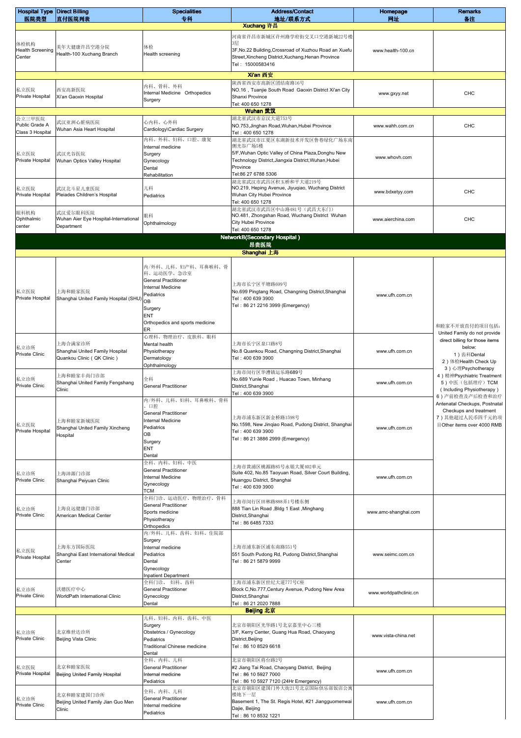| <b>Hospital Type Direct Billing</b>       |                                                     | <b>Specialities</b>                                     | <b>Address/Contact</b>                                                                                            | Homepage               | <b>Remarks</b>                                                 |
|-------------------------------------------|-----------------------------------------------------|---------------------------------------------------------|-------------------------------------------------------------------------------------------------------------------|------------------------|----------------------------------------------------------------|
| 医院类型                                      | 直付医院列表                                              | 专科                                                      | 地址/联系方式<br>Xuchang 许昌                                                                                             | 网址                     | 备注                                                             |
|                                           |                                                     |                                                         | 河南省许昌市新城区许州路学府街交叉口空港新城22号楼                                                                                        |                        |                                                                |
| 体检机构<br><b>Health Screening</b><br>Center | 美年大健康许昌空港分院<br>Health-100 Xuchang Branch            | 体检<br>Health screening                                  | 3层<br>3F, No.22 Building, Crossroad of Xuzhou Road an Xuefu<br>Street, Xincheng District, Xuchang, Henan Province | www.health-100.cn      |                                                                |
|                                           |                                                     |                                                         | Tel: 15000583416                                                                                                  |                        |                                                                |
|                                           |                                                     |                                                         | Xi'an 西安                                                                                                          |                        |                                                                |
| 私立医院                                      | 西安高新医院                                              | 内科、骨科、外科                                                | 陕西省西安市高新区团结南路16号<br>NO.16, Tuanjie South Road Gaoxin District Xi'an City                                          |                        |                                                                |
| Private Hospital                          | Xi'an Gaoxin Hospital                               | Internal Medicine Orthopedics                           | Shanxi Province                                                                                                   | www.gxyy.net           | CHC                                                            |
|                                           |                                                     | Surgery                                                 | Tel: 400 650 1278                                                                                                 |                        |                                                                |
| 公立三甲医院                                    |                                                     |                                                         | Wuhan 武汉<br>湖北省武汉市京汉大道753号                                                                                        |                        |                                                                |
| Public Grade A                            | 武汉亚洲心脏病医院<br>Wuhan Asia Heart Hospital              | 心内科、心外科<br>Cardiology\Cardiac Surgery                   | NO.753, Jinghan Road, Wuhan, Hubei Province                                                                       | www.wahh.com.cn        | CHC                                                            |
| Class 3 Hospital                          |                                                     | 内科、外科、妇科、口腔、康复                                          | Tel: 400 650 1278<br>湖北省武汉市江夏区东湖新技术开发区鲁巷绿化广场东南                                                                    |                        |                                                                |
|                                           |                                                     | Internal medicine                                       | 侧光谷广场5楼                                                                                                           |                        |                                                                |
| 私立医院<br>Private Hospital                  | 武汉光谷医院<br>Wuhan Optics Valley Hospital              | Surgery<br>Gynecology                                   | 5/F, Wuhan Optic Valley of China Plaza, Donghu New<br>Technology District, Jiangxia District, Wuhan, Hubei        | www.whovh.com          |                                                                |
|                                           |                                                     | Dental                                                  | Province<br>Tel:86 27 6788 5306                                                                                   |                        |                                                                |
|                                           |                                                     | Rehabilitation                                          | 湖北省武汉市武昌区积玉桥和平大道219号                                                                                              |                        |                                                                |
| 私立医院<br>Private Hospital                  | 武汉北斗星儿童医院<br>Pleiades Children's Hospital           | 儿科                                                      | NO.219, Heping Avenue, Jiyuqiao, Wuchang District<br>Wuhan City Hubei Province                                    | www.bdxetyy.com        | CHC                                                            |
|                                           |                                                     | Pediatrics                                              | Tel: 400 650 1278                                                                                                 |                        |                                                                |
| 眼科机构                                      | 武汉爱尔眼科医院                                            | 眼科                                                      | 湖北省武汉市武昌区中山路481号(武昌大东门)<br>NO.481, Zhongshan Road, Wuchang District Wuhan                                         |                        |                                                                |
| Ophthalmic<br>center                      | Wuhan Aier Eye Hospital-International<br>Department | Ophthalmology                                           | City Hubei Province                                                                                               | www.aierchina.com      | CHC                                                            |
|                                           |                                                     |                                                         | Tel: 400 650 1278                                                                                                 |                        |                                                                |
|                                           |                                                     |                                                         | <b>NetworkB(Secondary Hospital)</b><br>昂贵医院                                                                       |                        |                                                                |
|                                           |                                                     |                                                         | Shanghai 上海                                                                                                       |                        |                                                                |
|                                           |                                                     | 内/外科、儿科、妇产科、耳鼻喉科、骨                                      |                                                                                                                   |                        |                                                                |
|                                           |                                                     | 科、运动医学、急诊室                                              |                                                                                                                   |                        |                                                                |
|                                           |                                                     | <b>General Practitioner</b><br><b>Internal Medicine</b> | 上海市长宁区平塘路699号                                                                                                     |                        |                                                                |
| 私立医院<br>Private Hospital                  | 上海和睦家医院<br>Shanghai United Family Hospital (SHU)    | Pediatrics                                              | No.699 Pingtang Road, Changning District, Shanghai<br>Tel: 400 639 3900                                           | www.ufh.com.cn         |                                                                |
|                                           |                                                     | OB<br>Surgery                                           | Tel: 86 21 2216 3999 (Emergency)                                                                                  |                        |                                                                |
|                                           |                                                     | <b>ENT</b>                                              |                                                                                                                   |                        |                                                                |
|                                           |                                                     | Orthopedics and sports medicine<br>ER                   |                                                                                                                   |                        | 和睦家不开放直付的项目包括:                                                 |
|                                           |                                                     | 心理科、物理治疗、皮肤科、眼科                                         |                                                                                                                   |                        | United Family do not provide<br>direct billing for those items |
| 私立诊所                                      | 上海合满家诊所<br>Shanghai United Family Hospital          | Mental health<br>Physiotherapy                          | 上海市长宁区泉口路8号<br>No.8 Quankou Road, Changning District, Shanghai                                                    | www.ufh.com.cn         | below:                                                         |
| Private Clinic                            | Quankou Clinic ( QK Clinic )                        | Dermatology                                             | Tel: 400 639 3900                                                                                                 |                        | 1) 齿科Dental<br>2) 体检Health Check Up                            |
|                                           |                                                     | Ophthalmology                                           | 上海市闵行区华漕镇运乐路689号                                                                                                  |                        | 3) 心理Psychotherapy                                             |
| 私立诊所                                      | 上海和睦家丰尚门诊部<br>Shanghai United Family Fengshang      | 全科                                                      | No.689 Yunle Road, Huacao Town, Minhang                                                                           | www.ufh.com.cn         | 4) 精神Psychiatric Treatment<br>5)中医(包括理疗) TCM                   |
| Private Clinic                            | Clinic                                              | <b>General Practitioner</b>                             | District, Shanghai<br>Tel: 400 639 3900                                                                           |                        | (Including Physiotherapy)                                      |
|                                           |                                                     | 内/外科、儿科、妇科、耳鼻喉科、骨科                                      |                                                                                                                   |                        | 6) 产前检查及产后检查和治疗<br>Antenatal Checkups, Postnatal               |
|                                           |                                                     | 、口腔<br><b>General Practitioner</b>                      |                                                                                                                   |                        | Checkups and treatment                                         |
| 私立医院                                      | 上海和睦家新城医院                                           | <b>Internal Medicine</b><br>Pediatrics                  | 上海市浦东新区新金桥路1598号<br>No.1598, New Jinqiao Road, Pudong District, Shanghai                                          |                        | 7) 其他超过人民币四千元的项<br>目Other items over 4000 RMB                  |
| Private Hospital                          | Shanghai United Family Xincheng<br>Hospital         | OB                                                      | Tel: 400 639 3900                                                                                                 | www.ufh.com.cn         |                                                                |
|                                           |                                                     | Surgery<br><b>ENT</b>                                   | Tel: 86 21 3886 2999 (Emergency)                                                                                  |                        |                                                                |
|                                           |                                                     | Dental                                                  |                                                                                                                   |                        |                                                                |
|                                           |                                                     | 全科、内科、妇科、中医<br><b>General Practitioner</b>              | 上海市黄浦区桃源路85号永银大厦402单元                                                                                             |                        |                                                                |
| 私立诊所<br>Private Clinic                    | 上海沛源门诊部<br>Shanghai Peiyuan Clinic                  | <b>Internal Medicine</b>                                | Suite 402, No.85 Taoyuan Road, Silver Court Building,<br>Huangpu District, Shanghai                               | www.ufh.com.cn         |                                                                |
|                                           |                                                     | Gynecology<br>тсм                                       | Tel: 400 639 3900                                                                                                 |                        |                                                                |
|                                           |                                                     | 全科门诊、运动医疗、物理治疗、骨科                                       | 上海市闵行区田林路888弄1号楼东侧                                                                                                |                        |                                                                |
| 私立诊所                                      | 上海良远健康门诊部                                           | <b>General Practitioner</b><br>Sports medicine          | 888 Tian Lin Road , Bldg 1 East , Minghang                                                                        | www.amc-shanghai.com   |                                                                |
| <b>Private Clinic</b>                     | American Medical Center                             | Physiotherapy                                           | District, Shanghai<br>Tel: 86 6485 7333                                                                           |                        |                                                                |
|                                           |                                                     | Orthopedics<br>内/外科、儿科、齿科、妇科、住院部                        |                                                                                                                   |                        |                                                                |
|                                           |                                                     | Surgery                                                 |                                                                                                                   |                        |                                                                |
| 私立医院                                      | 上海东方国际医院<br>Shanghai East International Medical     | Internal medicine<br>Pediatrics                         | 上海市浦东新区浦东南路551号<br>551 South Pudong Rd, Pudong District, Shanghai                                                 | www.seimc.com.cn       |                                                                |
| Private Hospital                          | Center                                              | Dental                                                  | Tel: 86 21 5879 9999                                                                                              |                        |                                                                |
|                                           |                                                     | Gynecology<br><b>Inpatient Department</b>               |                                                                                                                   |                        |                                                                |
|                                           |                                                     | 全科门诊、 妇科、齿科                                             | 上海市浦东新区世纪大道777号C座                                                                                                 |                        |                                                                |
| 私立诊所<br><b>Private Clinic</b>             | 沃德医疗中心<br>WorldPath International Clinic            | <b>General Practitioner</b><br>Gynecology               | Block C, No. 777, Century Avenue, Pudong New Area<br>District, Shanghai                                           | www.worldpathclinic.cn |                                                                |
|                                           |                                                     | Dental                                                  | Tel: 86 21 2020 7888                                                                                              |                        |                                                                |
|                                           |                                                     | 儿科、妇科、内科、齿科、中医                                          | Beijing 北京                                                                                                        |                        |                                                                |
|                                           |                                                     | Surgery                                                 | 北京市朝阳区光华路1号北京嘉里中心三楼                                                                                               |                        |                                                                |
| 私立诊所<br><b>Private Clinic</b>             | 北京维世达诊所<br>Beijing Vista Clinic                     | Obstetrics / Gynecology<br>Pediatrics                   | 3/F, Kerry Center, Guang Hua Road, Chaoyang<br>District, Beijing                                                  | www.vista-china.net    |                                                                |
|                                           |                                                     | Traditional Chinese medicine                            | Tel: 86 10 8529 6618                                                                                              |                        |                                                                |
|                                           |                                                     | Dental<br>全科、内科、儿科                                      | 北京市朝阳区将台路2号                                                                                                       |                        |                                                                |
| 私立医院                                      | 北京和睦家医院                                             | <b>General Practitioner</b>                             | #2 Jiang Tai Road, Chaoyang District, Beijing                                                                     | www.ufh.com.cn         |                                                                |
| Private Hospital                          | Beijing United Family Hospital                      | Internal medicine<br>Pediatrics                         | Tel: 86 10 5927 7000<br>Tel: 86 10 5927 7120 (24Hr Emergency)                                                     |                        |                                                                |
|                                           |                                                     | 全科、内科、儿科                                                | 北京市朝阳区建国门外大街21号北京国际俱乐部饭店公寓<br>楼地下一层                                                                               |                        |                                                                |
| 私立诊所<br>Private Clinic                    | 北京和睦家建国门诊所<br>Beijing United Family Jian Guo Men    | <b>General Practitioner</b><br>Internal medicine        | Basement 1, The St. Regis Hotel, #21 Jiangguomenwai                                                               | www.ufh.com.cn         |                                                                |
|                                           | Clinic                                              | Pediatrics                                              | Dajie, Beijing<br>Tel: 86 10 8532 1221                                                                            |                        |                                                                |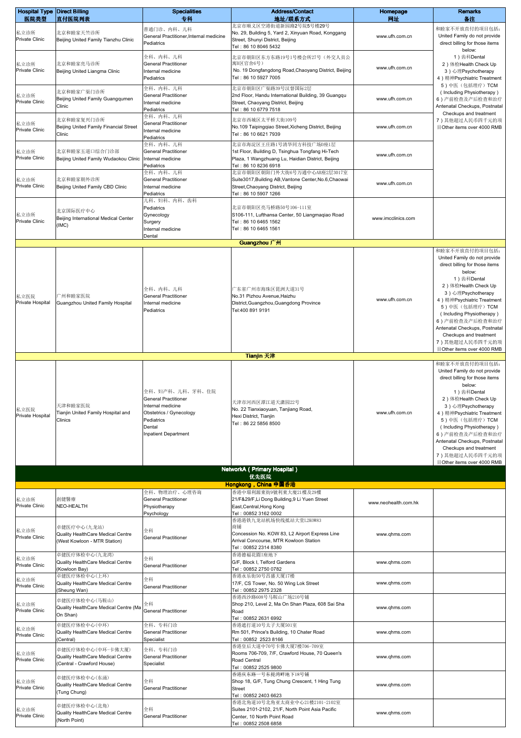| <b>Hospital Type Direct Billing</b> |                                                                 | <b>Specialities</b>                                            | <b>Address/Contact</b><br>地址/联系方式                                                                              | Homepage             | <b>Remarks</b>                                                             |
|-------------------------------------|-----------------------------------------------------------------|----------------------------------------------------------------|----------------------------------------------------------------------------------------------------------------|----------------------|----------------------------------------------------------------------------|
| 医院类型                                | 直付医院列表                                                          | 专科<br>普通门诊、内科、儿科                                               | 北京市顺义区空港街道新园路2号院5号楼29号                                                                                         | 网址                   | 备注<br>和睦家不开放直付的项目包括:                                                       |
| 私立诊所<br>Private Clinic              | 北京和睦家天竺诊所<br>Beijing United Family Tianzhu Clinic               | General Practitioner, Internal medicine<br>Pediatrics          | No. 29, Building 5, Yard 2, Xinyuan Road, Konggang<br>Street, Shunyi District, Beijing<br>Tel: 86 10 8046 5432 | www.ufh.com.cn       | United Family do not provide<br>direct billing for those items<br>below:   |
|                                     |                                                                 | 全科、内科、儿科                                                       | 北京市朝阳区东方东路19号1号楼会所27号(外交人员公                                                                                    |                      | 1) 齿科Dental                                                                |
| 私立诊所<br><b>Private Clinic</b>       | 北京和睦家亮马诊所<br>Beijing United Liangma Clinic                      | <b>General Practitioner</b><br>Internal medicine<br>Pediatrics | 寓B区官舍6号)<br>No. 19 Dongfangdong Road, Chaoyang District, Beijing<br>Tel: 86 10 5927 7005                       | www.ufh.com.cn       | 2) 体检Health Check Up<br>3) 心理Psychotherapy<br>4) 精神Psychiatric Treatment   |
| 私立诊所                                | 北京和睦家广渠门诊所                                                      | 全科、内科、儿科<br><b>General Practitioner</b>                        | 北京市朝阳区广渠路39号汉督国际2层<br>2nd Floor, Handu International Building, 39 Guangqu                                      |                      | 5)中医(包括理疗) TCM<br>(Including Physiotherapy)                                |
| <b>Private Clinic</b>               | Beijing United Family Guangqumen<br>Clinic                      | Internal medicine<br>Pediatrics                                | Street, Chaoyang District, Beijing<br>Tel: 86 10 6779 7518                                                     | www.ufh.com.cn       | 6) 产前检查及产后检查和治疗<br>Antenatal Checkups, Postnatal<br>Checkups and treatment |
| 私立诊所                                | 北京和睦家复兴门诊所                                                      | 全科、内科、儿科<br><b>General Practitioner</b>                        | 北京市西城区太平桥大街109号                                                                                                |                      | 7) 其他超过人民币四千元的项                                                            |
| Private Clinic                      | Beijing United Family Financial Street<br>Clinic                | Internal medicine<br>Pediatrics                                | No.109 Taipingqiao Street, Xicheng District, Beijing<br>Tel: 86 10 6621 7939                                   | www.ufh.com.cn       | 目Other items over 4000 RMB                                                 |
| 私立诊所                                | 北京和睦家五道口综合门诊部                                                   | 全科、内科、儿科<br><b>General Practitioner</b>                        | 北京市海淀区王庄路1号清华同方科技广场D座1层<br>1st Floor, Building D, Tsinghua Tongfang Hi-Tech                                    |                      |                                                                            |
| Private Clinic                      | Beijing United Family Wudaokou Clinic                           | Internal medicine<br>Pediatrics                                | Plaza, 1 Wangzhuang Lu, Haidian District, Beijing<br>Tel: 86 10 8236 6918                                      | www.ufh.com.cn       |                                                                            |
| 私立诊所                                | 北京和睦家朝外诊所                                                       | 全科、内科、儿科<br><b>General Practitioner</b>                        | 北京市朝阳区朝阳门外大街6号万通中心AB座2层3017室<br>Suite3017, Building AB, Vantone Center, No.6, Chaowai                          |                      |                                                                            |
| <b>Private Clinic</b>               | Beijing United Family CBD Clinic                                | Internal medicine<br>Pediatrics                                | Street, Chaoyang District, Beijing                                                                             | www.ufh.com.cn       |                                                                            |
|                                     |                                                                 | 儿科、妇科、内科、齿科                                                    | Tel: 86 10 5907 1266                                                                                           |                      |                                                                            |
| 私立诊所                                | 北京国际医疗中心<br>Beijing International Medical Center                | Pediatrics<br>Gynecology                                       | 北京市朝阳区亮马桥路50号106-111室<br>S106-111, Lufthansa Center, 50 Liangmagiao Road                                       | www.imcclinics.com   |                                                                            |
| Private Clinic                      | (IMC)                                                           | Surgery<br>Internal medicine                                   | Tel: 86 10 6465 1562<br>Tel: 86 10 6465 1561                                                                   |                      |                                                                            |
|                                     |                                                                 | Dental                                                         | Guangzhou 广州                                                                                                   |                      |                                                                            |
|                                     |                                                                 |                                                                |                                                                                                                |                      | 和睦家不开放直付的项目包括:                                                             |
|                                     |                                                                 |                                                                |                                                                                                                |                      | United Family do not provide<br>direct billing for those items             |
|                                     |                                                                 |                                                                |                                                                                                                |                      | below:<br>1) 齿科Dental                                                      |
|                                     |                                                                 | 全科、内科、儿科                                                       | 广东省广州市海珠区琵洲大道31号                                                                                               |                      | 2) 体检Health Check Up                                                       |
| 私立医院<br>Private Hospital            | "州和睦家医院<br>Guangzhou United Family Hospital                     | <b>General Practitioner</b><br>Internal medicine               | No.31 Pizhou Avenue, Haizhu<br>District, Guangzhou, Guangdong Province                                         | www.ufh.com.cn       | 3) 心理Psychotherapy<br>4) 精神Psychiatric Treatment                           |
|                                     |                                                                 | Pediatrics                                                     | Tel:400 891 9191                                                                                               |                      | 5)中医(包括理疗) TCM<br>(Including Physiotherapy)                                |
|                                     |                                                                 |                                                                |                                                                                                                |                      | 6) 产前检查及产后检查和治疗<br>Antenatal Checkups, Postnatal                           |
|                                     |                                                                 |                                                                |                                                                                                                |                      | Checkups and treatment                                                     |
|                                     |                                                                 |                                                                |                                                                                                                |                      | 7)其他超过人民币四千元的项<br>目Other items over 4000 RMB                               |
|                                     |                                                                 |                                                                | <b>Tianjin 天津</b>                                                                                              |                      | 和睦家不开放直付的项目包括:                                                             |
|                                     |                                                                 |                                                                |                                                                                                                |                      | United Family do not provide<br>direct billing for those items             |
|                                     |                                                                 |                                                                |                                                                                                                |                      | below:                                                                     |
|                                     | 天津和睦家医院<br>Tianjin United Family Hospital and                   | 全科、妇产科、儿科、牙科、住院<br>General Practitioner                        | 天津市河西区潭江道天潇园22号<br>No. 22 Tianxiaoyuan, Tanjiang Road,                                                         | www.ufh.com.cn       | 1) 齿科Dental<br>2) 体检Health Check Up                                        |
| 私立医院                                |                                                                 | Internal medicine<br>Obstetrics / Gynecology                   |                                                                                                                |                      | 3) 心理Psychotherapy<br>4) 精神Psychiatric Treatment                           |
| Private Hospital                    | Clinics                                                         | Pediatrics<br>Dental                                           | Hexi District, Tianjin<br>Tel: 86 22 5856 8500                                                                 |                      | 5)中医(包括理疗)TCM<br>(Including Physiotherapy)                                 |
|                                     |                                                                 | <b>Inpatient Department</b>                                    |                                                                                                                |                      | 6) 产前检查及产后检查和治疗                                                            |
|                                     |                                                                 |                                                                |                                                                                                                |                      | Antenatal Checkups, Postnatal<br>Checkups and treatment                    |
|                                     |                                                                 |                                                                |                                                                                                                |                      | 7) 其他超过人民币四千元的项<br>目Other items over 4000 RMB                              |
|                                     |                                                                 |                                                                | NetworkA ( Primary Hospital )<br>优先医院                                                                          |                      |                                                                            |
|                                     |                                                                 |                                                                | Hongkong, China 中国香港                                                                                           |                      |                                                                            |
| 私立诊所                                | 創健醫療                                                            | 全科、物理治疗、心理咨询<br>General Practitioner                           | 香港中環利源東街9號利東大廈21樓及29樓<br>21/F&29/F, Li Dong Building, 9 Li Yuen Street                                         | www.neohealth.com.hk |                                                                            |
| <b>Private Clinic</b>               | NEO-HEALTH                                                      | Physiotherapy<br>Psychology                                    | East, Central, Hong Kong<br>Tel: 00852 3162 0002                                                               |                      |                                                                            |
|                                     | 卓健医疗中心(九龙站)                                                     |                                                                | 香港港铁九龙站机场快线抵站大堂L2K0W83<br>商铺                                                                                   |                      |                                                                            |
| 私立诊所<br><b>Private Clinic</b>       | Quality HealthCare Medical Centre                               | 全科<br><b>General Practitioner</b>                              | Concession No. KOW 83, L2 Airport Express Line                                                                 | www.qhms.com         |                                                                            |
|                                     | (West Kowloon - MTR Station)                                    |                                                                | Arrival Concourse, MTR Kowloon Station<br>Tel: 00852 2314 8380                                                 |                      |                                                                            |
| 私立诊所<br>Private Clinic              | 卓健医疗体检中心(九龙湾)<br>Quality HealthCare Medical Centre              | 全科                                                             | 香港德福花園I座地下<br>G/F, Block I, Telford Gardens                                                                    | www.qhms.com         |                                                                            |
|                                     | (Kowloon Bay)<br>卓健医疗体检中心(上环)                                   | <b>General Practitioner</b>                                    | Tel: 00852 2750 0782<br>香港永乐街50号昌盛大厦17楼                                                                        |                      |                                                                            |
| 私立诊所<br>Private Clinic              | Quality HealthCare Medical Centre<br>(Sheung Wan)               | 全科<br><b>General Practitioner</b>                              | 17/F, CS Tower, No. 50 Wing Lok Street<br>Tel: 00852 2975 2328                                                 | www.qhms.com         |                                                                            |
|                                     | 卓健医疗体检中心(马鞍山)                                                   |                                                                | 香港西沙路608号马鞍山广场210号铺                                                                                            |                      |                                                                            |
| 私立诊所<br><b>Private Clinic</b>       | Quality HealthCare Medical Centre (Ma<br>On Shan)               | 全科<br><b>General Practitioner</b>                              | Shop 210, Level 2, Ma On Shan Plaza, 608 Sai Sha<br>Road                                                       | www.qhms.com         |                                                                            |
|                                     | 卓健医疗体检中心(中环)                                                    | 全科、专科门诊                                                        | Tel: 00852 2631 6992<br>香港遮打道10号太子大厦501室                                                                       |                      |                                                                            |
| 私立诊所<br>Private Clinic              | Quality HealthCare Medical Centre<br>(Central)                  | <b>General Practitioner</b><br>Specialist                      | Rm 501, Prince's Building, 10 Chater Road<br>Tel: 00852 2523 8166                                              | www.qhms.com         |                                                                            |
|                                     | 卓健医疗体检中心(中环-卡佛大厦)                                               | 全科、专科门诊                                                        | 香港皇后大道中70号卡佛大厦7楼706-709室                                                                                       |                      |                                                                            |
| 私立诊所<br><b>Private Clinic</b>       | Quality HealthCare Medical Centre<br>(Central - Crawford House) | <b>General Practitioner</b><br>Specialist                      | Rooms 706-709, 7/F, Crawford House, 70 Queen's<br>Road Central                                                 | www.qhms.com         |                                                                            |
|                                     | 卓健医疗体检中心(东涌)                                                    |                                                                | Tel: 00852 2525 9800<br>香港庆东路一号东提湾畔地下18号铺                                                                      |                      |                                                                            |
| 私立诊所<br>Private Clinic              | Quality HealthCare Medical Centre                               | 全科<br><b>General Practitioner</b>                              | Shop 18, G/F, Tung Chung Crescent, 1 Hing Tung<br><b>Street</b>                                                | www.qhms.com         |                                                                            |
|                                     | (Tung Chung)                                                    |                                                                | Tel: 00852 2403 6623<br>香港北角道10号北角亚太商业中心21楼2101-2102室                                                          |                      |                                                                            |
| 私立诊所                                | 卓健医疗体检中心(北角)<br>Quality HealthCare Medical Centre               | 全科                                                             | Suites 2101-2102, 21/F, North Point Asia Pacific                                                               | www.qhms.com         |                                                                            |
| <b>Private Clinic</b>               | North Point)                                                    | <b>General Practitioner</b>                                    | Center, 10 North Point Road<br>Tel: 00852 2508 6858                                                            |                      |                                                                            |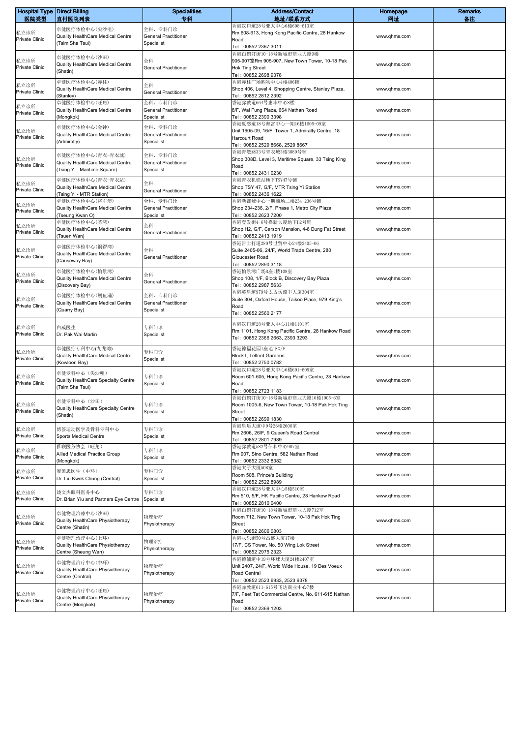| <b>Hospital Type Direct Billing</b><br>医院类型 | 直付医院列表                                                                | <b>Specialities</b><br>专科                            | <b>Address/Contact</b><br>地址/联系方式                                           | Homepage<br>网址 | <b>Remarks</b><br>备注 |
|---------------------------------------------|-----------------------------------------------------------------------|------------------------------------------------------|-----------------------------------------------------------------------------|----------------|----------------------|
|                                             |                                                                       |                                                      | 香港汉口道28号亚太中心6楼608-613室                                                      |                |                      |
| 私立诊所<br>Private Clinic                      | 卓健医疗体检中心(尖沙咀)<br>Quality HealthCare Medical Centre<br>(Tsim Sha Tsui) | 全科、专科门诊<br><b>General Practitioner</b><br>Specialist | Rm 608-613, Hong Kong Pacific Centre, 28 Hankow<br>Road                     | www.qhms.com   |                      |
|                                             |                                                                       |                                                      | Tel: 00852 2367 3011                                                        |                |                      |
| 私立诊所                                        | 卓健医疗体检中心(沙田)<br>Quality HealthCare Medical Centre                     | 全科                                                   | 香港白鹤汀街10-18号新城市商业大厦9楼<br>905-907室Rm 905-907, New Town Tower, 10-18 Pak      | www.qhms.com   |                      |
| Private Clinic                              | (Shatin)                                                              | <b>General Practitioner</b>                          | <b>Hok Ting Street</b><br>Tel: 00852 2698 9378                              |                |                      |
| 私立诊所                                        | 卓健医疗体检中心(赤柱)                                                          | 全科                                                   | 香港赤柱广场购物中心4楼406铺                                                            |                |                      |
| Private Clinic                              | Quality HealthCare Medical Centre<br>(Stanley)                        | <b>General Practitioner</b>                          | Shop 406, Level 4, Shopping Centre, Stanley Plaza,<br>Tel: 00852 2812 2392  | www.qhms.com   |                      |
|                                             | 卓健医疗体检中心(旺角)                                                          | 全科、专科门诊                                              | 香港弥敦道664号惠丰中心8楼                                                             |                |                      |
| 私立诊所<br>Private Clinic                      | Quality HealthCare Medical Centre                                     | <b>General Practitioner</b>                          | 8/F, Wai Fung Plaza, 664 Nathan Road                                        | www.qhms.com   |                      |
|                                             | (Mongkok)                                                             | Specialist                                           | Tel: 00852 2390 3398<br>香港夏慤道18号海富中心一期16楼1605-09室                           |                |                      |
| 私立诊所                                        | 卓健医疗体检中心(金钟)<br>Quality HealthCare Medical Centre<br>(Admiralty)      | 全科、专科门诊<br><b>General Practitioner</b><br>Specialist | Unit 1605-09, 16/F, Tower 1, Admiralty Centre, 18                           | www.qhms.com   |                      |
| <b>Private Clinic</b>                       |                                                                       |                                                      | Harcourt Road                                                               |                |                      |
|                                             |                                                                       |                                                      | Tel: 00852 2529 8668, 2529 8667                                             |                |                      |
| 私立诊所                                        | 卓健医疗体检中心(青衣-青衣城)                                                      | 全科、专科门诊                                              | 香港青敬路33号青衣城3楼308D号铺<br>Shop 308D, Level 3, Maritime Square, 33 Tsing King   |                |                      |
| Private Clinic                              | Quality HealthCare Medical Centre                                     | <b>General Practitioner</b>                          | Road                                                                        | www.qhms.com   |                      |
|                                             | (Tsing Yi - Maritime Square)                                          | Specialist                                           | Tel: 00852 2431 0230                                                        |                |                      |
| 私立诊所                                        | 卓健医疗体检中心(青衣-青衣站)                                                      | 全科                                                   | 香港青衣机铁站地下TSY47号铺                                                            |                |                      |
| Private Clinic                              | Quality HealthCare Medical Centre                                     | <b>General Practitioner</b>                          | Shop TSY 47, G/F, MTR Tsing Yi Station                                      | www.qhms.com   |                      |
|                                             | (Tsing Yi - MTR Station)<br>卓健医疗体检中心(将军澳)                             | 全科、专科门诊                                              | Tel: 00852 2436 1622<br>香港新都城中心一期商场二楼234-236号铺                              |                |                      |
| 私立诊所                                        | Quality HealthCare Medical Centre                                     | <b>General Practitioner</b>                          | Shop 234-236, 2/F, Phase 1, Metro City Plaza                                | www.qhms.com   |                      |
| Private Clinic                              | (Tseung Kwan O)                                                       | Specialist                                           | Tel: 00852 2623 7200                                                        |                |                      |
| 私立诊所                                        | 卓健医疗体检中心(荃湾)                                                          | 全科                                                   | 香港登发街4-6号嘉新大厦地下H2号铺                                                         |                |                      |
| Private Clinic                              | Quality HealthCare Medical Centre                                     | <b>General Practitioner</b>                          | Shop H2, G/F, Carson Mansion, 4-6 Dung Fat Street                           | www.qhms.com   |                      |
|                                             | (Tsuen Wan)                                                           |                                                      | Tel: 00852 2413 1919<br>香港告士打道280号世贸中心24楼2405-06                            |                |                      |
| 私立诊所                                        | 卓健医疗体检中心(铜锣湾)                                                         | 全科                                                   | Suite 2405-06, 24/F, World Trade Centre, 280                                |                |                      |
| Private Clinic                              | Quality HealthCare Medical Centre                                     | <b>General Practitioner</b>                          | Gloucester Road                                                             | www.ghms.com   |                      |
|                                             | (Causeway Bay)                                                        |                                                      | Tel: 00852 2890 3118                                                        |                |                      |
| 私立诊所                                        | 卓健医疗体检中心(愉景湾)                                                         | 全科                                                   | 香港愉景湾广场B座1楼108室                                                             |                |                      |
| Private Clinic                              | Quality HealthCare Medical Centre                                     | <b>General Practitioner</b>                          | Shop 108, 1/F, Block B, Discovery Bay Plaza                                 | www.qhms.com   |                      |
|                                             | (Discovery Bay)                                                       |                                                      | Tel: 00852 2987 5633<br>香港英皇道979号太古坊濠丰大厦304室                                |                |                      |
| 私立诊所                                        | 卓健医疗体检中心(鲗鱼涌)                                                         | 全科、专科门诊                                              | Suite 304, Oxford House, Taikoo Place, 979 King's                           |                |                      |
| Private Clinic                              | Quality HealthCare Medical Centre<br>(Quarry Bay)                     | <b>General Practitioner</b><br>Specialist            | Road                                                                        | www.qhms.com   |                      |
|                                             |                                                                       |                                                      | Tel: 00852 2560 2177                                                        |                |                      |
|                                             |                                                                       |                                                      | 香港汉口道28号亚太中心11楼1101室                                                        |                |                      |
| 私立诊所<br>Private Clinic                      | 白威医生<br>Dr. Pak Wai Martin                                            | 专科门诊<br>Specialist                                   | Rm 1101, Hong Kong Pacific Centre, 28 Hankow Road                           | www.qhms.com   |                      |
|                                             |                                                                       |                                                      | Tel: 00852 2366 2663, 2393 3293                                             |                |                      |
|                                             | 卓健医疗专科中心(九龙湾)                                                         | 专科门诊                                                 | 香港德福花园I座地下G/F                                                               |                |                      |
| 私立诊所<br>Private Clinic                      | Quality HealthCare Medical Centre                                     | Specialist                                           | Block I, Telford Gardens                                                    | www.qhms.com   |                      |
|                                             | (Kowloon Bay)                                                         |                                                      | Tel: 00852 2750 0782                                                        |                |                      |
| 私立诊所                                        | 卓健专科中心(尖沙咀)                                                           | 专科门诊                                                 | 香港汉口道28号亚太中心6楼601-605室<br>Room 601-605, Hong Kong Pacific Centre, 28 Hankow |                |                      |
| <b>Private Clinic</b>                       | Quality HealthCare Specialty Centre                                   | Specialist                                           | Road                                                                        | www.qhms.com   |                      |
|                                             | (Tsim Sha Tsui)                                                       |                                                      | Tel: 00852 2723 1183                                                        |                |                      |
|                                             | 《建专科中心 (沙田)                                                           |                                                      | 香港白鹤汀街10-18号新城市商业大厦10楼1005-6室                                               |                |                      |
| 私立诊所<br>Private Clinic                      | Quality HealthCare Specialty Centre                                   | 专科门诊                                                 | Room 1005-6, New Town Tower, 10-18 Pak Hok Ting                             | www.qhms.com   |                      |
|                                             | (Shatin)                                                              | Specialist                                           | Street<br>Tel: 00852 2699 1830                                              |                |                      |
|                                             |                                                                       |                                                      | 香港皇后大道中9号26楼2606室                                                           |                |                      |
| 私立诊所<br>Private Clinic                      | 博荟运动医学及骨科专科中心<br>Sports Medical Centre                                | 专科门诊<br>Specialist                                   | Rm 2606, 26/F, 9 Queen's Road Central                                       | www.ghms.com   |                      |
|                                             |                                                                       |                                                      | Tel: 00852 2801 7989                                                        |                |                      |
| 私立诊所                                        | 雅联医务协会(旺角)<br>Allied Medical Practice Group                           | 专科门诊                                                 | 香港弥敦道582号信和中心907室<br>Rm 907, Sino Centre, 582 Nathan Road                   | www.qhms.com   |                      |
| Private Clinic                              | (Mongkok)                                                             | Specialist                                           | Tel: 00852 2332 8382                                                        |                |                      |
|                                             | 廖国忠医生 (中环)                                                            | 专科门诊                                                 | 香港太子大厦508室                                                                  |                |                      |
| 私立诊所<br>Private Clinic                      | Dr. Liu Kwok Chung (Central)                                          | Specialist                                           | Room 508, Prince's Building                                                 | www.qhms.com   |                      |
|                                             |                                                                       |                                                      | Tel: 00852 2522 8989                                                        |                |                      |
| 私立诊所                                        | 饶文杰眼科医务中心                                                             | 专科门诊                                                 | 香港汉口道28号亚太中心5楼510室<br>Rm 510, 5/F, HK Pacific Centre, 28 Hankow Road        | www.qhms.com   |                      |
| Private Clinic                              | Dr. Brian Yiu and Partners Eye Centre                                 | Specialist                                           | Tel: 00852 2810 0400                                                        |                |                      |
|                                             | 卓健物理治療中心(沙田)                                                          |                                                      | 香港白鹤汀街10-18号新城市商业大厦712室                                                     |                |                      |
| 私立诊所                                        | Quality HealthCare Physiotherapy                                      | 物理治疗                                                 | Room 712, New Town Tower, 10-18 Pak Hok Ting                                | www.qhms.com   |                      |
| Private Clinic                              | Centre (Shatin)                                                       | Physiotherapy                                        | Street                                                                      |                |                      |
|                                             | 卓健物理治疗中心(上环)                                                          |                                                      | Tel: 00852 2606 0803<br>香港永乐街50号昌盛大厦17楼                                     |                |                      |
| 私立诊所                                        | Quality HealthCare Physiotherapy                                      | 物理治疗                                                 | 17/F, CS Tower, No. 50 Wing Lok Street                                      | www.qhms.com   |                      |
| Private Clinic                              | Centre (Sheung Wan)                                                   | Physiotherapy                                        | Tel: 00852 2975 2323                                                        |                |                      |
| 私立诊所<br>Private Clinic                      | 卓健物理治疗中心(中环)<br>Quality HealthCare Physiotherapy<br>Centre (Central)  | 物理治疗<br>Physiotherapy                                | 香港德辅道中19号环球大厦24楼2407室                                                       | www.qhms.com   |                      |
|                                             |                                                                       |                                                      | Unit 2407, 24/F, World Wide House, 19 Des Voeux                             |                |                      |
|                                             |                                                                       |                                                      | Road Central<br>Tel: 00852 2523 6933, 2523 6378                             |                |                      |
|                                             |                                                                       |                                                      | 香港弥敦道611-615号飞达商业中心7楼                                                       |                |                      |
| 私立诊所                                        | 卓健物理治疗中心(旺角)<br>Quality HealthCare Physiotherapy                      | 物理治疗                                                 | 7/F, Feet Tat Commercial Centre, No. 611-615 Nathan                         | www.qhms.com   |                      |
| Private Clinic                              | Centre (Mongkok)                                                      | Physiotherapy                                        | Road                                                                        |                |                      |
|                                             |                                                                       |                                                      | Tel: 00852 2369 1203                                                        |                |                      |